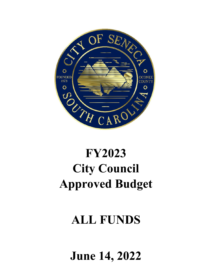

# **FY2023 City Council Approved Budget**

# **ALL FUNDS**

**June 14, 2022**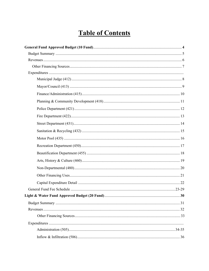# **Table of Contents**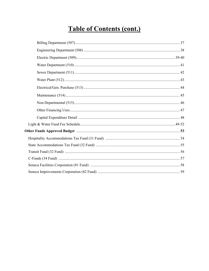# **Table of Contents (cont.)**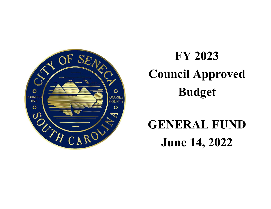<span id="page-3-0"></span>

# **FY 2023 Council Approved Budget**

# **GENERAL FUND June14, 2022**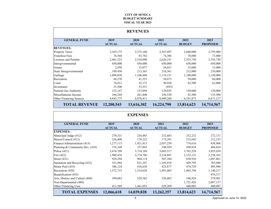#### **CITY OF SENECA BUDGET SUMMARY FISCAL YEAR 2023**

<span id="page-4-0"></span>

|                                |                       | <b>REVENUES</b>       |                       |                       |                         |
|--------------------------------|-----------------------|-----------------------|-----------------------|-----------------------|-------------------------|
| <b>GENERAL FUND</b>            | 2019<br><b>ACTUAL</b> | 2020<br><b>ACTUAL</b> | 2021<br><b>ACTUAL</b> | 2022<br><b>BUDGET</b> | 2023<br><b>PROPOSED</b> |
| <b>REVENUES:</b>               |                       |                       |                       |                       |                         |
| Property Taxes                 | 2,365,175             | 2,375,160             | 2,547,697             | 2,640,000             | 2,795,000               |
| <b>Franchise Fees</b>          | 76,568                | 83,782                | 74,386                | 78,000                | 71,000                  |
| Licenses and Permits           | 2,461,523             | 2,510,090             | 2,626,191             | 2,525,750             | 2,745,750               |
| Intergovernmental              | 650,000               | 650,000               | 650,000               | 650,000               | 650,000                 |
| Grants                         | 2,950                 | 33,077                | 54,051                | 33,000                | 33,000                  |
| State Intergovernmental        | 189,450               | 213,363               | 210,361               | 212,000               | 210,000                 |
| Garbage                        | 1,098,030             | 1,106,608             | 1,119,151             | 1,100,000             | 1,150,000               |
| Recreation                     | 68,270                | 41,553                | 58,073                | 59,000                | 60,000                  |
| Court                          | 74,912                | 52,172                | 50,928                | 82,500                | 63,000                  |
| Investment                     | 51,500                | 53,551                | (893)                 |                       |                         |
| Natural Gas Authority          | 152,147               | 157,094               | 129,035               | 150,000               | 130,000                 |
| Miscellaneous Income           | 166,244               | 261,440               | 256,550               | 92,500                | 135,500                 |
| <b>Other Financing Sources</b> | 4,843,775             | 6,078,411             | 8,449,260             | 6, 191, 873           | 6,671,317               |
| <b>TOTAL REVENUE</b>           | 12,200,543            | 13,616,302            | 16,224,790            | 13,814,623            | 14,714,567              |

|                                 |                       | <b>EXPENSES</b>       |                       |                       |                         |
|---------------------------------|-----------------------|-----------------------|-----------------------|-----------------------|-------------------------|
| <b>GENERAL FUND</b>             | 2019<br><b>ACTUAL</b> | 2020<br><b>ACTUAL</b> | 2021<br><b>ACTUAL</b> | 2022<br><b>BUDGET</b> | 2023<br><b>PROPOSED</b> |
| <b>EXPENSES:</b>                |                       |                       |                       |                       |                         |
| Municipal Judge (412)           | 270,331               | 234,483               | 232,683               | 252,232               | 272,131                 |
| Mayor/Council (413)             | 226,408               | 178,222               | 175,291               | 215,692               | 212,233                 |
| Finance/Administration (415)    | 1,277,115             | 1,921,813             | 2,057,259             | 774,616               | 838,968                 |
| Planning & Community Dev. (418) | 376,168               | 357,843               | 348,929               | 509,854               | 486,824                 |
| Police $(421)$                  | 3,676,709             | 3,714,189             | 3,685,517             | 3,762,528             | 3,855,039               |
| Fire $(422)$                    | 1,988,416             | 2,374,706             | 2,234,881             | 2,152,121             | 2,238,163               |
| Street $(431)$                  | 929,294               | 904,114               | 947,384               | 850,910               | 1,047,861               |
| Sanitation and Recycling (432)  | 551,884               | 831,347               | 1,105,918             | 509,795               | 785,690                 |
| Motor Pool (435)                | 386,124               | 418,638               | 423,877               | 474,729               | 495,990                 |
| Recreation (450)                | 1,572,715             | 1,314,038             | 1,091,005             | 1,803,794             | 1,140,217               |
| Beautification (455)            |                       |                       |                       |                       | 474,317                 |
| Arts, History and Culture (460) | 399,885               | 329,382               | 330,403               | 346,924               | 379,901                 |
| Non-Departmental (480)          |                       |                       |                       | 1,721,426             | 2,087,137               |
| <b>Other Financing Uses</b>     | 411,569               | 1,461,053             | 629,209               | 440,003               | 400,097                 |
| <b>TOTAL EXPENSES</b>           | 12,066,618            | 14,039,828            | 13,262,357            | 13,814,623            | 14,714,567              |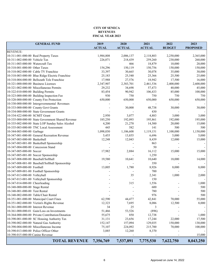#### **CITY OF SENECA REVENUES FISCAL YEAR 2023**

<span id="page-5-0"></span>

| <b>GENERAL FUND</b>                               | 2019          | 2020          | 2021          | 2022          | 2023            |
|---------------------------------------------------|---------------|---------------|---------------|---------------|-----------------|
|                                                   | <b>ACTUAL</b> | <b>ACTUAL</b> | <b>ACTUAL</b> | <b>BUDGET</b> | <b>PROPOSED</b> |
| <b>REVENUE:</b>                                   |               |               |               |               |                 |
| 10-311-001-000-00 Real Property Taxes             | 1,984,808     | 2,006,137     | 2,118,803     | 2,250,000     | 2,365,000       |
| 10-311-002-000-00 Vehicle Tax                     | 226,071       | 218,439       | 259,260       | 230,000       | 260,000         |
| 10-311-003-000-00 Watercraft Tax                  |               | 466           | 18,879        | 10,000        | 20,000          |
| 10-318-001-000-00 Other Taxes                     | 154,296       | 150,119       | 150,756       | 150,000       | 150,000         |
| 10-318-002-000-00 Cable TV Franchise              | 33,397        | 30,665        | 30,078        | 35,000        | 30,000          |
| 10-318-003-000-00 Blue Ridge Electric Franchise   | 25,183        | 25,540        | 25,366        | 25,500        | 25,000          |
| 10-318-004-000-00 Bellsouth Tele Franchise        | 17,988        | 27,576        | 18,942        | 17,500        | 16,000          |
| 10-321-000-000-00 Business Licenses               | 2,347,907     | 2,383,701     | 2,461,536     | 2,400,000     | 2,600,000       |
| 10-321-002-000-00 Miscellaneous Permits           | 29,232        | 34,698        | 57,473        | 40,000        | 45,000          |
| 10-322-010-000-00 Building Permits                | 83,454        | 90,942        | 106,433       | 85,000        | 100,000         |
| 10-323-000-000-00 Building Inspection Fee         | 930           | 750           | 750           | 750           | 750             |
| 10-328-000-000-00 County Fire Protection          | 650,000       | 650,000       | 650,000       | 650,000       | 650,000         |
| 10-330-000-000-00 Intergovernmental Revenues      |               |               |               |               |                 |
| 10-333-000-000-00 County Govt Grants              |               | 30,000        | 48,738        | 30,000        | 30,000          |
| 10-334-000-000-00 State Government Grants         |               |               | 430           |               |                 |
| 10-334-422-000-00 SCMIT Grant                     | 2,950         | 3,077         | 4,883         | 3,000         | 3,000           |
| 10-335-000-000-00 State Government Shared Revenue | 185,250       | 192,093       | 195,861       | 192,000       | 195,000         |
| 10-335-002-000-00 State LOP Sunday Sales Alcohol  | 4,200         | 21,270        | 14,500        | 20,000        | 15,000          |
| 10-335-003-000-00 TNC Local Assessment            | 445           | 582           | 141           | 500           | 500             |
| 10-344-003-000-00 Garbage                         | 1,098,030     | 1,106,608     | 1,119,151     | 1,100,000     | 1,150,000       |
| 10-347-001-000-00 General Recreation Revenue      | 5,455         | 13,855        | 6,696         | 5,000         | 5,000           |
| 10-347-003-000-00 Basketball                      | 12,248        | 12,043        | 8,439         | 12,000        | 15,000          |
| 10-347-003-001-00 Basketball Sponsorship          |               |               | 863           |               |                 |
| 10-347-004-000-00 Concession Stand                |               |               | 50            |               |                 |
| 10-347-005-000-00 Soccer                          | 17,982        | 2,884         | 16,112        | 15,000        | 15,000          |
| 10-347-005-001-00 Soccer Sponsorship              |               |               | 1,250         |               |                 |
| 10-347-008-000-00 Baseball/Softball               | 19,580        | 10,641        | 10,640        | 18,000        | 14,000          |
| 10-347-008-001-00 Baseball/Softball Sponsorship   |               |               | 350           |               |                 |
| 10-347-009-000-00 Football                        | 13,005        | 1,780         | 8,926         | 8,000         | 8,000           |
| 10-347-009-001-00 Football Sponsorship            |               |               | 700           |               |                 |
| 10-347-013-000-00 Volleyball                      |               | 35            | 2,341         | 1,000         | 2,000           |
| 10-347-013-001-00 Volleyball Sponsorship          |               |               | 150           |               |                 |
| 10-347-014-000-00 Cheerleading                    |               | 315           | 1,556         |               | 1,000           |
| 10-348-000-000-00 Stage Rental                    |               |               | 600           |               | 500             |
| 10-348-001-000-00 Tent Rental                     |               |               | 780           |               | 500             |
| 10-348-002-000-00 Table/Chair Rental              |               |               | 976           |               | 500             |
| 10-351-001-000-00 Municipal Court Fines           | 62,590        | 44,477        | 42,841        | 70,000        | 55,000          |
| 10-351-002-000-00 Victim's Rights Revenue         | 12,323        | 7,695         | 8,086         | 12,500        | 8,000           |
| 10-361-000-000-00 Interest Revenue                | 34            | 25            | 3             |               |                 |
| 10-361-000-000-01 Gain/Loss on Investments        | 51,466        | 53,526        | (896)         |               |                 |
| 10-364-000-000-00 Private Contribution/Donation   | 55,675        | 850           | 12,738        |               | 1,000           |
| 10-390-001-000-00 SC Housing Authority Tax        | 31,131        | 23,656        | 17,244        | 22,000        | 17,500          |
| 10-390-002-000-00 Natural Gas Authority           | 152,147       | 157,094       | 129,035       | 150,000       | 130,000         |
| 10-390-004-000-00 Miscellaneous Income            | 75,107        | 224,092       | 215,700       | 70,000        | 100,000         |
| 10-390-013-000-00 Police Officer Other            | 3,885         | 12,260        | 8,370         |               |                 |
| 10-390-015-000-00 Canine Revenue                  |               |               |               |               | 15,000          |
|                                                   |               |               |               |               |                 |
| <b>TOTAL REVENUE</b>                              | 7,356,769     | 7,537,891     | 7,775,530     | 7,622,750     | 8,043,250       |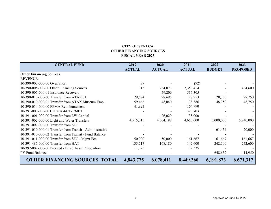### **CITY OF SENECA OTHER FINANCING SOURCES FISCAL YEAR 2023**

<span id="page-6-0"></span>

| <b>GENERAL FUND</b>                                      | 2019          | 2020          | 2021          | 2022          | 2023            |
|----------------------------------------------------------|---------------|---------------|---------------|---------------|-----------------|
|                                                          | <b>ACTUAL</b> | <b>ACTUAL</b> | <b>ACTUAL</b> | <b>BUDGET</b> | <b>PROPOSED</b> |
| <b>Other Financing Sources</b>                           |               |               |               |               |                 |
| <b>REVENUE:</b>                                          |               |               |               |               |                 |
| 10-390-003-000-00 Over/Short                             | 89            |               | (92)          |               |                 |
| 10-390-005-000-00 Other Financing Sources                | 313           | 734,073       | 2,353,414     |               | 464,600         |
| 10-390-005-000-01 Insurance Recovery                     |               | 59,206        | 516,305       |               |                 |
| 10-390-010-000-00 Transfer from ATAX 31                  | 29,574        | 28,695        | 27,953        | 28,750        | 28,750          |
| 10-390-010-000-01 Transfer from ATAX Museum Emp.         | 59,466        | 48,040        | 38,386        | 48,750        | 48,750          |
| 10-390-014-000-00 FEMA Reimbursement                     | 41,823        |               | 164,790       |               |                 |
| 10-391-000-000-00 CDBG# 4-CE-19-011                      |               |               | 323,703       |               |                 |
| 10-391-001-000-00 Transfer from LW-Capital               |               | 426,029       | 38,000        |               |                 |
| 10-391-002-000-00 Light and Water Transfers              | 4,515,015     | 4,564,188     | 4,650,000     | 5,000,000     | 5,240,000       |
| 10-391-007-000-00 Transfer from SFC                      |               |               |               |               |                 |
| 10-391-010-000-01 Transfer from Transit - Administrative |               |               |               | 61,454        | 70,000          |
| 10-391-010-000-02 Transfer from Transit - Fund Balance   |               |               |               |               |                 |
| 10-391-011-000-00 Transfer from SFC - Mgmt Fee           | 50,000        | 50,000        | 161,667       | 161,667       | 161,667         |
| 10-391-485-000-00 Transfer from HAT                      | 135,717       | 168,180       | 142,600       | 242,600       | 242,600         |
| 10-392-002-000-00 Proceed - Fixed Asset Disposition      | 11,778        |               | 32,535        |               |                 |
| PY Fund Balance                                          |               |               |               | 648,652       | 414,950         |
| <b>OTHER FINANCING SOURCES TOTAL</b>                     | 4,843,775     | 6,078,411     | 8,449,260     | 6,191,873     | 6,671,317       |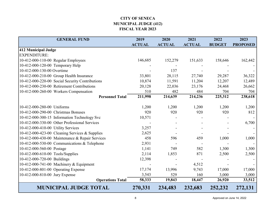# **CITY OF SENECA MUNICIPAL JUDGE (412) FISCAL YEAR 2023**

<span id="page-7-0"></span>

| <b>GENERAL FUND</b>                             | 2019          | 2020          | 2021          | 2022          | 2023            |
|-------------------------------------------------|---------------|---------------|---------------|---------------|-----------------|
|                                                 | <b>ACTUAL</b> | <b>ACTUAL</b> | <b>ACTUAL</b> | <b>BUDGET</b> | <b>PROPOSED</b> |
| 412 Municipal Judge                             |               |               |               |               |                 |
| <b>EXPENDITURE:</b>                             |               |               |               |               |                 |
| 10-412-000-110-00 Regular Employees             | 146,685       | 152,279       | 151,633       | 158,646       | 162,442         |
| 10-412-000-120-00 Temporary Help                |               |               |               |               |                 |
| 10-412-000-130-00 Overtime                      |               | 137           |               |               |                 |
| 10-412-000-210-00 Group Health Insurance        | 33,801        | 28,115        | 27,740        | 29,287        | 36,322          |
| 10-412-000-220-00 Social Security Contributions | 10,874        | 11,591        | 11,204        | 12,207        | 12,489          |
| 10-412-000-230-00 Retirement Contributions      | 20,128        | 22,036        | 23,176        | 24,468        | 26,662          |
| 10-412-000-260-00 Workers Compensation          | 510           | 482           | 484           | 704           | 704             |
| <b>Personnel Total</b>                          | 211,998       | 214,639       | 214,236       | 225,312       | 238,618         |
|                                                 |               |               |               |               |                 |
| 10-412-000-280-00 Uniforms                      | 1,200         | 1,200         | 1,200         | 1,200         | 1,200           |
| 10-412-000-290-00 Christmas Bonuses             | 920           | 920           | 920           | 920           | 812             |
| 10-412-000-300-15 Information Technology Svc    | 10,571        |               |               |               |                 |
| 10-412-000-330-00 Other Professional Services   |               |               |               |               | 6,700           |
| 10-412-000-410-00 Utility Services              | 3,257         |               |               |               |                 |
| 10-412-000-423-00 Cleaning Services & Supplies  | 2,625         |               |               |               |                 |
| 10-412-000-430-00 Maintenance & Repair Services | 458           | 596           | 459           | 1,000         | 1,000           |
| 10-412-000-530-00 Communications & Telephone    | 2,931         |               |               |               |                 |
| 10-412-000-560-00 Postage                       | 1,141         | 749           | 582           | 1,300         | 1,300           |
| 10-412-000-610-00 Tools/Supplies                | 2,114         | 1,853         | 871           | 2,500         | 2,500           |
| 10-412-000-720-00 Buildings                     | 12,398        |               |               |               |                 |
| 10-412-000-741-00 Machinery & Equipment         |               |               | 4,512         |               |                 |
| 10-412-000-801-00 Operating Expense             | 17,174        | 13,996        | 9,743         | 17,000        | 17,000          |
| 10-412-000-810-00 Jury Expense                  | 3,543         | 529           | 160           | 3,000         | 3,000           |
| <b>Operations Total</b>                         | 58,333        | 19,843        | 18,447        | 26,920        | 33,512          |
| <b>MUNICIPAL JUDGE TOTAL</b>                    | 270,331       | 234,483       | 232,683       | 252,232       | 272,131         |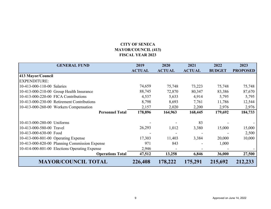# **CITY OF SENECA MAYOR/COUNCIL (413) FISCAL YEAR 2023**

<span id="page-8-0"></span>

| <b>GENERAL FUND</b>                           | 2019<br><b>ACTUAL</b> | 2020<br><b>ACTUAL</b> | 2021<br><b>ACTUAL</b> | 2022<br><b>BUDGET</b> | 2023<br><b>PROPOSED</b> |
|-----------------------------------------------|-----------------------|-----------------------|-----------------------|-----------------------|-------------------------|
|                                               |                       |                       |                       |                       |                         |
| 413 Mayor/Council                             |                       |                       |                       |                       |                         |
| <b>EXPENDITURE:</b>                           |                       |                       |                       |                       |                         |
| 10-413-000-110-00 Salaries                    | 74,659                | 75,748                | 73,223                | 75,748                | 75,748                  |
| 10-413-000-210-00 Group Health Insurance      | 88,745                | 72,870                | 80,347                | 83,386                | 87,670                  |
| 10-413-000-220-00 FICA Contributions          | 4,537                 | 5,633                 | 4,914                 | 5,795                 | 5,795                   |
| 10-413-000-230-00 Retirement Contributions    | 8,798                 | 8,693                 | 7,761                 | 11,786                | 12,544                  |
| 10-413-000-260-00 Workers Compensation        | 2,157                 | 2,020                 | 2,200                 | 2,976                 | 2,976                   |
| <b>Personnel Total</b>                        | 178,896               | 164,963               | 168,445               | 179,692               | 184,733                 |
|                                               |                       |                       |                       |                       |                         |
| 10-413-000-280-00 Uniforms                    |                       |                       | 83                    |                       |                         |
| 10-413-000-580-00 Travel                      | 26,293                | 1,012                 | 3,380                 | 15,000                | 15,000                  |
| 10-413-000-630-00 Food                        |                       |                       |                       |                       | 2,500                   |
| 10-413-000-801-00 Operating Expense           | 17,303                | 11,403                | 3,384                 | 20,000                | 10,000                  |
| 10-413-000-820-00 Planning Commission Expense | 971                   | 843                   |                       | 1,000                 |                         |
| 10-414-000-801-00 Elections Operating Expense | 2,946                 |                       |                       |                       |                         |
| <b>Operations Total</b>                       | 47,512                | 13,258                | 6,846                 | 36,000                | 27,500                  |
| <b>MAYOR/COUNCIL TOTAL</b>                    | 226,408               | 178,222               | 175,291               | 215,692               | 212,233                 |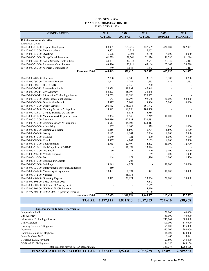#### **CITY OF SENECA FINANCE ADMINISTRATION (415) FISCAL YEAR 2023**

<span id="page-9-0"></span>

| <b>GENERAL FUND</b>                                      | 2019<br><b>ACTUAL</b> | 2020<br><b>ACTUAL</b> | 2021<br><b>ACTUAL</b> | 2022<br><b>BUDGET</b> | 2023<br><b>PROPOSED</b> |
|----------------------------------------------------------|-----------------------|-----------------------|-----------------------|-----------------------|-------------------------|
| <b>415 Finance Administration</b><br><b>EXPENDITURE:</b> |                       |                       |                       |                       |                         |
|                                                          | 309,305               | 379,736               |                       | 430,187               | 462,323                 |
| 10-415-000-110-00 Regular Employees                      |                       |                       | 427,509               |                       |                         |
| 10-415-000-120-00 Temporary help                         | 3,472                 | 5,312                 | 7,002                 |                       |                         |
| 10-415-000-130-00 Overtime                               | 6,576                 | 7,903                 | 2,140                 | 4,000                 | 4,000                   |
| 10-415-000-210-00 Group Health Insurance                 | 61,779                | 51,361                | 71,624                | 71,290                | 81,294                  |
| 10-415-000-220-00 Social Security Contributions          | 23,931                | 30,348                | 32,541                | 33,340                | 35,814                  |
| 10-415-000-230-00 Retirement Contributions               | 43,480                | 55,911                | 65,164                | 67,165                | 76,790                  |
| 10-415-000-260-00 Workers Compensation                   | 949                   | 1,044                 | 1,343                 | 1,211                 | 1,211                   |
| <b>Personnel Total</b>                                   | 449,493               | 531,615               | 607,322               | 607,192               | 661,432                 |
| 10-415-000-280-00 Uniforms                               | 2,700                 | 2,700                 | 3,133                 | 3,300                 | 3,700                   |
| 10-415-000-290-00 Christmas Bonuses                      | 1,245                 | 1,245                 | 1,733                 | 1,624                 | 1,835                   |
| 10-415-000-300-01 IT - COVID                             |                       | 2,150                 | 200                   |                       |                         |
| 10-415-000-300-13 Independent Audit                      | 36,378                | 48,897                | 47,348                |                       |                         |
| 10-415-000-300-14 City Attorney                          | 88,473                | 38,197                | 33,245                |                       |                         |
| 10-415-000-300-15 Information Technology Service         | 29,259                | 191,380               | 220,552               |                       |                         |
| 10-415-000-330-00 Other Professional Services            | 643                   | 20,298                | 98,548                | 50,000                | 50,000                  |
| 10-415-000-380-00 Dues & Membership                      | 5,917                 | 7,048                 | 3,886                 | 7,000                 | 6,000                   |
| 10-415-000-410-00 Utility Services                       | 208,362               | 378,356               | 361,543               |                       |                         |
| 10-415-000-423-00 Cleaning Services & Supplies           | 13,522                | 92,090                | 108,350               |                       |                         |
| 10-415-000-423-01 Cleaing Supplies COVID-19              |                       | 8,838                 | 16,584                |                       |                         |
| 10-415-000-430-00 Maintenance & Repair Services          | 7,354                 | 8,948                 | 7,249                 | 10,000                | 8,000                   |
| 10-415-000-520-00 Insurance                              | 306,686               | 340,838               | 320,881               |                       |                         |
| 10-415-000-530-00 Communications & Telephone             | 10,513                | 118,105               | 124,413               |                       |                         |
| 10-415-000-540-00 Advertising                            | 607                   | 1,160                 | 929                   | 1,000                 | 1,000                   |
| 10-415-000-550-00 Printing & Binding                     | 6,856                 | 6,509                 | 6,704                 | 6,500                 | 6,500                   |
| 10-415-000-560-00 Postage                                | 5,629                 | 6,104                 | 7,004                 | 6,000                 | 7,500                   |
| 10-415-000-570-00 Training                               | 5,040                 | 721                   | 200                   | 6,000                 | 7,500                   |
| 10-415-000-580-00 Travel                                 | 3,877                 | 4,002                 | 2,153                 | 6,000                 | 7,500                   |
| 10-415-000-610-00 Tools/Supplies                         | 12,535                | 22,499                | 14,403                | 15,000                | 12,500                  |
| 10-415-000-610-01 Tools/Supplies COVID-19                | L,                    | 10,391                | 13,074                |                       |                         |
| 10-415-000-620-00 Gas & Oil                              | 66                    | 273                   | 940                   | 3,000                 | 3,000                   |
| 10-415-000-625-00 Vehicle Expense                        |                       |                       | 59                    | 1,000                 | 1,000                   |
| 10-415-000-630-00 Food                                   | 164                   | 171                   | 1,496                 | 1,000                 | 1,500                   |
| 10-415-000-640-00 Books & Periodicals                    |                       | 203                   |                       |                       |                         |
| 10-415-000-720-00 Buildings                              | 19,645                | 4,974                 |                       | 10,000                | 20,000                  |
| 10-415-000-730-00 Improvements other than Buildings      | 689                   |                       |                       |                       |                         |
| 10-415-000-741-00 Machinery & Equipment                  | 10,491                | 8,391                 | 1,921                 | 10,000                | 10,000                  |
| 10-415-000-742-00 Vehicles                               |                       | 36,133                |                       |                       |                         |
| 10-415-000-801-00 Operating Expense                      | 50,972                | 29,224                | 33,054                | 30,000                | 30,000                  |
| 10-415-000-806-00 Lease Purchase 2020                    |                       |                       | 5,645                 |                       |                         |
| 10-415-000-900-00 GO Bond 2020A Payment                  |                       |                       | 7,669                 |                       |                         |
| 10-415-000-901-00 GO Bond 2020B Payment                  |                       |                       | 4,890                 |                       |                         |
| 10-415-999-801-00 FEMA 2020 - Operating Expense          |                       | 349                   | 2,130                 |                       |                         |
| <b>Operations Total</b>                                  | 827,622               | 1,390,198             | 1,449,937             | 167,424               | 177,535                 |
| <b>TOTAL</b>                                             | 1,277,115             | 1,921,813             | 2,057,259             | 774,616               | 838,968                 |

| <b>Expenses moved to Non-Departmental</b> |           |           |           |           |           |
|-------------------------------------------|-----------|-----------|-----------|-----------|-----------|
| Independent Audit                         |           |           |           | 50,000    | 60,000    |
| City Attorney                             |           |           |           | 50,000    | 40,000    |
| Information Technology Service            |           |           |           | 247,667   | 300,000   |
| <b>Utility Services</b>                   |           |           |           | 400,000   | 375,000   |
| Cleaning Services & Supplies              |           |           |           | 95,000    | 135,000   |
| Insurance                                 |           |           |           | 325,000   | 300,000   |
| Communications & Telephone                |           |           |           | 118,000   | 120,000   |
| Lease Purchase 2020                       |           |           |           | 5.660     | 5,645     |
| GO Bond 2020A Payment                     |           |           |           | 23,800    | 248,800   |
| GO Bond 2020B Payment                     |           |           |           | 16.150    | 166,150   |
| Total expenses moved to Non-Departmental  |           |           |           | 1.331.277 | 1,750,595 |
| <b>FINANCE ADMINISTRATION TOTAL</b>       | 1,277,115 | 1,921,813 | 2,057,259 | 2,105,893 | 2,589,563 |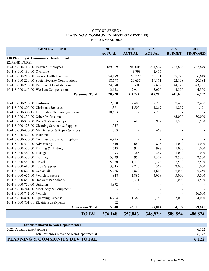# **CITY OF SENECA PLANNING & COMMUNITY DEVELOPMENT (418) FISCAL YEAR 2023**

<span id="page-10-0"></span>

| <b>GENERAL FUND</b>                              | 2019          | 2020          | 2021          | 2022          | 2023            |
|--------------------------------------------------|---------------|---------------|---------------|---------------|-----------------|
|                                                  | <b>ACTUAL</b> | <b>ACTUAL</b> | <b>ACTUAL</b> | <b>BUDGET</b> | <b>PROPOSED</b> |
| 418 Planning & Community Development             |               |               |               |               |                 |
| <b>EXPENDITURE:</b>                              |               |               |               |               |                 |
| 10-418-000-110-00 Regular Employees              | 189,919       | 209,008       | 201,504       | 287,696       | 262,649         |
| 10-418-000-130-00 Overtime                       |               | 3,793         | 1,417         |               |                 |
| 10-418-000-210-00 Group Health Insurance         | 74,199        | 58,729        | 55,191        | 57,222        | 56,619          |
| 10-418-000-220-00 Social Security Contributions  | 18,598        | 20,637        | 19,171        | 22,108        | 20,184          |
| 10-418-000-230-00 Retirement Contributions       | 34,390        | 39,603        | 39,632        | 44,329        | 43,231          |
| 10-418-000-260-00 Workers Compensation           | 3,122         | 2,954         | 3,000         | 4,300         | 4,300           |
| <b>Personnel Total</b>                           | 320,228       | 334,724       | 319,915       | 415,655       | 386,982         |
| 10-418-000-280-00 Uniforms                       | 2,200         | 2,400         | 2,200         | 2,400         | 2,400           |
| 10-418-000-290-00 Christmas Bonuses              | 1,361         | 1,505         | 1,267         | 1,299         | 1,191           |
| 10-418-000-300-15 Information Technology Service | 10,613        |               | 7,233         |               |                 |
| 10-418-000-330-00 Other Professional             |               |               |               | 65,000        | 30,000          |
| 10-418-000-380-00 Dues & Memberships             |               | 690           | 912           | 1,500         | 1,500           |
| 10-418-000-423-00 Cleaning Services & Supplies   | 1,357         |               |               |               |                 |
| 10-418-000-430-00 Maintenance & Repair Services  | 303           |               | 467           |               |                 |
| 10-418-000-520-00 Insurance                      |               |               |               |               |                 |
| 10-418-000-530-00 Communications & Telephone     | 6,495         |               |               |               |                 |
| 10-418-000-540-00 Advertising                    | 640           | 682           | 896           | 1,000         | 3,000           |
| 10-418-000-550-00 Printing & Binding             | 543           | 942           | 998           | 1,000         | 1,000           |
| 10-418-000-560-00 Postage                        | 393           | 365           | 267           | 1,000         | 1,000           |
| 10-418-000-570-00 Training                       | 5,229         | 952           | 1,309         | 2,500         | 2,500           |
| 10-418-000-580-00 Travel                         | 5,320         | 1,412         | 2,123         | 2,500         | 2,500           |
| 10-418-000-610-00 Tools/Supplies                 | 3,045         | 2,710         | 562           | 2,000         | 1,000           |
| 10-418-000-620-00 Gas & Oil                      | 5,226         | 4,829         | 4,613         | 5,000         | 5,250           |
| 10-418-000-625-00 Vehicle Expense                | 948           | 2,897         | 4,008         | 5,000         | 5,000           |
| 10-418-000-640-00 Books & Periodicals            | 681           | 2,371         |               | 1,000         | 3,500           |
| 10-418-000-720-00 Building                       | 4,972         |               |               |               |                 |
| 10-418-000-741-00 Machinery & Equipment          |               |               |               |               |                 |
| 10-418-000-742-00 Vehicle                        |               |               |               |               | 36,000          |
| 10-418-000-801-00 Operating Expense              | 6,214         | 1,363         | 2,160         | 3,000         | 4,000           |
| 10-418-000-801-01 Electric Bus Expense           | 402           |               |               |               |                 |
| <b>Operations Total</b>                          | 55,940        | 23,119        | 29,014        | 94,199        | 99,841          |
| <b>TOTAL</b>                                     | 376,168       | 357,843       | 348,929       | 509,854       | 486,824         |

| <b>Expenses moved to Non-Departmental</b> |  |
|-------------------------------------------|--|
| 2022 Capital Lease Purchase               |  |
| Total expenses moved to Non-Departmental  |  |
| <b>PLANNING &amp; COMMUNITY DEV TOTAL</b> |  |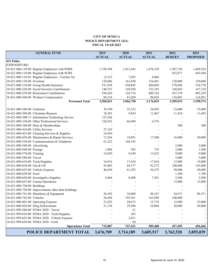#### **CITY OF SENECA POLICE DEPARTMENT (421) FISCAL YEAR 2023**

<span id="page-11-0"></span>

|                                     | <b>GENERAL FUND</b>                                 | 2019<br><b>ACTUAL</b> | 2020<br><b>ACTUAL</b> | 2021<br><b>ACTUAL</b> | 2022<br><b>BUDGET</b> | 2023<br><b>PROPOSED</b> |
|-------------------------------------|-----------------------------------------------------|-----------------------|-----------------------|-----------------------|-----------------------|-------------------------|
| 421 Police                          |                                                     |                       |                       |                       |                       |                         |
| <b>EXPENDITURE:</b>                 |                                                     |                       |                       |                       |                       |                         |
|                                     | 10-421-000-110-00 Regular Employees with PORS       | 1,750,394             | 1,812,445             | 1,876,338             | 1,507,756             | 1,609,524               |
|                                     | 10-421-000-110-00 Regular Employees with SCRS       |                       |                       |                       | 452,877               | 445,840                 |
|                                     | 10-421-000-110-01 Regular Employees - Victims Ad.   | 12,323                | 7,695                 | 8,086                 |                       |                         |
| 10-421-000-130-00 Overtime          |                                                     | 120,086               | 161,030               | 154,401               | 120,000               | 120,000                 |
|                                     | 10-421-000-210-00 Group Health Insurance            | 551,828               | 430,895               | 484,869               | 578,096               | 534,770                 |
|                                     | 10-421-000-220-00 Social Security Contributions     | 140,551               | 148,920               | 152,185               | 160,042               | 167,310                 |
|                                     | 10-421-000-230-00 Retirement Contributions          | 296,420               | 324,714               | 409,324               | 367,370               | 402,239                 |
|                                     | 10-421-000-260-00 Workers Compensation              | 89,218                | 81,059                | 90,826                | 118,891               | 118,891                 |
|                                     | <b>Personnel Total</b>                              | 2,960,821             | 2,966,758             | 3,176,029             | 3,305,033             | 3,398,574               |
|                                     |                                                     |                       |                       |                       |                       |                         |
| 10-421-000-280-00 Uniforms          |                                                     | 39,190                | 22,532                | 34,695                | 33,000                | 33,000                  |
|                                     | 10-421-000-290-00 Christmas Bonuses                 | 10,301                | 9,854                 | 11,867                | 11,424                | 11,695                  |
|                                     | 10-421-000-300-15 Information Technology Service    | 123,246               |                       |                       |                       |                         |
|                                     | 10-421-000-330-00 Other Professional Services       | 126,932               | 66,094                | 6,376                 |                       |                         |
|                                     | 10-421-000-380-00 Dues & Memberships                |                       |                       |                       | 500                   | 500                     |
| 10-421-000-410-00 Utility Services  |                                                     | 27,165                |                       |                       |                       |                         |
|                                     | 10-421-000-423-00 Cleaning Services & Supplies      | 16,830                |                       |                       |                       |                         |
|                                     | 10-421-000-430-00 Maintenance & Repair Services     | 17,264                | 19,881                | 17,500                | 16,000                | 20,000                  |
|                                     | 10-421-000-530-00 Communications & Telephone        | 61,223                | 166,345               |                       |                       |                         |
| 10-421-000-540-00 Advertising       |                                                     |                       |                       |                       | 2,000                 | 2,000                   |
| 10-421-000-560-00 Postage           |                                                     | 1,096                 | 582                   | 755                   | 2,000                 | 1,500                   |
| 10-421-000-570-00 Training          |                                                     | 14,850                | 9,430                 | 13,632                | 9,000                 | 9,000                   |
| 10-421-000-580-00 Travel            |                                                     |                       |                       |                       | 5,000                 | 5,000                   |
| 10-421-000-610-00 Tools/Supplies    |                                                     | 16,916                | 17,654                | 17,810                | 13,800                | 19,000                  |
| 10-421-000-620-00 Gas & Oil         |                                                     | 92,005                | 84,377                | 91,273                | 100,000               | 145,000                 |
| 10-421-000-625-00 Vehicle Expense   |                                                     | 46,650                | 61,292                | 56,272                | 50,000                | 50,000                  |
| 10-421-000-630-00 Food              |                                                     |                       |                       |                       | 1,200                 | 1,700                   |
|                                     | 10-421-000-650-00 Investigative Supplies            | 4,964                 | 8,408                 | 7,281                 | 2,500                 | 2,500                   |
| 10-421-000-655-00 Canine Operations |                                                     |                       |                       |                       | 15,000                | 15,000                  |
| 10-421-000-720-00 Buildings         |                                                     |                       |                       |                       |                       |                         |
|                                     | 10-421-000-730-00 Improvements other than buildings |                       |                       |                       |                       |                         |
|                                     | 10-421-000-741-00 Machinery & Equipment             | 36,392                | 34,000                | 48,167                | 54,071                | 88,571                  |
| 10-421-000-742-00 Vehicles          |                                                     | 26,444                | 195,561               | 163,998               | 100,000               |                         |
| 10-421-000-801-00 Operating Expense |                                                     | 23,292                | 28,673                | 15,774                | 12,000                | 22,000                  |
| 10-421-000-820-00 Drug Enforcement  |                                                     | 31,126                | 19,500                | 24,088                | 30,000                | 30,000                  |
|                                     | 10-421-999-580-00 FEMA 2020 - Travel                |                       | 21                    |                       |                       |                         |
|                                     | 10-421-999-610-00 FEMA 2020 - Tools/Supplies        |                       | 303                   |                       |                       |                         |
|                                     | 10-421-999-625-00 FEMA 2020 - Vehicle Expense       |                       | 2,831                 |                       |                       |                         |
|                                     | 10-421-999-630-00 FEMA 2020 - Food                  |                       | 94                    |                       |                       |                         |
|                                     | <b>Operations Total</b>                             | 715,887               | 747,431               | 509,488               | 457,495               | 456,466                 |
|                                     | POLICE DEPARTMENT TOTAL                             | 3,676,709             | 3,714,189             | 3,685,517             | 3,762,528             | 3,855,039               |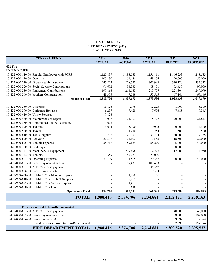# **CITY OF SENECA FIRE DEPARTMENT (422) FISCAL YEAR 2023**

<span id="page-12-0"></span>

| <b>GENERAL FUND</b>                             | 2019          | 2020          | 2021          | 2022          | 2023            |
|-------------------------------------------------|---------------|---------------|---------------|---------------|-----------------|
|                                                 | <b>ACTUAL</b> | <b>ACTUAL</b> | <b>ACTUAL</b> | <b>BUDGET</b> | <b>PROPOSED</b> |
| 422 Fire                                        |               |               |               |               |                 |
| <b>EXPENDITURE:</b>                             |               |               |               |               |                 |
| 10-422-000-110-00 Regular Employees with PORS   | 1,120,839     | 1,193,583     | 1,156,111     | 1,166,233     | 1,248,533       |
| 10-422-000-130-00 Overtime                      | 107,130       | 51,484        | 48,874        | 50,000        | 50,000          |
| 10-422-000-210-00 Group Health Insurance        | 247,822       | 208,550       | 302,998       | 330,120       | 334,532         |
| 10-422-000-220-00 Social Security Contributions | 91,672        | 94,363        | 88,191        | 93,630        | 99,900          |
| 10-422-000-230-00 Retirement Contributions      | 197,866       | 214,163       | 219,797       | 221,304       | 249,079         |
| 10-422-000-260-00 Workers Compensation          | 48,375        | 47,049        | 57,565        | 67,146        | 67,146          |
| <b>Personnel Total</b>                          | 1,813,706     | 1,809,193     | 1,873,536     | 1,928,433     | 2,049,190       |
| 10-422-000-280-00 Uniforms                      | 15,826        | 9,176         | 12,223        | 8,000         | 8,500           |
| 10-422-000-290-00 Christmas Bonuses             | 6,237         | 7,428         | 7,676         | 7,688         | 7,345           |
| 10-422-000-410-00 Utility Services              | 7,826         |               |               |               |                 |
| 10-422-000-430-00 Maintenance & Repair          | 3,098         | 24,723        | 5,728         | 20,000        | 24,843          |
| 10-422-000-530-00 Communications & Telephone    | 7,602         |               |               |               |                 |
| 10-422-000-570-00 Training                      | 5,694         | 5,790         | 9,045         | 6,000         | 4,500           |
| 10-422-000-580-00 Travel                        |               | 1,210         | 1,254         | 1,500         | 2,500           |
| 10-422-000-610-00 Tools/Supplies                | 13,706        | 20,771        | 33,794        | 30,000        | 19,335          |
| 10-422-000-620-00 Gas & Oil                     | 22,397        | 21,602        | 19,585        | 18,500        | 27,000          |
| 10-422-000-625-00 Vehicle Expense               | 38,766        | 59,634        | 58,220        | 45,000        | 40,000          |
| 10-422-000-720-00 Buildings                     |               |               |               | 30,000        |                 |
| 10-422-000-741-00 Machinery & Equipment         |               | 219,696       | 12,225        | 17,000        | 14,950          |
| 10-422-000-742-00 Vehicles                      | 359           | 47,037        | 20,000        |               |                 |
| 10-422-000-801-00 Operating Expense             | 53,199        | 34,825        | 29,347        | 40,000        | 40,000          |
| 10-422-000-802-00 Lease Payment - Oshkosh       |               | 107,433       | 107,433       |               |                 |
| 10-422-000-803-00 AIR PAK lease payment         |               |               | 35,342        |               |                 |
| 10-422-000-806-00 Lease Purchase 2020           |               |               | 9,374         |               |                 |
| 10-422-999-430-00 FEMA 2020 - Maint & Repairs   |               | 1,890         | 100           |               |                 |
| 10-422-999-610-00 FEMA 2020 - Tools & Supplies  |               | 2,259         |               |               |                 |
| 10-422-999-625-00 FEMA 2020 - Vehicle Expense   |               | 1,422         |               |               |                 |
| 10-422-999-630-00 FEMA 2020 - Food              |               | 618           |               |               |                 |
| <b>Operations Total</b>                         | 174,710       | 565,513       | 361,345       | 223,688       | 188,973         |
| <b>TOTAL</b>                                    | 1,988,416     | 2,374,706     | 2,234,881     | 2,152,121     | 2,238,163       |

| <b>Expenses moved to Non-Departmental</b> |           |           |           |           |           |
|-------------------------------------------|-----------|-----------|-----------|-----------|-----------|
| 10-422-000-803-00 AIR PAK lease payment   |           |           |           | 40,000    | 40,000    |
| 10-422-000-802-00 Lease Payment - Oshkosh |           |           |           | 108,000   | 108,000   |
| 10-422-000-806-00 Lease Purchase 2020     |           |           |           | 9.399     | 9,374     |
| Total expenses moved to Non-Departmental  |           |           |           | 157.399   | 157,374   |
| <b>FIRE DEPARTMENT TOTAL</b>              | 1,988,416 | 2,374,706 | 2,234,881 | 2,309,520 | 2,395,537 |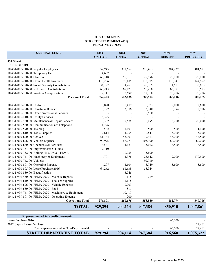#### **CITY OF SENECA STREET DEPARTMENT (431) FISCAL YEAR 2023**

<span id="page-13-0"></span>

| <b>GENERAL FUND</b>                                 | 2019          | 2020          | 2021          | 2022          | 2023            |
|-----------------------------------------------------|---------------|---------------|---------------|---------------|-----------------|
|                                                     | <b>ACTUAL</b> | <b>ACTUAL</b> | <b>ACTUAL</b> | <b>BUDGET</b> | <b>PROPOSED</b> |
| 431 Street                                          |               |               |               |               |                 |
| <b>EXPENDITURE:</b>                                 |               |               |               |               |                 |
| 10-431-000-110-00 Regular Employees                 | 352,945       | 371,652       | 325,453       | 384,239       | 401,681         |
| 10-431-000-120-00 Temporary Help                    | 4,632         |               |               |               |                 |
| 10-431-000-130-00 Overtime                          | 60,318        | 55,317        | 22,996        | 25,000        | 25,000          |
| 10-431-000-210-00 Group Health Insurance            | 119,206       | 96,485        | 135,175       | 138,743       | 144,852         |
| 10-431-000-220-00 Social Security Contributions     | 34,797        | 34,267        | 26,365        | 31,551        | 32,863          |
| 10-431-000-230-00 Retirement Contributions          | 63,213        | 67,127        | 56,208        | 63,377        | 70,553          |
| 10-431-000-260-00 Workers Compensation              | 17,311        | 18,590        | 22,308        | 25,206        | 25,206          |
| <b>Personnel Total</b>                              | 652,422       | 643,438       | 588,504       | 668,116       | 700,155         |
| 10-431-000-280-00 Uniforms                          | 3,820         | 10,409        | 10,323        | 12,000        | 12,600          |
| 10-431-000-290-00 Christmas Bonuses                 | 3,122         | 3,086         | 3,140         | 3,194         | 2,906           |
| 10-431-000-330-00 Other Professional Services       |               |               | 2,500         |               |                 |
| 10-431-000-410-00 Utility Services                  | 8,395         |               |               |               |                 |
| 10-431-000-430-00 Maintenance & Repair Services     | 19,382        | 17,588        | 10,095        | 16,000        | 20,000          |
| 10-431-000-530-00 Communications & Telephone        | 1,796         |               |               |               |                 |
| 10-431-000-570-00 Training                          | 562           | 1,107         | 500           | 500           | 1,100           |
| 10-431-000-610-00 Tools/Supplies                    | 2,814         | 4,754         | 2,843         | 5,000         | 5,000           |
| 10-431-000-620-00 Gas & Oil                         | 51,184        | 43,903        | 37,913        | 43,000        | 43,500          |
| 10-431-000-626-00 Vehicle Expense                   | 90,975        | 68,277        | 105,390       | 80,000        | 80,000          |
| 10-431-000-660-00 Chemicals & Fertilizer            | 4,541         | 4,187         | 5,012         | 8,500         | 6,500           |
| 10-431-000-731-00 Improvements C Funds              | 7,110         |               |               |               |                 |
| 10-431-000-732-00 Rolling Hills Drive - FEMA        |               | 10,935        | 5,600         |               |                 |
| 10-431-000-741-00 Machinery & Equipment             | 14,701        | 4,376         | 23,542        | 9,000         | 170,500         |
| 10-431-000-742-00 Vehicles                          |               |               | 92,710        |               |                 |
| 10-431-000-801-00 Operating Expense                 | 4,207         | 4,104         | 3,749         | 5,600         | 5,600           |
| 10-431-000-805-00 Lease Purchase 2016               | 64,262        | 61,638        | 55,344        |               |                 |
| 10-431-000-830-00 Beautification                    |               | 3,746         |               |               |                 |
| 10-431-999-430-00 FEMA 2020 - Maint & Repairs       |               | 118           | 219           |               |                 |
| 10-431-999-610-00 FEMA 2020 - Tools & Supplies      |               | 1,118         |               |               |                 |
| 10-431-999-626-00 FEMA 2020 - Vehicle Expense       |               | 9,903         |               |               |                 |
| 10-431-999-630-00 FEMA 2020 - Food                  |               | 811           |               |               |                 |
| 10-431-999-741-00 FEMA 2020 - Machinery & Equipment |               | 10,417        |               |               |                 |
| 10-431-999-801-00 FEMA 2020 - Operating Expense     |               | 200           |               |               |                 |
| <b>Operations Total</b>                             | 276,871       | 260,676       | 358,880       | 182,794       | 347,706         |
| <b>TOTAL</b>                                        | 929,294       | 904,114       | 947,384       | 850,910       | 1,047,861       |

| <b>Expenses moved to Non-Departmental</b> |         |         |         |         |           |
|-------------------------------------------|---------|---------|---------|---------|-----------|
| Lease Purchase 2016                       |         |         |         | 65,650  |           |
| 2022 Capital Lease Purchase               |         |         |         |         | 27,461    |
| Total expenses moved to Non-Departmental  |         |         |         | 65,650  | 27,461    |
| <b>STREET DEPARTMENT TOTAL</b>            | 929,294 | 904,114 | 947.384 | 916,560 | 1,075,322 |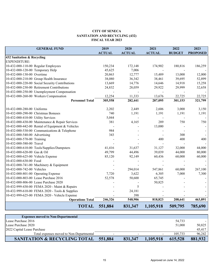### **CITY OF SENECA SANITATION AND RECYCLING (432) FISCAL YEAR 2023**

<span id="page-14-0"></span>

| <b>GENERAL FUND</b>                              | 2019          | 2020          | 2021          | 2022          | 2023            |
|--------------------------------------------------|---------------|---------------|---------------|---------------|-----------------|
|                                                  | <b>ACTUAL</b> | <b>ACTUAL</b> | <b>ACTUAL</b> | <b>BUDGET</b> | <b>PROPOSED</b> |
| 432 Sanitation & Recycling                       |               |               |               |               |                 |
| <b>EXPENDITURE:</b>                              |               |               |               |               |                 |
| 10-432-000-110-00 Regular Employees              | 150,234       | 172,148       | 174,902       | 180,816       | 186,259         |
| 10-432-000-120-00 Temporary Help                 | 45,625        | 7,006         |               |               |                 |
| 10-432-000-130-00 Overtime                       | 20,863        | 12,777        | 15,489        | 13,000        | 12,000          |
| 10-432-000-210-00 Group Health Insurance         | 38,080        | 36,342        | 38,461        | 39,695        | 52,899          |
| 10-432-000-220-00 Social Security Contributions  | 13,669        | 14,776        | 14,646        | 14,918        | 15,258          |
| 10-432-000-230-00 Retirement Contributions       | 24,832        | 28,059        | 29,922        | 29,999        | 32,658          |
| 10-432-000-250-00 Unemployment Compensation      |               |               |               |               |                 |
| 10-432-000-260-00 Workers Compensation           | 12,254        | 11,333        | 13,676        | 22,725        | 22,725          |
| <b>Personnel Total</b>                           | 305,558       | 282,441       | 287,095       | 301,153       | 321,799         |
| 10-432-000-280-00 Uniforms                       | 2,202         | 2,449         | 2,606         | 3,000         | 3,150           |
| 10-432-000-290-00 Christmas Bonuses              | 740           | 1,191         | 1,191         | 1,191         | 1,191           |
| 10-432-000-410-00 Utility Services               | 5,044         |               |               |               |                 |
| 10-432-000-430-00 Maintenance & Repair Services  | 381           | 4,165         | 289           | 750           | 750             |
| 10-432-000-442-00 Rental of Equipment & Vehicles |               |               | 13,000        |               |                 |
| 10-432-000-530-00 Communications & Telephone     | 984           |               |               |               |                 |
| 10-432-000-540-00 Advertising                    | 343           |               |               | 300           |                 |
| 10-432-000-570-00 Training                       |               |               | 400           | 400           | 400             |
| 10-432-000-580-00 Travel                         |               |               |               |               |                 |
| 10-432-000-610-00 Tools/Supplies/Dumpsters       | 41,416        | 31,637        | 31,127        | 32,000        | 44,000          |
| 10-432-000-620-00 Gas & Oil                      | 49,799        | 44,496        | 39,039        | 44,000        | 80,000          |
| 10-432-000-625-00 Vehicle Expense                | 85,120        | 92,149        | 60,436        | 60,000        | 60,000          |
| 10-432-000-630-00 Food                           |               |               |               |               |                 |
| 10-432-000-741-00 Machinery & Equipment          |               |               |               |               |                 |
| 10-432-000-742-00 Vehicles                       |               | 294,014       | 547,861       | 60,000        | 267,100         |
| 10-432-000-801-00 Operating Expense              | 7,720         | 3,622         | 6,305         | 7,000         | 7,300           |
| 10-432-000-803-00 Lease Purchase 2016            | 52,578        | 50,600        | 65,745        |               |                 |
| 10-432-000-806-00 Lease Purchase 2020            |               |               | 50,825        |               |                 |
| 10-432-999-430-00 FEMA 2020 - Maint & Repairs    |               | 5             |               |               |                 |
| 10-432-999-610-00 FEMA 2020 - Tools & Supplies   |               | 24,181        |               |               |                 |
| 10-432-999-625-00 FEMA 2020 - Vehicle Expense    |               | 398           |               |               |                 |
| <b>Operations Total</b>                          | 246,326       | 548,906       | 818,823       | 208,641       | 463,891         |
| <b>TOTAL</b>                                     | 551,884       | 831,347       | 1,105,918     | 509,795       | 785,690         |

| <b>Expenses moved to Non-Departmental</b> |                          |         |                          |         |         |
|-------------------------------------------|--------------------------|---------|--------------------------|---------|---------|
| Lease Purchase 2016                       |                          |         |                          | 54,733  |         |
| Lease Purchase 2020                       |                          |         |                          | 51,000  | 50,825  |
| 2022 Capital Lease Purchase               |                          |         |                          |         | 45.417  |
| Total expenses moved to Non-Departmental  | $\overline{\phantom{0}}$ |         | $\overline{\phantom{a}}$ | 105.733 | 96,242  |
| <b>SANITATION &amp; RECYCLING TOTAL</b>   | 551,884                  | 831,347 | 1,105,918                | 615,528 | 881,932 |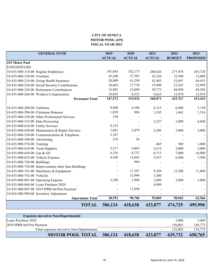# **CITY OF SENECA MOTOR POOL (435) FISCAL YEAR 2023**

<span id="page-15-0"></span>

| <b>GENERAL FUND</b>                                               | 2019          | 2020             | 2021              | 2022             | 2023              |
|-------------------------------------------------------------------|---------------|------------------|-------------------|------------------|-------------------|
|                                                                   | <b>ACTUAL</b> | <b>ACTUAL</b>    | <b>ACTUAL</b>     | <b>BUDGET</b>    | <b>PROPOSED</b>   |
| 435 Motor Pool<br><b>EXPENDITURE:</b>                             |               |                  |                   |                  |                   |
|                                                                   | 191,045       | 182,173          |                   |                  |                   |
| 10-435-000-110-00 Regular Employees<br>10-435-000-130-00 Overtime | 43,260        |                  | 240,826<br>16,326 | 277,078          | 285,728           |
| 10-435-000-210-00 Group Health Insurance                          | 50,009        | 37,303<br>41,294 | 42,403            | 12,500<br>53,047 | 13,000<br>48,455  |
| 10-435-000-220-00 Social Security Contributions                   | 18,463        | 17,730           | 19,908            | 22,265           |                   |
| 10-435-000-230-00 Retirement Contributions                        | 33,903        | 33,099           | 39,773            | 44,898           | 22,969<br>49,294  |
| 10-435-000-260-00 Workers Compensation                            | 10,893        | 8,333            | 9,635             | 13,979           |                   |
| <b>Personnel Total</b>                                            | 347,572       | 319,932          | 368,871           | 423,767          | 13,979<br>433,424 |
|                                                                   |               |                  |                   |                  |                   |
| 10-435-000-280-00 Uniforms                                        | 8,008         | 6,106            | 6,315             | 6,800            | 7,150             |
| 10-435-000-290-00 Christmas Bonuses                               | 1,029         | 884              | 1,245             | 1,462            | 1,516             |
| 10-435-000-330-00 Other Professional Services                     | 130           |                  |                   |                  |                   |
| 10-435-000-335-00 Data Processing                                 |               |                  | 3,237             | 3,800            | 4,600             |
| 10-435-000-410-00 Utility Services                                | 8,333         |                  |                   |                  |                   |
| 10-435-000-430-00 Maintenance & Repair Services                   | 1,681         | 2,079            | 2,596             | 3,000            | 3,000             |
| 10-435-000-530-00 Communications & Telephone                      | 2,347         |                  |                   |                  |                   |
| 10-435-000-540-00 Advertising                                     | 276           | 56               |                   |                  |                   |
| 10-435-000-570-00 Training                                        |               |                  | 465               | 500              | 1,000             |
| 10-435-000-610-00 Tools/Supplies                                  | 2,517         | 4,062            | 4,515             | 5,000            | 5,000             |
| 10-435-000-620-00 Gas & Oil                                       | 6,536         | 8,757            | 8,713             | 7,800            | 18,000            |
| 10-435-000-625-00 Vehicle Expense                                 | 4,450         | 12,645           | 5,937             | 6,500            | 7,500             |
| 10-435-000-720-00 Buildings                                       |               | 969              |                   |                  |                   |
| 10-435-000-730-00 Improvements other than Buildings               |               |                  |                   |                  |                   |
| 10-435-000-741-00 Machinery & Equipment                           |               | 17,387           | 9,594             | 12,500           | 11,000            |
| 10-435-000-742-00 Vehicles                                        |               | 31,996           | 3,500             |                  |                   |
| 10-435-000-801-00 Operating Expense                               | 3,246         | 1,806            | 3,890             | 3,600            | 3,800             |
| 10-435-000-806-00 Lease Purchase 2020                             |               |                  | 4,999             |                  |                   |
| 10-435-000-807-00 2019 IPRB Int/Prin Payment                      |               | 11,958           |                   |                  |                   |
| 10-435-000-990-00 Inventory Adjustment                            |               |                  |                   |                  |                   |
| <b>Operations Total</b>                                           | 38,552        | 98,706           | 55,005            | 50,962           | 62,566            |
| <b>TOTAL</b>                                                      | 386,124       | 418,638          | 423,877           | 474,729          | 495,990           |

| <b>Expenses moved to Non-Departmental</b> |                          |         |         |         |         |
|-------------------------------------------|--------------------------|---------|---------|---------|---------|
| Lease Purchase 2020                       |                          |         |         | 5,000   | 5,000   |
| 2019 IPRB Int/Prin Payment                |                          |         |         | 150,003 | 149,775 |
| Total expenses moved to Non-Departmental  | $\overline{\phantom{0}}$ |         |         | 155.003 | 154,775 |
| <b>MOTOR POOL TOTAL</b>                   | 386,124                  | 418.638 | 423,877 | 629,732 | 650,765 |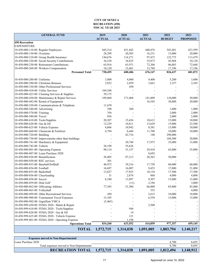#### **CITY OF SENECA RECREATION (450) FISCAL YEAR 2023**

<span id="page-16-0"></span>

| <b>GENERAL FUND</b>                                                                         | 2019             | 2020             | 2021              | 2022              | 2023             |
|---------------------------------------------------------------------------------------------|------------------|------------------|-------------------|-------------------|------------------|
|                                                                                             | <b>ACTUAL</b>    | <b>ACTUAL</b>    | <b>ACTUAL</b>     | <b>BUDGET</b>     | <b>PROPOSED</b>  |
| <b>450 Recreation</b><br>EXPENDITURE:                                                       |                  |                  |                   |                   |                  |
| 10-450-000-110-00 Regular Employees                                                         | 445,214          | 431,442          | 440,476           | 542,481           | 423,599          |
| 10-450-000-130-00 Overtime                                                                  | 28,299           | 20,505           | 16,231            | 15,000            | 20,000           |
|                                                                                             |                  |                  |                   | 122,773           |                  |
| 10-450-000-210-00 Group Health Insurance<br>10-450-000-220-00 Social Security Contributions | 144,676          | 114,271          | 97,472            |                   | 113,479          |
| 10-450-000-230-00 Retirement Contributions                                                  | 36,230<br>65,916 | 34,835<br>63,971 | 35,873<br>72,306  | 42,904<br>86,083  | 34,130           |
| 10-450-000-260-00 Workers Compensation                                                      | 18,120           |                  |                   |                   | 72,668           |
|                                                                                             | 738,455          | 15,461           | 13,788            | 17,196            | 17,196           |
| <b>Personnel Total</b>                                                                      |                  | 680,486          | 676,147           | 826,437           | 681,072          |
| 10-450-000-280-00 Uniforms                                                                  | 3,800            | 4,000            | 4,400             | 5,200             | 3,600            |
| 10-450-000-290-00 Christmas Bonuses                                                         | 2,852            | 2,859            | 3,661             | 3,357             | 2,545            |
| 10-450-000-330-00 Other Professional Services                                               |                  | 450              |                   |                   |                  |
| 10-450-000-410-00 Utility Services                                                          | 169,248          |                  |                   |                   |                  |
| 10-450-000-423-00 Cleaning Services & Supplies                                              | 59,175           |                  |                   |                   |                  |
|                                                                                             |                  |                  |                   |                   |                  |
| 10-450-000-430-00 Maintenance & Repair Services<br>10-450-000-442-00 Rental of Equipment    | 189,860          | 171,068          | 141,009<br>16,545 | 110,000<br>30,800 | 50,000<br>20,000 |
|                                                                                             |                  |                  |                   |                   |                  |
| 10-450-000-530-00 Communications & Telephone                                                | 11,670           |                  |                   |                   |                  |
| 10-450-000-540-00 Advertising                                                               | 298              | 288              |                   | 1,000             | 1,000            |
| 10-450-000-570-00 Training                                                                  | 356              |                  |                   | 2,000             | 2,000            |
| 10-450-000-580-00 Travel                                                                    | 836              |                  |                   | 2,000             | 2,000            |
| 10-450-000-610-00 Tools/Supplies                                                            | 20,307           | 15,436           | 10,612            | 15,000            | 10,000           |
| 10-450-000-620-00 Gas & Oil                                                                 | 12,259           | 10,811           | 13,629            | 15,000            | 23,500           |
| 10-450-000-625-00 Vehicle Expense                                                           | 8,606            | 10,942           | 8,581             | 15,000            | 10,000           |
| 10-450-000-660-00 Chemicals & Fertilizer                                                    | 6,794            | 6,444            | 11,708            | 10,000            | 10,000           |
| 10-450-000-720-00 Building                                                                  |                  | 42,716           | 140               | 290,000           |                  |
| 10-450-000-730-00 Improvements other than buildings                                         |                  |                  |                   | 104,500           | 20,000           |
| 10-450-000-741-00 Machinery & Equipment                                                     |                  | 30,748           | 17,975            | 35,000            | 15,000           |
| 10-450-000-742-00 Vehicle                                                                   | 38,199           | 55,636           |                   |                   |                  |
| 10-450-000-801-00 Operating Expense                                                         | 98,114           | 51,157           | 29,410            | 65,000            | 55,000           |
| 10-450-000-807-00 Lease Purchase 2020                                                       |                  |                  | 8,692             |                   |                  |
| 10-450-000-830-00 Beautification                                                            | 38,405           | 87,313           | 20,563            | 50,000            |                  |
| 10-450-000-850-00 REC services                                                              | 301              |                  |                   |                   |                  |
| 10-450-000-853-00 Baseball/Softball                                                         | 46,972           | 39,216           | 17,750            | 60,000            | 60,000           |
| 10-450-000-854-00 Football                                                                  | 16,697           | 16,007           | 9,453             | 17,000            | 21,000           |
| 10-450-000-855-00 Basketball                                                                | 13,827           | 17,925           | 10,134            | 17,500            | 17,500           |
| 10-450-000-856-00 Cheerleading                                                              | 31               | 2,874            | 868               | 4,000             | 4,000            |
| 10-450-000-858-00 Soccer                                                                    | 8,180            | 13,897           | 9,307             | 15,000            | 15,000           |
| 10-450-000-859-00 Disk Golf                                                                 |                  | (11)             | 2,196             |                   | 3,000            |
| 10-450-000-862-00 Officiating Athletes                                                      | 77,385           | 51,500           | 66,000            | 85,000            | 85,000           |
| 10-450-000-863-00 Volleyball                                                                |                  |                  | 553               |                   | 4,000            |
| 10-450-000-899-00 Other Recreational Services                                               | 450              |                  | 2,615             | 10,000            | 10,000           |
| 10-450-000-900-00 Tournament Travel Expenses                                                | 15,105           |                  | 6,558             | 15,000            | 15,000           |
| 10-450-000-902-00 Gignilliatt YMCA                                                          | (5,465)          |                  |                   |                   |                  |
| 10-450-999-430-00 FEMA 2020 - Maint & Repair                                                |                  |                  | 2,500             |                   |                  |
| 10-450-999-610-00 FEMA 2020 - Tools/Supplies                                                |                  | 944              |                   |                   |                  |
| 10-450-999-620-00 FEMA 2020 - Gas & Oil                                                     |                  | 14               |                   |                   |                  |
| 10-450-999-625-00 FEMA 2020 - Vehicle Expense                                               |                  | 121              |                   |                   |                  |
| 10-450-999-801-00 FEMA 2020 - Operating Expense                                             |                  | 1,198            |                   |                   |                  |
| <b>Operations Total</b>                                                                     | 834,260          | 633,552          | 414,859           | 977,357           | 459,145          |
| <b>TOTAL</b>                                                                                | 1,572,715        | 1,314,038        | 1,091,005         | 1,803,794         | 1,140,217        |

| <b>Expenses moved to Non-Departmental</b> |           |           |                          |           |           |
|-------------------------------------------|-----------|-----------|--------------------------|-----------|-----------|
| Lease Purchase 2020                       |           |           |                          | 8.700     | 8,695     |
| Total expenses moved to Non-Departmental  |           |           | $\overline{\phantom{a}}$ | 8.700     | 8,695     |
| <b>RECREATION TOTAL</b>                   | 1,572,715 | 1,314,038 | 1,091,005                | 1,812,494 | 1,148,912 |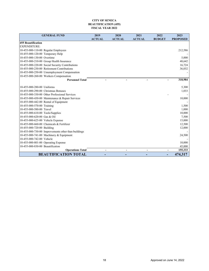#### **CITY OF SENECA BEAUTIFICATION (455) FISCAL YEAR 2022**

<span id="page-17-0"></span>

| <b>GENERAL FUND</b>                                 | 2019           | 2020          | 2021           | 2022           | 2023            |
|-----------------------------------------------------|----------------|---------------|----------------|----------------|-----------------|
|                                                     | <b>ACTUAL</b>  | <b>ACTUAL</b> | <b>ACTUAL</b>  | <b>BUDGET</b>  | <b>PROPOSED</b> |
| <b>455 Beautification</b>                           |                |               |                |                |                 |
| <b>EXPENDITURE:</b>                                 |                |               |                |                |                 |
| 10-455-000-110-00 Regular Employees                 |                |               |                |                | 212,586         |
| 10-455-000-120-00 Temporary Help                    |                |               |                |                |                 |
| 10-455-000-130-00 Overtime                          |                |               |                |                | 5,000           |
| 10-455-000-210-00 Group Health Insurance            |                |               |                |                | 48,642          |
| 10-455-000-220-00 Social Security Contributions     |                |               |                |                | 16,724          |
| 10-455-000-230-00 Retirement Contributions          |                |               |                |                | 36,032          |
| 10-455-000-250-00 Umemployment Compensation         |                |               |                |                |                 |
| 10-455-000-260-00 Workers Compensation              |                |               |                |                |                 |
| <b>Personnel Total</b>                              |                |               |                |                | 318,984         |
|                                                     |                |               |                |                |                 |
| 10-455-000-280-00 Uniforms                          |                |               |                |                | 5,300           |
| 10-455-000-290-00 Christmas Bonuses                 |                |               |                |                | 1,033           |
| 10-455-000-330-00 Other Professional Services       |                |               |                |                |                 |
| 10-455-000-430-00 Maintenance & Repair Services     |                |               |                |                | 10,000          |
| 10-455-000-442-00 Rental of Equipment               |                |               |                |                |                 |
| 10-455-000-570-00 Training                          |                |               |                |                | 1,500           |
| 10-455-000-580-00 Travel                            |                |               |                |                | 1,000           |
| 10-455-000-610-00 Tools/Supplies                    |                |               |                |                | 10,000          |
| 10-455-000-620-00 Gas & Oil                         |                |               |                |                | 7,500           |
| 10-455-000-625-00 Vehicle Expense                   |                |               |                |                | 15,000          |
| 10-455-000-660-00 Chemicals & Fertilizer            |                |               |                |                | 12,500          |
| 10-455-000-720-00 Building                          |                |               |                |                | 12,000          |
| 10-455-000-730-00 Improvements other than buildings |                |               |                |                |                 |
| 10-455-000-741-00 Machinery & Equipment             |                |               |                |                | 24,500          |
| 10-455-000-742-00 Vehicle                           |                |               |                |                |                 |
| 10-455-000-801-00 Operating Expense                 |                |               |                |                | 10,000          |
| 10-455-000-830-00 Beautification                    |                |               |                |                | 45,000          |
| <b>Operations Total</b>                             | $\blacksquare$ |               | $\blacksquare$ | $\blacksquare$ | 155,333         |
| <b>BEAUTIFICATION TOTAL</b>                         |                |               |                |                | 474,317         |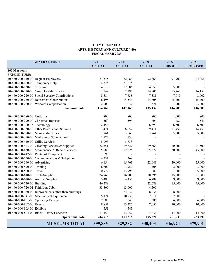#### **CITY OF SENECA ARTS, HISTORY AND CULTURE (460) FISCAL YEAR 2023**

<span id="page-18-0"></span>

| <b>GENERAL FUND</b>                                              | 2019             | 2020          | 2021            | 2022            | 2023            |
|------------------------------------------------------------------|------------------|---------------|-----------------|-----------------|-----------------|
|                                                                  | <b>ACTUAL</b>    | <b>ACTUAL</b> | <b>ACTUAL</b>   | <b>BUDGET</b>   | <b>PROPOSED</b> |
| 460 Musuems                                                      |                  |               |                 |                 |                 |
| <b>EXPENDITURE:</b>                                              |                  |               |                 |                 |                 |
| 10-460-000-110-00 Regular Employees                              | 87,545           | 82,084        | 92,864          | 97,909          | 104,056         |
| 10-460-000-120-00 Temporary Help                                 | 14,375           | 21,875        |                 |                 |                 |
| 10-460-000-130-00 Overtime                                       | 14,619           | 17,586        | 4,053           | 5,000           |                 |
| 10-460-000-210-00 Group Health Insurance                         | 11,549           | 2,197         | 14,905          | 15,768          | 16,152          |
| 10-460-000-220-00 Social Security Contributions                  | 8,384            | 7,838         | 7,381           | 7,910           | 8,002           |
| 10-460-000-230-00 Retirement Contributions                       | 16,495           | 14,546        | 14,608          | 15,400          | 15,400          |
| 10-460-000-260-00 Workers Compensation                           | 2,000            | 1,037         | 1,321           | 3,000           | 3,000           |
| <b>Personnel Total</b>                                           | 154,967          | 147,163       | 135,132         | 144,987         | 146,609         |
|                                                                  |                  |               |                 |                 |                 |
| 10-460-000-280-00 Uniforms                                       | 800              | 800           | 800             | 1,000           | 800             |
| 10-460-000-290-00 Christmas Bonuses                              | 560              | 596           | 704             | 487             | 541             |
| 10-460-000-300-15 Technology                                     | 2,454            |               | 6,899           | 6,500           | 6,500           |
| 10-460-000-330-00 Other Professional Services                    | 7,471            | 6,652         | 9,411           | 11,450          | 14,450          |
| 10-460-000-380-00 Membership Dues                                | 2,961            | 3,568         | 3,764           | 5,000           | 5,000           |
| 10-460-000-390-00 Marketing / Subscriptions                      | 2,972            | 130           |                 |                 |                 |
| 10-460-000-410-00 Utility Services                               | 8,095            | 5,833         |                 |                 |                 |
| 10-460-000-423-00 Cleaning Services & Supplies                   | 22,551           | 19,827        | 19,664          | 20,000          | 24,500          |
| 10-460-000-430-00 Maintenance & Repair Services                  | 15,586           | 12,225        | 55,522          | 30,000          | 43,000          |
| 10-460-000-442-00 Rental of Equipment                            | 95               |               |                 |                 |                 |
| 10-460-000-530-00 Communications & Telephone                     | 4,231            | 369           |                 |                 |                 |
| 10-460-000-540-00 Advertising                                    | 6,154            | 15,961        | 22,041          | 20,000          | 25,000          |
| 10-460-000-570-00 Training                                       | 16,809           | 3,959         | 1,405           | 2,000           | 3,000           |
| 10-460-000-580-00 Travel                                         | 10,972           | 13,996        | 80              | 1,000           | 5,000           |
| 10-460-000-610-00 Tools/Supplies                                 | 24,763           | 16,209        | 18,396          | 15,000          | 21,000          |
| 10-460-000-620-00 Archive Supplies<br>10-460-000-720-00 Building | 5,488            | 4,455         | 6,784<br>22,688 | 9,000<br>15,000 | 9,000           |
| 10-460-000-720-01 Faith Log Cabin                                | 46,288<br>38,300 | 13,000        | 4,500           |                 | 45,000          |
| 10-460-000-730-00 Improvements other than buildings              |                  | 24,037        | 8,036           | 28,000          |                 |
| 10-460-000-741-00 Machinery & Equipment                          | 5,124            | 10,933        | 2,011           | 7,000           |                 |
| 10-460-000-801-00 Operating Expense                              | 2,683            | 1,548         | 685             | 6,500           | 6,500           |
| 10-460-000-802-00 Events                                         | 8,851            | 13,327        | 7,050           | 10,000          | 10,000          |
| 10-460-000-803-00 Exhibits                                       | 551              | 1,543         |                 |                 |                 |
| 10-460-000-804-00 Black History Luncheon                         | 11,159           | 13,252        | 4,831           | 14,000          | 14,000          |
| <b>Operations Total</b>                                          | 244,918          | 182,218       | 195,271         | 201,937         | 233,291         |
|                                                                  |                  |               |                 |                 |                 |
| <b>MUSEUMS TOTAL</b>                                             | 399,885          | 329,382       | 330,403         | 346,924         | 379,901         |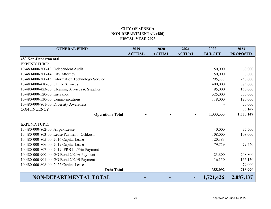# **CITY OF SENECA NON-DEPARTMENTAL (480) FISCAL YEAR 2023**

<span id="page-19-0"></span>

| <b>GENERAL FUND</b>                              | 2019          | 2020          | 2021          | 2022          | 2023            |
|--------------------------------------------------|---------------|---------------|---------------|---------------|-----------------|
|                                                  | <b>ACTUAL</b> | <b>ACTUAL</b> | <b>ACTUAL</b> | <b>BUDGET</b> | <b>PROPOSED</b> |
| 480 Non-Departmental                             |               |               |               |               |                 |
| <b>EXPENDITURE:</b>                              |               |               |               |               |                 |
| 10-480-000-300-13 Independent Audit              |               |               |               | 50,000        | 60,000          |
| 10-480-000-300-14 City Attorney                  |               |               |               | 50,000        | 30,000          |
| 10-480-000-300-15 Information Technology Service |               |               |               | 295,333       | 250,000         |
| 10-480-000-410-00 Utility Services               |               |               |               | 400,000       | 375,000         |
| 10-480-000-423-00 Cleaning Services & Supplies   |               |               |               | 95,000        | 150,000         |
| 10-480-000-520-00 Insurance                      |               |               |               | 325,000       | 300,000         |
| 10-480-000-530-00 Communications                 |               |               |               | 118,000       | 120,000         |
| 10-480-000-801-00 Diversity Awareness            |               |               |               |               | 50,000          |
| <b>CONTINGENCY</b>                               |               |               |               |               | 35,147          |
| <b>Operations Total</b>                          |               |               |               | 1,333,333     | 1,370,147       |
|                                                  |               |               |               |               |                 |
| <b>EXPENDITURE:</b>                              |               |               |               |               |                 |
| 10-480-000-802-00 Airpak Lease                   |               |               |               | 40,000        | 35,500          |
| 10-480-000-803-00 Lease Payment - Oshkosh        |               |               |               | 108,000       | 108,000         |
| 10-480-000-805-00 2016 Capital Lease             |               |               |               | 120,383       |                 |
| 10-480-000-806-00 2019 Capital Lease             |               |               |               | 79,759        | 79,540          |
| 10-480-000-807-00 2019 IPRB Int/Prin Payment     |               |               |               |               |                 |
| 10-480-000-900-00 GO Bond 2020A Payment          |               |               |               | 23,800        | 248,800         |
| 10-480-000-901-00 GO Bond 2020B Payment          |               |               |               | 16,150        | 166,150         |
| 10-480-000-808-00 2022 Capital Lease             |               |               |               |               | 79,000          |
| <b>Debt Total</b>                                |               |               |               | 388,092       | 716,990         |
| <b>NON-DEPARTMENTAL TOTAL</b>                    |               |               |               | 1,721,426     | 2,087,137       |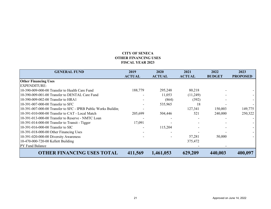# **CITY OF SENECAOTHER FINANCING USES FISCAL YEAR 2023**

<span id="page-20-0"></span>

| <b>GENERAL FUND</b>                                            | 2019          | <b>2020</b>   | 2021          | 2022          | 2023            |
|----------------------------------------------------------------|---------------|---------------|---------------|---------------|-----------------|
|                                                                | <b>ACTUAL</b> | <b>ACTUAL</b> | <b>ACTUAL</b> | <b>BUDGET</b> | <b>PROPOSED</b> |
| <b>Other Financing Uses</b>                                    |               |               |               |               |                 |
| <b>EXPENDITURE:</b>                                            |               |               |               |               |                 |
| 10-390-009-000-00 Transfer to Health Care Fund                 | 188,779       | 295,248       | 80,218        |               |                 |
| 10-390-009-001-00 Transfer to DENTAL Care Fund                 |               | 11,053        | (11,249)      |               |                 |
| 10-390-009-002-00 Transfer to HRA1                             |               | (864)         | (392)         |               |                 |
| 10-391-007-000-00 Transfer to SFC                              |               | 535,965       | 18            |               |                 |
| 10-391-007-000-00 Transfer to SFC - IPRB Public Works Building |               |               | 127,341       | 150,003       | 149,775         |
| 10-391-010-000-00 Transfer to CAT - Local Match                | 205,699       | 504,446       | 521           | 240,000       | 250,322         |
| 10-391-013-000-00 Transfer to Reserve - NMTC Loan              |               |               |               |               |                 |
| 10-391-014-000-00 Transfer to Transit - Tigger                 | 17,091        |               |               |               |                 |
| 10-391-016-000-00 Transfer to SIC                              |               | 115,204       |               |               |                 |
| 10-391-018-000-00 Other Financing Uses                         |               |               |               |               |                 |
| 10-391-020-000-00 Diversity Awareness                          |               |               | 57,281        | 50,000        |                 |
| 10-470-000-720-00 Kellett Building                             |               |               | 375,472       |               |                 |
| <b>PY Fund Balance</b>                                         |               |               |               |               |                 |
| <b>OTHER FINANCING USES TOTAL</b>                              | 411,569       | 1,461,053     | 629,209       | 440,003       | 400,097         |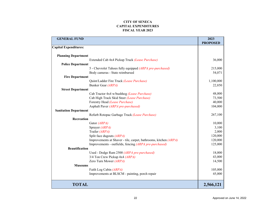#### **CITY OF SENECACAPITAL EXPENDITURES FISCAL YEAR 2023**

<span id="page-21-0"></span>

| <b>GENERAL FUND</b>             |                                                                  | 2023            |
|---------------------------------|------------------------------------------------------------------|-----------------|
|                                 |                                                                  | <b>PROPOSED</b> |
| <b>Capital Expenditures:</b>    |                                                                  |                 |
|                                 |                                                                  |                 |
| <b>Planning Department</b>      |                                                                  |                 |
|                                 | Extended Cab 4x4 Pickup Truck (Lease Purchase)                   | 36,000          |
| <b>Police Department</b>        |                                                                  |                 |
|                                 | 5 - Chevrolet Tahoes fully equipped (ARPA pre-purchased)         | 215,000         |
| Body cameras - State reimbursed |                                                                  | 54,071          |
| <b>Fire Department</b>          |                                                                  | 1,100,000       |
| Bunker Gear (ARPA)              | Quint/Ladder Fire Truck (Lease Purchase)                         | 22,850          |
| <b>Street Department</b>        |                                                                  |                 |
|                                 | Cab Tractor 4x4 w/bushhog (Lease Purchase)                       | 48,000          |
|                                 | Cab High Track Skid Steer (Lease Purchase)                       | 73,500          |
| Forestry Head (Lease Purchase)  |                                                                  | 40,000          |
|                                 | Asphalt Paver (ARPA pre-purchased)                               | 104,000         |
| <b>Sanitation Department</b>    |                                                                  |                 |
|                                 | Refurb Rotopac Garbage Truck (Lease Purchase)                    | 267,100         |
| Recreation                      |                                                                  |                 |
| Gator (ARPA)                    |                                                                  | 10,000          |
| Sprayer (ARPA)                  |                                                                  | 3,100           |
| Trailer (ARPA)                  |                                                                  | 2,000           |
| Split face dugouts (ARPA)       |                                                                  | 120,000         |
|                                 | Improvements at Shaver - tile, carpet, bathrooms, kitchen (ARPA) | 120,000         |
|                                 | Improvements - outfields, fencing (ARPA pre-purchased)           | 125,000         |
| <b>Beautification</b>           |                                                                  |                 |
|                                 | Used - Dodge Ram 2500 (ARPA pre-purchased)                       | 18,000          |
| 3/4 Ton Crew Pickup 4x4 (ARPA)  |                                                                  | 43,000          |
| Zero Turn Mower (ARPA)          |                                                                  | 14,500          |
| <b>Museums</b>                  |                                                                  |                 |
| Faith Log Cabin (ARPA)          |                                                                  | 105,000         |
|                                 | Improvements at BLSCM - painting, porch repair                   | 45,000          |
| <b>TOTAL</b>                    |                                                                  | 2,566,121       |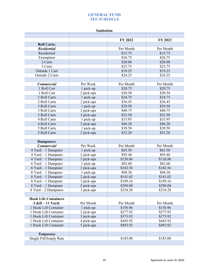**Sanitation** 

<span id="page-22-0"></span>

|                             |            | FY 2022   | FY 2023   |
|-----------------------------|------------|-----------|-----------|
| <b>Roll Carts:</b>          |            |           |           |
| <b>Residential</b>          |            | Per Month | Per Month |
| Residential                 |            | \$15.75   | \$15.75   |
| Exemption                   |            | \$26.75   | \$26.75   |
| 2 Carts                     |            | \$20.00   | \$20.00   |
| 3 Carts                     |            | \$23.75   | \$23.75   |
| Outside 1 Cart              |            | \$19.25   | \$19.25   |
| Outside 2 Carts             |            | \$24.25   | \$24.25   |
|                             |            |           |           |
| <b>Commercial</b>           | Per Week   | Per Month | Per Month |
| 1 Roll Cart                 | 1 pick-up  | \$20.75   | \$20.75   |
| 1 Roll Cart                 | 2 pick-ups | \$30.50   | \$30.50   |
| 2 Roll Carts                | 1 pick-up  | \$24.75   | \$24.75   |
| 2 Roll Carts                | 2 pick-ups | \$36.45   | \$36.45   |
| 3 Roll Carts                | 1 pick-up  | \$29.50   | \$29.50   |
| 3 Roll Carts                | 2 pick-ups | \$40.75   | \$40.75   |
| 3 Roll Carts                | 3 pick-ups | \$52.50   | \$52.50   |
| 4 Roll Carts                | 1 pick-up  | \$33.95   | \$33.95   |
| 4 Roll Carts                | 2 pick-ups | \$46.20   | \$46.20   |
| 5 Roll Carts                | 1 pick-up  | \$39.50   | \$39.50   |
| 5 Roll Carts                | 2 pick-ups | \$52.20   | \$52.20   |
|                             |            |           |           |
| <b>Dumpsters:</b>           |            |           |           |
| <b>Commercial</b>           | Per Week   | Per Month | Per Month |
| 4 Yard - 1 Dumpster         | 1 pick-up  | \$65.50   | \$65.50   |
| $4$ Yard $-1$ Dumpster      | 2 pick-ups | \$95.48   | \$95.48   |
| $4$ Yard $-1$ Dumpster      | 3 pick-ups | \$126.86  | \$126.86  |
| $6$ Yard $-1$ Dumpster      | 1 pick-up  | \$82.60   | \$82.60   |
| 6 Yard - 1 Dumpster         | 2 pick-ups | \$102.56  | \$102.56  |
| 8 Yard - 1 Dumpster         | 1 pick-up  | \$98.30   | \$98.30   |
| 8 Yard - 1 Dumpster         | 2 pick-ups | \$141.02  | \$141.02  |
| 8 Yard - 1 Dumpster         | 3 pick-ups | \$189.16  | \$189.16  |
| 8 Yard – 1 Dumpster         | 5 pick-ups | \$290.00  | \$290.00  |
| $8$ Yard $-2$ Dumpsters     | 3 pick-ups | \$324.28  | \$324.28  |
|                             |            |           |           |
| <b>Hook Life Containers</b> |            |           |           |
| $C&D-11$ Yard:              | Per Month  | Per Month | Per Month |
| 1 Hook Lift Container       | 1 pick-up  | \$156.96  | \$156.96  |
| 1 Hook Lift Container       | 2 pick-ups | \$277.92  | \$277.92  |
| 1 Hook Lift Container       | 3 pick-ups | \$373.92  | \$373.92  |
| 1 Hook Lift Container       | 4 pick-ups | \$445.92  | \$445.92  |
| 1 Hook Lift Container       | 5 pick-ups | \$493.92  | \$493.92  |
|                             |            |           |           |
| <b>Temporary</b>            |            |           |           |
| Single Fill/Empty Rate      |            | \$185.00  | \$185.00  |
|                             |            |           |           |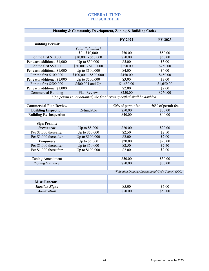| <b>Planning &amp; Community Development, Zoning &amp; Building Codes</b> |
|--------------------------------------------------------------------------|
|--------------------------------------------------------------------------|

|                             |                       | <b>FY 2022</b>                                                              | FY 2023    |
|-----------------------------|-----------------------|-----------------------------------------------------------------------------|------------|
| <b>Building Permit:</b>     |                       |                                                                             |            |
|                             | Total Valuation*      |                                                                             |            |
|                             | $$0 - $10,000$        | \$50.00                                                                     | \$50.00    |
| For the first $$10,000$     | $$10,001 - $50,000$   | \$50.00                                                                     | \$50.00    |
| Per each additional \$1,000 | Up to \$50,000        | \$5.00                                                                      | \$5.00     |
| For the first $$50,000$     | $$50,001 - $100,000$  | \$250.00                                                                    | \$250.00   |
| Per each additional \$1,000 | Up to \$100,000       | \$4.00                                                                      | \$4.00     |
| For the first $$100,000$    | $$100,001 - $500,000$ | \$450.00                                                                    | \$450.00   |
| Per each additional \$1,000 | Up to \$500,000       | \$3.00                                                                      | \$3.00     |
| For the first $$500,000$    | \$500,001 and Up      | \$1,650.00                                                                  | \$1,650.00 |
| Per each additional \$1,000 |                       | \$2.00                                                                      | \$2.00     |
| <b>Commercial Building</b>  | Plan Review           | \$250.00                                                                    | \$250.00   |
|                             |                       | $*U$ a normalize not above all the face housin specified about he developed |            |

*\*If a permit is not obtained, the fees herein specified shall be doubled.*

| <b>Commercial Plan Review</b> |                 | 50% of permit fee | 50% of permit fee                                    |
|-------------------------------|-----------------|-------------------|------------------------------------------------------|
| <b>Building Inspection</b>    | Refundable      | \$50.00           | \$50.00                                              |
| <b>Building Re-Inspection</b> |                 | \$40.00           | \$40.00                                              |
|                               |                 |                   |                                                      |
| <b>Sign Permit:</b>           |                 |                   |                                                      |
| <b>Permanent</b>              | Up to $$5,000$  | \$20.00           | \$20.00                                              |
| Per \$1,000 thereafter        | Up to \$50,000  | \$2.50            | \$2.50                                               |
| Per \$1,000 thereafter        | Up to \$100,000 | \$2.00            | \$2.00                                               |
| <b>Temporary</b>              | Up to \$5,000   | \$20.00           | \$20.00                                              |
| Per \$1,000 thereafter        | Up to \$50,000  | \$2.50            | \$2.50                                               |
| Per \$1,000 thereafter        | Up to \$100,000 | \$2.00            | \$2.00                                               |
|                               |                 |                   |                                                      |
| Zoning Amendment              |                 | \$50.00           | \$50.00                                              |
| Zoning Variance               |                 | \$50.00           | \$50.00                                              |
|                               |                 |                   |                                                      |
|                               |                 |                   | *Valuation Data per International Code Council (ICC) |
|                               |                 |                   |                                                      |
| <b>Miscellaneous:</b>         |                 |                   |                                                      |
| <b>Election Signs</b>         |                 | \$5.00            | \$5.00                                               |
| <b>Annexation</b>             |                 | \$50.00           | \$50.00                                              |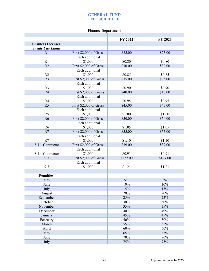### **Finance Department**

|                           |                        | FY 2022  | FY 2023  |
|---------------------------|------------------------|----------|----------|
| <b>Business Licenses:</b> |                        |          |          |
| <b>Inside City Limits</b> |                        |          |          |
| R1                        | First \$2,000 of Gross | \$25.00  | \$25.00  |
|                           | Each additional        |          |          |
| R1                        | \$1,000                | \$0.80   | \$0.80   |
| R <sub>2</sub>            | First \$2,000 of Gross | \$30.00  | \$30.00  |
|                           | Each additional        |          |          |
| R <sub>2</sub>            | \$1,000                | \$0.85   | \$0.85   |
| R <sub>3</sub>            | First \$2,000 of Gross | \$35.00  | \$35.00  |
|                           | Each additional        |          |          |
| R <sub>3</sub>            | \$1,000                | \$0.90   | \$0.90   |
| R4                        | First \$2,000 of Gross | \$40.00  | \$40.00  |
|                           | Each additional        |          |          |
| R <sub>4</sub>            | \$1,000                | \$0.95   | \$0.95   |
| R <sub>5</sub>            | First \$2,000 of Gross | \$45.00  | \$45.00  |
|                           | Each additional        |          |          |
| R <sub>5</sub>            | \$1,000                | \$1.00   | \$1.00   |
| R <sub>6</sub>            | First \$2,000 of Gross | \$50.00  | \$50.00  |
|                           | Each additional        |          |          |
| R <sub>6</sub>            | \$1,000                | \$1.05   | \$1.05   |
| R7                        | First \$2,000 of Gross | \$55.00  | \$55.00  |
|                           | Each additional        |          |          |
| R7                        | \$1,000                | \$1.10   | \$1.10   |
| 8.1 - Contractor          | First \$2,000 of Gross | \$39.00  | \$39.00  |
|                           | Each additional        |          |          |
| $8.1 -$ Contractor        | \$1,000                | \$0.91   | \$0.91   |
| 9.7                       | First \$2,000 of Gross | \$127.00 | \$127.00 |
|                           | Each additional        |          |          |
| 9.7                       | \$1,000                | \$1.21   | \$1.21   |
|                           |                        |          |          |
| <b>Penalties:</b>         |                        |          |          |
| May                       |                        | 5%       | 5%       |
| June                      |                        | 10%      | 10%      |
| July                      |                        | 15%      | 15%      |
| August                    |                        | 20%      | 20%      |
| September                 |                        | 25%      | 25%      |
| October                   |                        | 30%      | 30%      |
| November                  |                        | 35%      | 35%      |
| December                  |                        | 40%      | 40%      |
| January                   |                        | 45%      | 45%      |
| February                  |                        | 50%      | 50%      |
| March                     |                        | 55%      | 55%      |
| April                     |                        | 60%      | 60%      |
| May                       |                        | 65%      | 65%      |
| June                      |                        | 70%      | 70%      |
| July                      |                        | 75%      | 75%      |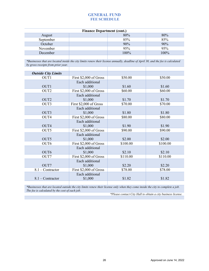| <b>Finance Department (cont.)</b> |  |      |      |  |  |
|-----------------------------------|--|------|------|--|--|
| August                            |  | 80%  | 80%  |  |  |
| September                         |  | 85%  | 85%  |  |  |
| October                           |  | 90%  | 90%  |  |  |
| November                          |  | 95%  | 95%  |  |  |
| December                          |  | 100% | 100% |  |  |
|                                   |  |      |      |  |  |

*\*Businesses that are located inside the city limits renew their license annually, deadline of April 30, and the fee is calculated by gross receipts from prior year.*

| <b>Outside City Limits</b> |                        |          |          |
|----------------------------|------------------------|----------|----------|
| OUT <sub>1</sub>           | First \$2,000 of Gross | \$50.00  | \$50.00  |
|                            | Each additional        |          |          |
| OUT <sub>1</sub>           | \$1,000                | \$1.60   | \$1.60   |
| OUT <sub>2</sub>           | First \$2,000 of Gross | \$60.00  | \$60.00  |
|                            | Each additional        |          |          |
| OUT <sub>2</sub>           | \$1,000                | \$1.70   | \$1.70   |
| OUT3                       | First \$2,000 of Gross | \$70.00  | \$70.00  |
|                            | Each additional        |          |          |
| OUT3                       | \$1,000                | \$1.80   | \$1.80   |
| OUT <sub>4</sub>           | First \$2,000 of Gross | \$80.00  | \$80.00  |
|                            | Each additional        |          |          |
| OUT <sub>4</sub>           | \$1,000                | \$1.90   | \$1.90   |
| OUT <sub>5</sub>           | First \$2,000 of Gross | \$90.00  | \$90.00  |
|                            | Each additional        |          |          |
| OUT5                       | \$1,000                | \$2.00   | \$2.00   |
| OUT <sub>6</sub>           | First \$2,000 of Gross | \$100.00 | \$100.00 |
|                            | Each additional        |          |          |
| OUT <sub>6</sub>           | \$1,000                | \$2.10   | \$2.10   |
| OUT7                       | First \$2,000 of Gross | \$110.00 | \$110.00 |
|                            | Each additional        |          |          |
| OUT7                       | \$1,000                | \$2.20   | \$2.20   |
| $8.1 -$ Contractor         | First \$2,000 of Gross | \$78.00  | \$78.00  |
|                            | Each additional        |          |          |
| $8.1 -$ Contractor         | \$1,000                | \$1.82   | \$1.82   |
|                            |                        |          |          |

*\*Businesses that are located outside the city limits renew their license only when they come inside the city to complete a job. The fee is calculated by the cost of each job.*

*\*Please contact City Hall to obtain a city business license.*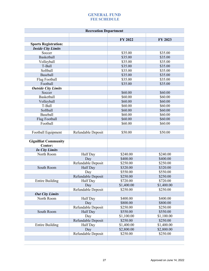| <b>Recreation Department</b> |                           |                        |                        |  |
|------------------------------|---------------------------|------------------------|------------------------|--|
|                              |                           | FY 2022                | FY 2023                |  |
| <b>Sports Registration:</b>  |                           |                        |                        |  |
| <b>Inside City Limits</b>    |                           |                        |                        |  |
| Soccer                       |                           | \$35.00                | \$35.00                |  |
| <b>Basketball</b>            |                           | \$35.00                | \$35.00                |  |
| Volleyball                   |                           | \$35.00                | \$35.00                |  |
| T-Ball                       |                           | \$35.00                | \$35.00                |  |
| Softball                     |                           | \$35.00                | \$35.00                |  |
| Baseball                     |                           | \$35.00                | \$35.00                |  |
| Flag Football                |                           | \$35.00                | \$35.00                |  |
| Football                     |                           | \$35.00                | \$35.00                |  |
| <b>Outside City Limits</b>   |                           |                        |                        |  |
| Soccer                       |                           | \$60.00                | \$60.00                |  |
| <b>Basketball</b>            |                           | \$60.00                | \$60.00                |  |
| Volleyball                   |                           | \$60.00                | \$60.00                |  |
| T-Ball                       |                           | \$60.00                | \$60.00                |  |
| Softball                     |                           | \$60.00                | \$60.00                |  |
| <b>Baseball</b>              |                           |                        |                        |  |
|                              |                           | \$60.00                | \$60.00                |  |
| Flag Football                |                           | \$60.00                | \$60.00                |  |
| Football                     |                           | \$60.00                | \$60.00                |  |
|                              |                           |                        |                        |  |
| Football Equipment           | Refundable Deposit        | \$50.00                | \$50.00                |  |
| <b>Gignilliat Community</b>  |                           |                        |                        |  |
| Center:                      |                           |                        |                        |  |
| <b>In City Limits</b>        |                           |                        |                        |  |
| North Room                   | Half Day                  | \$240.00               | \$240.00               |  |
|                              | Day                       | \$400.00               | \$400.00               |  |
|                              | Refundable Deposit        | \$250.00               | \$250.00               |  |
| South Room                   | Half Day                  | \$320.00               | \$320.00               |  |
|                              | Day                       | \$550.00               | \$550.00               |  |
|                              | Refundable Deposit        | \$250.00               | \$250.00               |  |
| <b>Entire Building</b>       | Half Day                  | \$720.00               | \$720.00               |  |
|                              | Day                       | \$1,400.00             | \$1,400.00             |  |
|                              | Refundable Deposit        | \$250.00               | \$250.00               |  |
| <b>Out City Limits</b>       |                           |                        |                        |  |
| North Room                   | Half Day                  | \$400.00               | \$400.00               |  |
|                              | Day                       | \$800.00               | \$800.00               |  |
|                              | Refundable Deposit        | \$250.00               | \$250.00               |  |
| South Room                   | Half Day                  | \$550.00               | \$550.00               |  |
|                              |                           | \$1,100.00             |                        |  |
|                              | Day<br>Refundable Deposit | \$250.00               | \$1,100.00<br>\$250.00 |  |
| <b>Entire Building</b>       |                           |                        |                        |  |
|                              | Half Day<br>Day           | \$1,400.00             | \$1,400.00             |  |
|                              | Refundable Deposit        | \$2,800.00<br>\$250.00 | \$2,800.00<br>\$250.00 |  |
|                              |                           |                        |                        |  |
|                              |                           |                        |                        |  |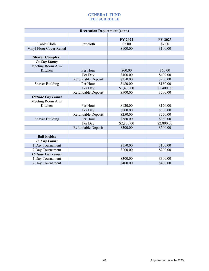| <b>Recreation Department (cont.)</b> |                    |            |            |  |  |
|--------------------------------------|--------------------|------------|------------|--|--|
|                                      |                    |            |            |  |  |
|                                      |                    | FY 2022    | FY 2023    |  |  |
| Table Cloth                          | Per cloth          | \$7.00     | \$7.00     |  |  |
| Vinyl Floor Cover Rental             |                    | \$100.00   | \$100.00   |  |  |
|                                      |                    |            |            |  |  |
| <b>Shaver Complex:</b>               |                    |            |            |  |  |
| <b>In City Limits</b>                |                    |            |            |  |  |
| Meeting Room A w/                    |                    |            |            |  |  |
| Kitchen                              | Per Hour           | \$60.00    | \$60.00    |  |  |
|                                      | Per Day            | \$400.00   | \$400.00   |  |  |
|                                      | Refundable Deposit | \$250.00   | \$250.00   |  |  |
| <b>Shaver Building</b>               | Per Hour           | \$180.00   | \$180.00   |  |  |
|                                      | Per Day            | \$1,400.00 | \$1,400.00 |  |  |
|                                      | Refundable Deposit | \$500.00   | \$500.00   |  |  |
| <b>Outside City Limits</b>           |                    |            |            |  |  |
| Meeting Room A w/                    |                    |            |            |  |  |
| Kitchen                              | Per Hour           | \$120.00   | \$120.00   |  |  |
|                                      | Per Day            | \$800.00   | \$800.00   |  |  |
|                                      | Refundable Deposit | \$250.00   | \$250.00   |  |  |
| <b>Shaver Building</b>               | Per Hour           | \$360.00   | \$360.00   |  |  |
|                                      | Per Day            | \$2,800.00 | \$2,800.00 |  |  |
|                                      | Refundable Deposit | \$500.00   | \$500.00   |  |  |
|                                      |                    |            |            |  |  |
| <b>Ball Fields:</b>                  |                    |            |            |  |  |
| <b>In City Limits</b>                |                    |            |            |  |  |
| 1 Day Tournament                     |                    | \$150.00   | \$150.00   |  |  |
| 2 Day Tournament                     |                    | \$200.00   | \$200.00   |  |  |
| <b>Outside City Limits</b>           |                    |            |            |  |  |
| 1 Day Tournament                     |                    | \$300.00   | \$300.00   |  |  |
| 2 Day Tournament                     |                    | \$400.00   | \$400.00   |  |  |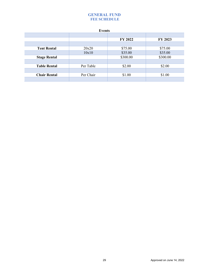<span id="page-28-0"></span>

| <b>Events</b>       |           |          |          |  |  |  |
|---------------------|-----------|----------|----------|--|--|--|
|                     |           |          |          |  |  |  |
|                     |           | FY 2022  | FY 2023  |  |  |  |
|                     |           |          |          |  |  |  |
| <b>Tent Rental</b>  | 20x20     | \$75.00  | \$75.00  |  |  |  |
|                     | 10x10     | \$35.00  | \$35.00  |  |  |  |
| <b>Stage Rental</b> |           | \$300.00 | \$300.00 |  |  |  |
|                     |           |          |          |  |  |  |
| <b>Table Rental</b> | Per Table | \$2.00   | \$2.00   |  |  |  |
|                     |           |          |          |  |  |  |
| <b>Chair Rental</b> | Per Chair | \$1.00   | \$1.00   |  |  |  |
|                     |           |          |          |  |  |  |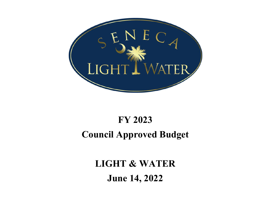<span id="page-29-0"></span>

# **FY 2023 Council Approved Budget**

**LIGHT & WATER June <sup>14</sup>, <sup>2022</sup>**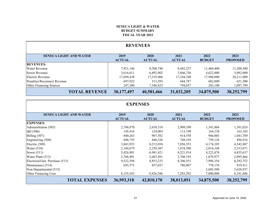#### **SENECA LIGHT & WATER BUDGET SUMMARYFISCAL YEAR 2023**

<span id="page-30-0"></span>

| <b>REVENUES</b>               |                       |                       |                       |                       |                         |  |
|-------------------------------|-----------------------|-----------------------|-----------------------|-----------------------|-------------------------|--|
| <b>SENECA LIGHT AND WATER</b> | 2019<br><b>ACTUAL</b> | 2020<br><b>ACTUAL</b> | 2021<br><b>ACTUAL</b> | 2022<br><b>BUDGET</b> | 2023<br><b>PROPOSED</b> |  |
| <b>REVENUES:</b>              |                       |                       |                       |                       |                         |  |
| <b>Water Revenue</b>          | 7,921,146             | 8,308,740             | 8,482,257             | 11,460,400            | 11,200,500              |  |
| Sewer Revenue                 | 3,616,611             | 6,892,902             | 3,866,756             | 4,622,000             | 5,092,000               |  |
| Electric Revenue              | 17,694,438            | 17,319,406            | 17,244,348            | 17,908,000            | 20,211,000              |  |
| Penalties/Reconnect Revenue   | 697,922               | 513,593               | 644,787               | 682,000               | 651,500                 |  |
| Other Financing Sources       | 247,380               | 7,546,825             | 794,057               | 203,100               | 1,097,799               |  |
| <b>TOTAL REVENUE</b>          | 30,177,497            | 40,581,466            | 31,032,205            | 34,875,500            | 38,252,799              |  |

| <b>EXPENSES</b>                |                       |                       |                       |                       |                         |  |
|--------------------------------|-----------------------|-----------------------|-----------------------|-----------------------|-------------------------|--|
| <b>SENECA LIGHT AND WATER</b>  | 2019<br><b>ACTUAL</b> | 2020<br><b>ACTUAL</b> | 2021<br><b>ACTUAL</b> | 2022<br><b>BUDGET</b> | 2023<br><b>PROPOSED</b> |  |
| <b>EXPENSES:</b>               |                       |                       |                       |                       |                         |  |
| Administration (505)           | 2,796,970             | 2,659,318             | 2,909,399             | 1,341,868             | 1,301,026               |  |
| KI(506)                        | 145,416               | 124,005               | 113,199               | 164,158               | 163,103                 |  |
| Billing $(507)$                | 840,263               | 907,582               | 914,558               | 944,003               | 1,041,789               |  |
| Engineering (508)              | 696,755               | 846,326               | 748,195               | 759,126               | 896,916                 |  |
| Electric (509)                 | 3,843,923             | 8,212,054             | 7,856,353             | 4,174,105             | 4,542,887               |  |
| Water $(510)$                  | 2,104,679             | 2,259,307             | 1,818,590             | 2,016,348             | 2,333,071               |  |
| Sewer $(511)$                  | 5,426,901             | 6,981,421             | 4,521,914             | 4,223,878             | 4,855,637               |  |
| Water Plant (512)              | 2,766,901             | 2,683,301             | 2,760,193             | 1,879,977             | 2,095,466               |  |
| Electrical/Gen. Purchase (513) | 9,522,394             | 8,853,233             | 8,306,551             | 7,996,354             | 8,292,752               |  |
| Maintenance (514)              | 693,573               | 857,037               | 780,807               | 770,176               | 919,411                 |  |
| Non-Departmental (515)         |                       |                       |                       | 3,605,508             | 3,628,937               |  |
| Other Financing Uses           | 8,155,543             | 8,426,586             | 7,283,292             | 7,000,000             | 8,181,806               |  |
| <b>TOTAL EXPENSES</b>          | 36,993,318            | 42,810,170            | 38,013,051            | 34,875,500            | 38,252,799              |  |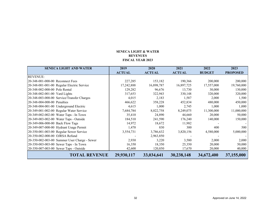#### **SENECA LIGHT & WATER REVENUESFISCAL YEAR 2023**

<span id="page-31-0"></span>

| <b>SENECA LIGHT AND WATER</b>                | 2019          | 2020          | 2021          | 2022          | 2023            |
|----------------------------------------------|---------------|---------------|---------------|---------------|-----------------|
|                                              | <b>ACTUAL</b> | <b>ACTUAL</b> | <b>ACTUAL</b> | <b>BUDGET</b> | <b>PROPOSED</b> |
| <b>REVENUE:</b>                              |               |               |               |               |                 |
| 20-348-001-000-00 Reconnect Fees             | 227,285       | 153,182       | 190,366       | 200,000       | 200,000         |
| 20-348-001-001-00 Regular Electric Service   | 17,242,888    | 16,898,787    | 16,897,725    | 17,557,000    | 19,760,000      |
| 20-348-002-000-00 Pole Rental                | 129,282       | 96,676        | 13,730        | 30,000        | 130,000         |
| 20-348-002-001-00 Yard Lights                | 317,653       | 322,943       | 330,148       | 320,000       | 320,000         |
| 20-348-003-000-00 Service/Transfer Charges   | 4,015         | 2,183         | 1,587         | 2,000         | 1,500           |
| 20-348-004-000-00 Penalties                  | 466,622       | 358,228       | 452,834       | 480,000       | 450,000         |
| 20-348-004-001-00 Underground Electric       | 4,615         | 1,000         | 2,745         | 1,000         | 1,000           |
| 20-349-001-002-00 Regular Water Service      | 7,684,784     | 8,022,758     | 8,249,075     | 11,300,000    | 11,000,000      |
| 20-349-002-002-00 Water Taps - In Town       | 35,410        | 24,890        | 44,660        | 20,000        | 50,000          |
| 20-349-003-002-00 Water Taps - Outside       | 184,510       | 241,590       | 176,240       | 140,000       | 150,000         |
| 20-349-006-000-00 Back Flow Tags             | 14,972        | 18,672        | 11,982        |               |                 |
| 20-349-007-000-00 Hydrant Usage Permit       | 1,470         | 830           | 300           | 400           | 500             |
| 20-350-001-003-00 Regular Sewer Service      | 3,554,731     | 3,786,632     | 3,820,156     | 4,580,000     | 5,000,000       |
| 20-350-002-000-00 OJRSA Refund               |               | 2,963,850     |               |               |                 |
| 20-350-002-003-00 Summer User Charge - Sewer | 2,930         | 3,220         | 3,580         | 2,000         | 2,000           |
| 20-350-003-003-00 Sewer Taps - In Town       | 16,350        | 18,350        | 25,350        | 20,000        | 50,000          |
| 20-350-007-003-00 Sewer Taps - Outside       | 42,600        | 120,850       | 17,670        | 20,000        | 40,000          |
| <b>TOTAL REVENUE</b>                         | 29,930,117    | 33,034,641    | 30,238,148    | 34,672,400    | 37,155,000      |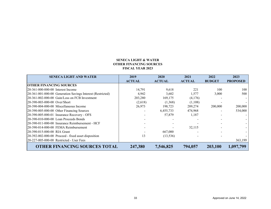#### **SENECA LIGHT & WATER OTHER FINANCING SOURCES FISCAL YEAR 2023**

<span id="page-32-0"></span>

| <b>SENECA LIGHT AND WATER</b>                              | 2019          | 2020          | 2021          | 2022          | 2023            |
|------------------------------------------------------------|---------------|---------------|---------------|---------------|-----------------|
|                                                            | <b>ACTUAL</b> | <b>ACTUAL</b> | <b>ACTUAL</b> | <b>BUDGET</b> | <b>PROPOSED</b> |
| <b>OTHER FINANCING SOURCES</b>                             |               |               |               |               |                 |
| 20-361-000-000-00 Interest Income                          | 14,791        | 9,618         | 221           | 100           | 100             |
| 20-361-001-000-00 Generation Savings Interest (Restricted) | 4,942         | 3,602         | 1,577         | 3,000         | 500             |
| 20-361-002-000-00 Gain/Loss on FCB Investment              | 203,280       | 169,175       | (4,176)       |               |                 |
| 20-390-003-000-00 Over/Short                               | (2,618)       | (1,368)       | (1,108)       |               |                 |
| 20-390-004-000-00 Miscellaneous Income                     | 26,973        | 198,723       | 289,274       | 200,000       | 200,000         |
| 20-390-005-000-00 Other Financing Sources                  |               | 6,455,733     | 474,968       |               | 534,000         |
| 20-390-005-000-01 Insurance Recovery - OFS                 |               | 57,879        | 1,187         |               |                 |
| 20-390-010-000-00 Loan Proceeds Bonds                      |               |               |               |               |                 |
| 20-390-011-000-00 Insurance Reimbursement - HCF            |               |               |               |               |                 |
| 20-390-014-000-00 FEMA Reimbursement                       |               |               | 32.115        |               |                 |
| 20-390-015-000-00 RIA Grant                                |               | 667,000       |               |               |                 |
| 20-392-002-000-00 Proceed - fixed asset disposition        | 13            | (13, 536)     |               |               |                 |
| 20-227-005-000-00 Restricted - User Fees                   |               |               |               |               | 363,199         |
| <b>OTHER FINANCING SOURCES TOTAL</b>                       | 247,380       | 7,546,825     | 794,057       | 203,100       | 1,097,799       |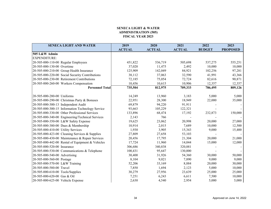#### **SENECA LIGHT & WATER ADMINISTRATION (505)FISCAL YEAR 2023**

<span id="page-33-0"></span>

| <b>SENECA LIGHT AND WATER</b>                    | 2019          | 2020          | 2021          | 2022          | 2023            |
|--------------------------------------------------|---------------|---------------|---------------|---------------|-----------------|
|                                                  | <b>ACTUAL</b> | <b>ACTUAL</b> | <b>ACTUAL</b> | <b>BUDGET</b> | <b>PROPOSED</b> |
| 505 L&W Admin                                    |               |               |               |               |                 |
| <b>EXPENDITURE:</b>                              |               |               |               |               |                 |
| 20-505-000-110-00 Regular Employees              | 451,822       | 536,719       | 505,698       | 537,275       | 555,251         |
| 20-505-000-130-00 Overtime                       | 37,020        | 11,475        | 2,492         | 10,000        | 10,000          |
| 20-505-000-210-00 Group Health Insurance         | 125,909       | 142,049       | 84,921        | 102,256       | 97,281          |
| 20-505-000-220-00 Social Security Contributions  | 38,112        | 37,063        | 32,590        | 41,991        | 43,366          |
| 20-505-000-230-00 Retirement Contributions       | 72,185        | 75,054        | 72,724        | 82,616        | 90,871          |
| 20-505-000-260-00 Workers Compensation           | 10,456        | 10,615        | 10,906        | 12,357        | 12,357          |
| <b>Personnel Total</b>                           | 735,504       | 812,975       | 709,333       | 786,495       | 809,126         |
| 20-505-000-280-00 Uniforms                       | 14,249        | 13,960        | 3,183         | 5,000         | 5,000           |
| 20-505-000-290-00 Christmas Party & Bonuses      | 22,951        | 28,300        | 18,949        | 22,000        | 35,000          |
| 20-505-000-300-13 Independent Audit              | 69,879        | 94,220        | 91,911        |               |                 |
| 20-505-000-300-15 Information Technology Service | 93,663        | 105,229       | 122,321       |               |                 |
| 20-505-000-330-00 Other Professional Services    | 133,896       | 68,474        | 17,192        | 232,873       | 150,000         |
| 20-505-000-340-00 Engineering/Technical Services | 2,143         | 766           |               |               |                 |
| 20-505-000-350-00 L&W Safety Expense             | 19,625        | 23,062        | 20,998        | 20,000        | 27,000          |
| 20-505-000-380-00 Dues & Membership              | 10,914        | 2,015         | 7,689         | 10,000        | 12,500          |
| 20-505-000-410-00 Utility Services               | 1,930         | 3,905         | 15,343        | 9,000         | 15,400          |
| 20-505-000-423-00 Cleaning Services & Supplies   | 27,809        | 27,658        | 53,103        |               |                 |
| 20-505-000-430-00 Maintenance & Repair Services  | 20,456        | 17,795        | 21,304        | 20,000        | 21,000          |
| 20-505-000-442-00 Rental of Equipment & Vehicles | 17,724        | 11,960        | 14,044        | 15,000        | 12,000          |
| 20-505-000-520-00 Insurance                      | 306,686       | 340,838       | 320,881       |               |                 |
| 20-505-000-530-00 Communications & Telephone     | 100,431       | 95,647        | 130,000       |               |                 |
| 20-505-000-540-00 Advertising                    | 30,400        | 31,926        | 54,360        | 30,000        | 50,000          |
| 20-505-000-560-00 Postage                        | 8,104         | 9,021         | 7,890         | 9,000         | 9,000           |
| 20-505-000-570-00 L&W Training                   | 52,206        | 33,169        | 8,884         | 20,000        | 30,000          |
| 20-505-000-580-00 Travel                         | 7,850         | 1,694         | 2,123         | 5,000         | 10,000          |
| 20-505-000-610-00 Tools/Supplies                 | 30,279        | 27,956        | 23,639        | 25,000        | 25,000          |
| 20-505-000-620-00 Gas & Oil                      | 7,251         | 6,243         | 6,611         | 7,500         | 10,000          |
| 20-505-000-625-00 Vehicle Expense                | 2,630         | 4,540         | 2,954         | 5,000         | 5,000           |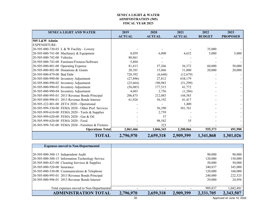#### **SENECA LIGHT & WATER ADMINISTRATION (505) FISCAL YEAR 2023**

<span id="page-34-0"></span>

| <b>SENECA LIGHT AND WATER</b>                      | 2019          | 2020          | 2021          | 2022          | 2023            |
|----------------------------------------------------|---------------|---------------|---------------|---------------|-----------------|
|                                                    | <b>ACTUAL</b> | <b>ACTUAL</b> | <b>ACTUAL</b> | <b>BUDGET</b> | <b>PROPOSED</b> |
| 505 L&W Admin                                      |               |               |               |               |                 |
| <b>EXPENDITURE:</b>                                |               |               |               |               |                 |
| 20-505-000-730-03 L & W Facility - Lowery          |               |               |               | 35,000        |                 |
| 20-505-000-741-00 Machinery & Equipment            | 8,059         | 6,090         | 4,632         | 5,000         | 5,000           |
| 20-505-000-742-00 Vehicles                         | 80,861        |               |               |               |                 |
| 20-505-000-743-00 Furniture/Fixtures/Software      | 5,804         |               |               |               |                 |
| 20-505-000-801-00 Operating Expense                | 81,413        | 57,266        | 36,372        | 60,000        | 50,000          |
| 20-505-000-802-00 Donations & Grants               | 20,101        | 15,866        | 31,800        | 20,000        | 20,000          |
| 20-505-000-879-00 Bad Debt                         | 720,392       | (6,648)       | (12,679)      |               |                 |
| 20-505-000-990-00 Inventory Adjustment             | (27,896)      | 27,812        | 638,179       |               |                 |
| 20-505-000-990-02 Inventory Adjustment             | (25, 664)     | 190,983       | (51,299)      |               |                 |
| 20-505-000-990-03 Inventory Adjustment             | (56,085)      | 177,515       | 41,772        |               |                 |
| 20-505-000-990-04 Inventory Adjustment             | 4,603         | 2,756         | (1,286)       |               |                 |
| 20-505-000-995-01 2013 Revenue Bonds Principal     | 206,875       | 212,083       | 144,583       |               |                 |
| 20-505-000-996-01 2013 Revenue Bonds Interest      | 61,926        | 56,192        | 41,417        |               |                 |
| 20-505-222-801-00 ZETA 2020 - Operational          |               |               | 1,400         |               |                 |
| 20-505-999-330-00 FEMA 2020 - Other Prof. Services |               | 56,390        | 381,761       |               |                 |
| 20-505-999-610-00 FEMA 2020 - Tools & Supplies     |               | 2,759         |               |               |                 |
| 20-505-999-620-00 FEMA 2020 - Gas & Oil            |               | 37            |               |               |                 |
| 20-505-999-620-00 FEMA 2020 - Food                 |               | 98,542        | 35            |               |                 |
| 20-505-999-743-00 FEMA 2020 - Furniture & Fixtures |               | 323           |               |               |                 |
| <b>Operations Total</b>                            | 2,061,466     | 1,846,343     | 2,200,066     | 555,373       | 491,900         |
| <b>TOTAL</b>                                       | 2,796,970     | 2,659,318     | 2,909,399     | 1,341,868     | 1,301,026       |

| <b>Expenses moved to Non-Departmental</b>          |           |           |           |           |           |
|----------------------------------------------------|-----------|-----------|-----------|-----------|-----------|
|                                                    |           |           |           |           |           |
| 20-505-000-300-13 Independent Audit                |           |           |           | 90,000    | 90,000    |
| 20-505-000-300-15 Information Technology Service   |           |           |           | 120,000   | 150,000   |
| $[20-505-000-423-00]$ Cleaning Services & Supplies |           |           |           | 50,000    | 50,000    |
| 20-505-000-520-00 Insurance                        |           |           |           | 340,837   | 345,000   |
| $[20-505-000-530-00$ Communications & Telephone    |           |           |           | 120,000   | 160,000   |
| 20-505-000-995-01 2013 Revenue Bonds Principal     |           |           |           | 240,000   | 222,525   |
| 20-505-000-996-01 2013 Revenue Bonds Interest      |           |           |           | 29,000    | 24,956    |
|                                                    |           |           |           |           |           |
| Total expenses moved to Non-Departmental           |           |           |           | 989,837   | 1,042,481 |
| <b>ADMINISTRATION TOTAL</b>                        | 2,796,970 | 2,659,318 | 2,909,399 | 2,331,705 | 2,343,507 |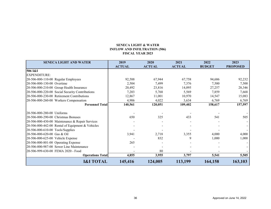#### **SENECA LIGHT & WATERINFLOW AND INFILTRATION (506) FISCAL YEAR 2023**

<span id="page-35-0"></span>

| <b>SENECA LIGHT AND WATER</b>                    | 2019          | 2020          | 2021          | 2022          | 2023            |
|--------------------------------------------------|---------------|---------------|---------------|---------------|-----------------|
|                                                  | <b>ACTUAL</b> | <b>ACTUAL</b> | <b>ACTUAL</b> | <b>BUDGET</b> | <b>PROPOSED</b> |
| 506 I&I                                          |               |               |               |               |                 |
| <b>EXPENDITURE:</b>                              |               |               |               |               |                 |
| 20-506-000-110-00 Regular Employees              | 92,588        | 67,944        | 67,758        | 94,686        | 92,232          |
| 20-506-000-130-00 Overtime                       | 2,504         | 7,499         | 7,376         | 7,500         | 7,500           |
| 20-506-000-210-00 Group Health Insurance         | 20,492        | 23,816        | 14,095        | 27,257        | 28,346          |
| 20-506-000-220-00 Social Security Contributions  | 7,203         | 5,768         | 5,569         | 7,859         | 7,668           |
| 20-506-000-230-00 Retirement Contributions       | 12,867        | 11,001        | 10,970        | 14,547        | 15,083          |
| 20-506-000-260-00 Workers Compensation           | 4,906         | 4,022         | 3,634         | 6,769         | 6,769           |
| <b>Personnel Total</b>                           | 140,561       | 120,051       | 109,402       | 158,617       | 157,597         |
| 20-506-000-280-00 Uniforms                       |               |               |               |               |                 |
| 20-506-000-290-00 Christmas Bonuses              | 650           | 325           | 433           | 541           | 505             |
| 20-506-000-430-00 Maintenance & Repair Services  |               |               |               |               |                 |
| 20-506-000-442-00 Rental of Equipment & Vehicles |               |               |               |               |                 |
| 20-506-000-610-00 Tools/Supplies                 |               |               |               |               |                 |
| 20-506-000-620-00 Gas & Oil                      | 3,941         | 2,718         | 3,355         | 4,000         | 4,000           |
| 20-506-000-625-00 Vehicle Expense                |               | 832           | 9             | 1,000         | 1,000           |
| 20-506-000-801-00 Operating Expense              | 265           |               |               |               |                 |
| 20-506-000-987-00 Sewer Line Maintenance         |               |               |               |               |                 |
| 20-506-999-630-00 FEMA 2020 - Food               |               | 80            |               |               |                 |
| <b>Operations Total</b>                          | 4,855         | 3,955         | 3,797         | 5,541         | 5,505           |
| <b>I&amp;I TOTAL</b>                             | 145,416       | 124,005       | 113,199       | 164,158       | 163,103         |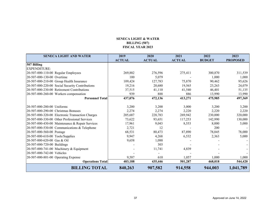#### **SENECA LIGHT & WATER BILLING (507) FISCAL YEAR 2023**

<span id="page-36-0"></span>

| <b>SENECA LIGHT AND WATER</b>                    | 2019          | 2020          | 2021          | 2022          | 2023            |
|--------------------------------------------------|---------------|---------------|---------------|---------------|-----------------|
|                                                  | <b>ACTUAL</b> | <b>ACTUAL</b> | <b>ACTUAL</b> | <b>BUDGET</b> | <b>PROPOSED</b> |
| 507 Billing                                      |               |               |               |               |                 |
| <b>EXPENDITURE:</b>                              |               |               |               |               |                 |
| 20-507-000-110-00 Regular Employees              | 269,882       | 276,596       | 275,411       | 300,870       | 311,539         |
| 20-507-000-130-00 Overtime                       | 100           | 5,079         |               | 1,000         | 1,000           |
| 20-507-000-210-00 Group Health Insurance         | 109,424       | 127,783       | 75,870        | 90,462        | 95,626          |
| 20-507-000-220-00 Social Security Contributions  | 19,216        | 20,680        | 19,565        | 23,263        | 24,079          |
| 20-507-000-230-00 Retirement Contributions       | 37,515        | 41,110        | 41,540        | 46,401        | 51,135          |
| 20-507-000-260-00 Workers compensation           | 939           | 888           | 886           | 13,990        | 13,990          |
| <b>Personnel Total</b>                           | 437,076       | 472,136       | 413,271       | 475,985       | 497,369         |
|                                                  |               |               |               |               |                 |
| 20-507-000-280-00 Uniforms                       | 3,200         | 3,200         | 3,000         | 3,200         | 3,200           |
| 20-507-000-290-00 Christmas Bonuses              | 2,274         | 2,274         | 2,220         | 2,220         | 2,220           |
| 20-507-000-320-00 Electronic Transaction Charges | 205,687       | 228,783       | 269,942       | 230,000       | 320,000         |
| 20-507-000-330-00 Other Professional Services    | 73,622        | 93,651        | 117,253       | 142,990       | 130,000         |
| 20-507-000-430-00 Maintenance & Repair Services  | 17,961        | 9,043         | 8,553         | 8,000         | 5,000           |
| 20-507-000-530-00 Communications & Telephone     | 2,721         | 12            |               | 200           |                 |
| 20-507-000-560-00 Postage                        | 68,531        | 80,473        | 87,890        | 78,045        | 78,000          |
| 20-507-000-610-00 Tools/Supplies                 | 9,947         | 4,268         | 6,532         | 2,363         | 5,000           |
| 20-507-000-620-00 Gas & Oil                      | 9,658         | 1,088         |               |               |                 |
| 20-507-000-720-00 Buildings                      |               | 303           |               |               |                 |
| 20-507-000-741-00 Machinery & Equipment          |               | 11,741        | 4,839         |               |                 |
| 20-507-000-742-00 Vehicles                       |               |               |               |               |                 |
| 20-507-000-801-00 Operating Expense              | 9,587         | 610           | 1,057         | 1,000         | 1,000           |
| <b>Operations Total</b>                          | 403,188       | 435,446       | 501,287       | 468,018       | 544,420         |
| <b>BILLING TOTAL</b>                             | 840,263       | 907,582       | 914,558       | 944,003       | 1,041,789       |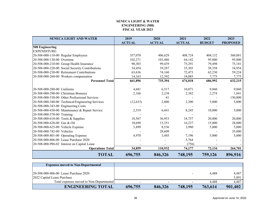#### **SENECA LIGHT & WATER ENGINEERING (508) FISCAL YEAR 2023**

<span id="page-37-0"></span>

| <b>SENECA LIGHT AND WATER</b>                    | 2019          | 2020          | 2021          | 2022          | 2023            |
|--------------------------------------------------|---------------|---------------|---------------|---------------|-----------------|
|                                                  | <b>ACTUAL</b> | <b>ACTUAL</b> | <b>ACTUAL</b> | <b>BUDGET</b> | <b>PROPOSED</b> |
| <b>508 Engineering</b>                           |               |               |               |               |                 |
| <b>EXPENDITURE:</b>                              |               |               |               |               |                 |
| 20-508-000-110-00 Regular Employees              | 357,070       | 406,629       | 408,724       | 404,132       | 360,081         |
| 20-508-000-130-00 Overtime                       | 102,271       | 103,486       | 64,142        | 95,000        | 95,000          |
| 20-508-000-210-00 Group Health Insurance         | 90,303        | 99,439        | 75,291        | 79,498        | 75,181          |
| 20-508-000-220-00 Social Security Contributions  | 34,454        | 39,287        | 35,303        | 38,358        | 34,954          |
| 20-508-000-230-00 Retirement Contributions       | 63,636        | 74,160        | 72,473        | 62,230        | 59,224          |
| 20-508-000-260-00 Workers compensation           | 14,163        | 12,392        | 18,085        | 7,775         | 7,775           |
| <b>Personnel Total</b>                           | 661,896       | 735,394       | 674,018       | 686,992       | 632,215         |
|                                                  |               |               |               |               |                 |
| 20-508-000-280-00 Uniforms                       | 4,681         | 6,517         | 10,071        | 9,860         | 9,860           |
| 20-508-000-290-00 Christmas Bonuses              | 2,166         | 2,238         | 2,382         | 2,274         | 1,841           |
| 20-508-000-330-00 Other Professional Services    |               | 41            |               |               | 150,000         |
| 20-508-000-340-00 Technical/Engineering Services | (12, 633)     | 2,800         | 2,300         | 5,000         | 5,000           |
| 20-508-000-343-00 Engineering Costs              |               |               |               |               |                 |
| 20-508-000-430-00 Maintenance & Repair Service   | 2,519         | 6,441         | 8,245         | 10,000        | 5,000           |
| 20-508-000-570-00 Training                       |               |               |               |               |                 |
| 20-508-000-610-00 Tools & Supplies               | 18,567        | 36,953        | 18,757        | 20,000        | 20,000          |
| 20-508-000-620-00 Gas & Oil                      | 10,690        | 15,351        | 16,237        | 15,000        | 28,000          |
| 20-508-000-625-00 Vehicle Expense                | 3,899         | 8,536         | 3,980         | 5,000         | 5,000           |
| 20-508-000-742-00 Vehicles                       |               | 28,609        |               |               | 35,000          |
| 20-508-000-801-00 Operating Expense              | 4,970         | 3,445         | 7,196         | 5,000         | 5,000           |
| 20-508-000-806-00 Lease Purchase 2020            |               |               | 5,764         |               |                 |
| 20-508-000-996-02 Interest on Capital Lease      |               |               | (756)         |               |                 |
| <b>Operations Total</b>                          | 34,859        | 110,932       | 74,177        | 72,134        | 264,701         |
| <b>TOTAL</b>                                     | 696,755       | 846,326       | 748,195       | 759,126       | 896,916         |

| <b>Expenses moved to Non-Departmental</b> |         |         |                          |         |         |
|-------------------------------------------|---------|---------|--------------------------|---------|---------|
|                                           |         |         |                          |         |         |
| 20-508-000-806-00 Lease Purchase 2020     |         |         |                          | 4.488   | 4,487   |
| 2022 Capital Lease Purchase               |         |         |                          |         | 5,891   |
| Total expenses moved to Non-Departmental  | -       | -       | $\overline{\phantom{0}}$ | 4.488   | 4,487   |
| <b>ENGINEERING TOTAL</b>                  | 696,755 | 846,326 | 748,195                  | 763,614 | 901,402 |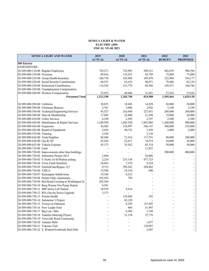#### **SENECA LIGHT & WATER ELECTRIC (509) FISCAL YEAR 2023**

<span id="page-38-0"></span>

| <b>SENECA LIGHT AND WATER</b>                          | 2019          | 2020           | 2021          | 2022          | 2023            |
|--------------------------------------------------------|---------------|----------------|---------------|---------------|-----------------|
|                                                        | <b>ACTUAL</b> | <b>ACTUAL</b>  | <b>ACTUAL</b> | <b>BUDGET</b> | <b>PROPOSED</b> |
| 509 Electric                                           |               |                |               |               |                 |
| <b>EXPENDITURE:</b>                                    |               |                |               |               |                 |
| 20-509-000-110-00 Regular Employees                    | 729,271       | 725,095        | 509,331       | 962,078       | 996,596         |
| 20-509-000-130-00 Overtime                             | 89,016        | 118,267        | 43,789        | 73,809        | 73,809          |
| 20-509-000-210-00 Group Health Insurance               | 166,738       | 185,968        | 105,470       | 222,984       | 254,177         |
| 20-509-000-220-00 Social Security Contributions        | 60,551        | 63,633         | 40,071        | 79,486        | 82,134          |
| 20-509-000-230-00 Retirement Contributions             | 114,542       | 123,778        | 84,566        | 149,471       | 164,786         |
| 20-509-000-250-00 Unemployment Compensation            |               | ÷,             |               |               |                 |
| 20-509-000-260-00 Workers Compensation                 | 53,073        | 49,006         | 51,681        | 57,636        | 57,636          |
| <b>Personnel Total</b>                                 | 1,213,190     | 1,265,748      | 834,908       | 1,545,464     | 1,629,138       |
|                                                        |               |                |               |               |                 |
| 20-509-000-280-00 Uniforms                             | 20,833        | 19,443         | 14,820        | 20,000        | 20,000          |
| 20-509-000-290-00 Christmas Bonuses                    | 2,761         | 3,086          | 2,942         | 3,140         | 3,249           |
| 20-509-000-340-00 Technical/Engineering Services       | 85,527        | 216,448        | 227,451       | 200,000       | 260,000         |
| 20-509-000-380-00 Dues & Membership                    | 17,045        | 22,800         | 21,298        | 19,000        | 20,000          |
| 20-509-000-410-00 Utility Services                     | 6,230         | 2,569          | 2,197         | 2,500         | 2,500           |
| 20-509-000-430-00 Maintenance & Repair Services        | 1,249,930     | 1,045,520      | 1,887,086     | 1,200,000     | 900,000         |
| 20-509-000-436-00 Expansion                            | 56,982        | 124,997        | 346,147       | 300,000       | 325,000         |
| 20-509-000-442-00 Rental of Equipment                  | 5,634         | 40,732         | 1,938         | 3,000         | 2,000           |
| 20-509-000-570-00 Training                             | 3,104         |                | 2,138         |               |                 |
| 20-509-000-610-00 Tools/Supplies                       | 96,646        | 71,516         | 117,791       | 90,000        | 200,000         |
| 20-509-000-620-00 Gas & Oil                            | 25,424        | 22,617         | 16,519        | 24,000        | 36,000          |
| 20-509-000-625-00 Vehicle Expense                      | 45,173        | 35,562         | 85,134        | 50,000        | 50,000          |
| 20-209-000-710-00 Land                                 |               | ÷,             | 11,921        |               |                 |
| 20-509-000-730-00 Improvements other than buildings    |               | L.             |               | 500,000       | 800,000         |
| 20-509-000-730-02 Substation Project 2013              | 3,884         |                | 26,886        |               |                 |
| 20-509-000-730-03 E North 1st St/Walnut underg         | 2,224         | 235,158        | 477,725       |               | $\blacksquare$  |
| 20-509-000-730-04 Cross Creek backfeed                 | 24,465        | 7,270          | 9,354         |               | $\Box$          |
| 20-509-000-730-05 Fairfield Inn/Bypass 123             | 9,715         | 399,262        | 294,462       |               | $\Box$          |
| 20-509-000-730-06 YMCA                                 | 12,596        | 14,156         | 690           |               | $\Box$          |
| 20-509-000-730-07 Kensington Subdivision               | 19,348        | 9,212          |               |               | $\Box$          |
| 20-509-000-730-08 Hunter Oaks Apartments               | 103,934       | 794            |               |               | $\blacksquare$  |
| 20-509-000-730-09 Rail Road Crossing at Washington St. | 202,269       | $\blacksquare$ |               |               | $\blacksquare$  |
| 20-509-000-730-10 Borg Warner Fire Pump Station        | 9,301         | $\sim$         |               |               | $\blacksquare$  |
| 20-509-000-730-11 SRF Sewer Lift Station               | 34,979        | 8,414          |               |               | $\blacksquare$  |
| 20-509-000-730-12 RIA Gravity Sewer Upgrade            | 3,173         |                |               |               | $\Box$          |
| 20-509-000-730-13 Prisma Health                        |               | 135,069        | 192           |               | $\blacksquare$  |
| 20-509-000-730-14 Substation 3 Project                 |               | 65,120         |               |               | $\Box$          |
| 20-509-000-730-15 Townes at Oakmont                    |               | 8,259          | 157,493       |               | $\blacksquare$  |
| 20-509-000-730-16 New Leader Ford                      |               | 466            | 51,907        |               | ÷.              |
| 20-509-000-730-17 Big Lots / Bilo                      |               | 6,505          | 1,198         |               | $\blacksquare$  |
| 20-509-000-730-18 Tantalus Metering Project            |               | 51,138         | 27,776        |               | $\blacksquare$  |
| 20-509-000-730-19 Townville Road Community             |               |                |               |               | ÷.              |
| 20-509-000-730-20 Autumn Mills                         |               |                | 1,077         |               | $\blacksquare$  |
| 20-509-000-730-21 Tokeena Trail                        |               |                | 130,987       |               | $\blacksquare$  |
| 20-509-000-730-22 S. Walnut/Overbrook Steel Pole       |               |                | 2,697         |               | $\blacksquare$  |
|                                                        |               |                |               |               |                 |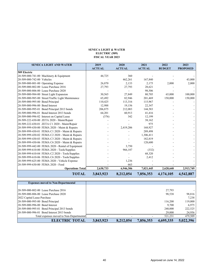#### **SENECA LIGHT & WATER ELECTRIC (509) FISCAL YEAR 2023**

<span id="page-39-0"></span>

| <b>SENECA LIGHT AND WATER</b>                      | 2019<br><b>ACTUAL</b> | 2020<br><b>ACTUAL</b> | 2021<br><b>ACTUAL</b> | 2022<br><b>BUDGET</b> | 2023<br><b>PROPOSED</b> |
|----------------------------------------------------|-----------------------|-----------------------|-----------------------|-----------------------|-------------------------|
| 509 Electric                                       |                       |                       |                       |                       |                         |
| 20-509-000-741-00 Machinery & Equipment            | 44,725                | 360                   |                       |                       |                         |
| 20-509-000-742-00 Vehicles                         |                       | 462,261               | 167,840               |                       | 43,000                  |
| 20-509-000-801-00 Operating Expense                | 26,870                | 2,133                 | 2,175                 | 2,000                 | 2,000                   |
| 20-509-000-802-00 Lease Purchase 2016              | 27,793                | 27,793                | 28,621                |                       |                         |
| 20-509-000-806-00 Lease Purchase 2020              |                       |                       | 98,506                |                       |                         |
| 20-509-000-984-00 Street Light Expansion           | 30,565                | 27.849                | 80,705                | 65,000                | 100,000                 |
| 20-509-000-985-00 Street/Traffic Light Maintenance | 65,492                | 82,946                | 201,469               | 150,000               | 150,000                 |
| 20-509-000-995-00 Bond Principal                   | 110,425               | 113,316               | 115,967               |                       |                         |
| 20-509-000-996-00 Bond Interest                    | 12,988                | 19,156                | 22,347                |                       |                         |
| 20-509-000-995-01 Bond Principal 2013 bonds        | 206,875               | 212,083               | 144,583               |                       |                         |
| 20-509-000-996-01 Bond Interest 2013 bonds         | 64.201                | 60.913                | 41,416                |                       |                         |
| 20-509-000-996-02 Interest on Capital Lease        | (376)                 | 342                   | 12,199                |                       |                         |
| 20-509-222-430-00 ZETA 2020 - Maint/Repair         |                       |                       | 38,162                |                       |                         |
| 20-509-222-430-01 ZETA C1 2020 - Maint/Repair      |                       |                       | 975                   |                       |                         |
| 20-509-999-430-00 FEMA 2020 - Maint & Repairs      |                       | 2,419,206             | 168,927               |                       |                         |
| 20-509-999-430-01 FEMA C1 2020 - Maint & Repairs   |                       |                       | 289,498               |                       |                         |
| 20-509-999-430-02 FEMA C2 2020 - Maint & Repairs   |                       |                       | 1,306,411             |                       |                         |
| 20-509-999-430-03 FEMA C3 2020 - Maint & Repairs   |                       |                       | 182,819               |                       |                         |
| 20-509-999-430-06 FEMA C6 2020 - Maint & Repairs   |                       |                       | 128,600               |                       |                         |
| 20-509-999-442-00 FEMA 2020 - Rental of Equipment  |                       | 3,750                 |                       |                       |                         |
| 20-509-999-610-00 FEMA 2020 - Tools/Supplies       |                       | 966,187               | (332)                 |                       |                         |
| 20-509-999-610-04 FEMA C2 2020 - Tools/Supplies    |                       |                       | 68,320                |                       |                         |
| 20-509-999-610-06 FEMA C6 2020 - Tools/Supplies    |                       |                       | 2,412                 |                       |                         |
| 20-509-999-625-00 FEMA 2020 - Vehicle Expense      |                       | 1,236                 |                       |                       |                         |
| 20-509-999-630-00 FEMA 2020 - Food                 |                       | 663                   |                       |                       |                         |
| <b>Operations Total</b>                            | 2,630,733             | 6,946,306             | 7,021,445             | 2,628,640             | 2,913,749               |
| <b>TOTAL</b>                                       | 3,843,923             | 8,212,054             | 7,856,353             | 4,174,105             | 4,542,887               |

| <b>Expenses moved to Non-Departmental</b>   |           |           |           |           |           |
|---------------------------------------------|-----------|-----------|-----------|-----------|-----------|
|                                             |           |           |           |           |           |
| 20-509-000-802-00 Lease Purchase 2016       |           |           |           | 27,793    |           |
| 20-509-000-806-00 Lease Purchase 2020       |           |           |           | 98,538    | 98,816    |
| 2022 Capital Lease Purchase                 |           |           |           |           | 7,238     |
| 20-509-000-995-00 Bond Principal            |           |           |           | 116,200   | 119,000   |
| 20-509-000-996-00 Bond Interest             |           |           |           | 9.700     | 6,975     |
| 20-509-000-995-01 Bond Principal 2013 bonds |           |           |           | 240,000   | 222,525   |
| 20-509-000-996-01 Bond Interest 2013 bonds  |           |           |           | 29,000    | 24,956    |
| Total expenses moved to Non-Departmental    |           |           |           | 521,231   | 479,509   |
| <b>ELECTRIC TOTAL</b>                       | 3,843,923 | 8,212,054 | 7,856,353 | 4,695,335 | 5,022,396 |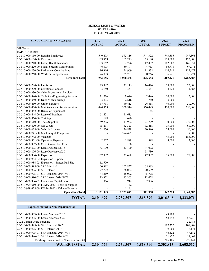#### **SENECA LIGHT & WATER WATER (510) FISCAL YEAR 2023**

<span id="page-40-0"></span>

| <b>SENECA LIGHT AND WATER</b>                    | 2019          | 2020          | 2021          | 2022          | 2023            |
|--------------------------------------------------|---------------|---------------|---------------|---------------|-----------------|
|                                                  | <b>ACTUAL</b> | <b>ACTUAL</b> | <b>ACTUAL</b> | <b>BUDGET</b> | <b>PROPOSED</b> |
| 510 Water                                        |               |               |               |               |                 |
| <b>EXPENDITURE:</b>                              |               |               |               |               |                 |
| 20-510-000-110-00 Regular Employees              | 540,473       | 572,816       | 541,322       | 743,585       | 747,365         |
| 20-510-000-130-00 Overtime                       | 109,859       | 102,225       | 75,180        | 125,000       | 125,000         |
| 20-510-000-210-00 Group Health Insurance         | 133,152       | 162,296       | 112,492       | 182,507       | 165,054         |
| 20-510-000-220-00 Social Security Contributions  | 46,893        | 50,197        | 44,953        | 66,770        | 67,071          |
| 20-510-000-230-00 Retirement Contributions       | 86,316        | 94,969        | 91,938        | 114,542       | 122,473         |
| 20-510-000-260-00 Workers Compensation           | 26,893        | 25,761        | 30,766        | 36,721        | 36,721          |
| <b>Personnel Total</b>                           | 943,586       | 1,008,265     | 896,652       | 1,269,125     | 1,263,685       |
|                                                  |               |               |               |               |                 |
| 20-510-000-280-00 Uniforms                       | 23,387        | 21,115        | 14,424        | 25,000        | 25,000          |
| 20-510-000-290-00 Christmas Bonuses              | 3,140         | 3,357         | 3,661         | 4,223         | 4,385           |
| 20-510-000-330-00 Other Professional Services    |               |               |               |               |                 |
| 20-510-000-340-00 Technical/Engineering Services | 11,716        | 9,646         | 2,446         | 10,000        | 5,000           |
| 20-510-000-380-00 Dues & Membership              | 3,973         | 2,616         | 1,760         | 3,000         |                 |
| 20-510-000-410-00 Utility Services               | 37,738        | 40,412        | 26,618        | 40,000        | 30,000          |
| 20-510-000-430-00 Maintenance & Repair Services  | 490,959       | 369,914       | 350,449       | 410,000       | 350,000         |
| 20-510-000-442-00 Rental of Equipment            |               |               | 1,165         |               |                 |
| 20-510-000-444-00 Lease of Backhoes              | 51,621        | 51,635        |               |               |                 |
| 20-510-000-570-00 Training                       | 1.188         | 680           |               |               |                 |
| 20-510-000-610-00 Tools/Supplies                 | 69,296        | 43,902        | 124,799       | 70,000        | 275,000         |
| 20-510-000-620-00 Gas & Oil                      | 35,231        | 32,323        | 32,418        | 35,000        | 60,000          |
| 20-510-000-625-00 Vehicle Expense                | 31,070        | 26,828        | 20,396        | 25,000        | 50,000          |
| 20-510-000-741-00 Machinery & Equipment          |               | 374,495       |               |               | 7,000           |
| 20-510-000-742-00 Vehicles                       |               |               |               | 45,000        | 186,000         |
| 20-510-000-801-00 Operating Expense              | 2,007         | 1,888         | 898           | 5,000         | 2,000           |
| 20-510-000-802-00 Cross Connection Cont          |               | 100           |               |               |                 |
| 20-510-000-803-00 Lease Purchase 2016            | 43,100        | 43,100        | 44,032        |               |                 |
| 20-510-000-806-00 Lease Purchase 2020            |               |               | 58,730        |               |                 |
| 20-510-000-984-00 Expansion                      | 157,387       | 37,688        | 47,987        | 75,000        | 75,000          |
| 20-510-000-984-02 Expansion - Epoch              |               |               |               |               |                 |
| 20-510-000-984-03 Expansion - Seneca Rail Site   | 12,500        |               |               |               |                 |
| 20-510-000-995-00 SRF Principal                  | 100,382       | 102,857       | 105,383       |               |                 |
| 20-510-000-996-00 SRF Interest                   | 27,772        | 28,084        | 20,599        |               |                 |
| 20-510-000-995-01 SRF Principal 2014 WTP         | 44,219        | 45,002        | 45,798        |               |                 |
| 20-510-000-996-01 SRF Interest 2014 WTP          | 13,332        | 13,303        | 12,438        |               |                 |
| 20-510-000-996-02 Interest on Capital Lease      | 1,074         | 912           | 7,936         |               |                 |
| 20-510-999-610-00 FEMA 2020 - Tools & Supples    |               | 42            |               |               |                 |
| 20-510-999-625-00 FEMA 2020 - Vehicle Expense    |               | 1,145         |               |               |                 |
| <b>Operations Total</b>                          | 1,161,093     | 1,251,042     | 921,938       | 747,223       | 1,069,385       |
| <b>TOTAL</b>                                     | 2,104,679     | 2,259,307     | 1,818,590     | 2,016,348     | 2,333,071       |

| <b>Expenses moved to Non-Departmental</b> |           |           |           |           |           |
|-------------------------------------------|-----------|-----------|-----------|-----------|-----------|
|                                           |           |           |           |           |           |
| 20-510-000-803-00 Lease Purchase 2016     |           |           |           | 43,100    |           |
| 20-510-000-806-00 Lease Purchase 2020     |           |           |           | 58,749    | 58,730    |
| 2022 Capital Lease Purchase               |           |           |           |           | 32,486    |
| 20-510-000-995-00 SRF Principal 2007      |           |           |           | 107,372   | 109,808   |
| 20-510-000-996-00 SRF Interest 2007       |           |           |           | 19,000    | 16,174    |
| 20-510-000-995-01 SRF Principal 2014 WTP  |           |           |           | 46,422    | 47,182    |
| 20-510-000-996-01 SRF Interest 2014 WTP   |           |           |           | 11,822    | 11,061    |
| Total expenses moved to Non-Departmental  |           |           |           | 286,465   | 275,441   |
| <b>WATER TOTAL</b>                        | 2,104,679 | 2,259,307 | 1,818,590 | 2,302,813 | 2,608,512 |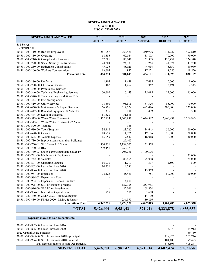#### **SENECA LIGHT & WATER SEWER (511) FISCAL YEAR 2023**

<span id="page-41-0"></span>

| <b>SENECA LIGHT AND WATER</b>                       | 2019          | 2020          | 2021          | 2022          | 2023            |
|-----------------------------------------------------|---------------|---------------|---------------|---------------|-----------------|
|                                                     | <b>ACTUAL</b> | <b>ACTUAL</b> | <b>ACTUAL</b> | <b>BUDGET</b> | <b>PROPOSED</b> |
| 511 Sewer                                           |               |               |               |               |                 |
| <b>EXPENDITURE:</b>                                 |               |               |               |               |                 |
| 20-511-000-110-00 Regular Employees                 | 261,057       | 263,481       | 250,926       | 474,227       | 492,810         |
| 20-511-000-130-00 Overtime                          | 68,385        | 67,064        | 38,803        | 70,000        | 70,000          |
| 20-511-000-210-00 Group Health Insurance            | 72,086        | 83,141        | 61,833        | 136,437       | 124,540         |
| 20-511-000-220-00 Social Security Contributions     | 24,204        | 24,983        | 21,264        | 41,824        | 43,250          |
| 20-511-000-230-00 Retirement Contributions          | 45,035        | 48,025        | 44,054        | 73,357        | 80,960          |
| 20-511-000-260-00 Workers Compensation              | 13,607        | 14,952        | 17,221        | 18,550        | 18,550          |
| <b>Personnel Total</b>                              | 484,374       | 501,645       | 434,101       | 814,395       | 830,109         |
|                                                     |               |               |               |               |                 |
| 20-511-000-280-00 Uniforms                          | 2,307         | 1,659         | 7,685         | 10,000        | 8,000           |
| 20-511-000-290-00 Christmas Bonuses                 | 1,462         | 1,462         | 1,367         | 2,491         | 2,545           |
| 20-511-000-330-00 Professional Services             |               |               |               |               |                 |
| 20-511-000-340-00 Technical/Engineering Services    | 50,609        | 10,443        | 35,015        | 25,000        | 25,000          |
| 20-511-000-340-08 Technical/Eng Svc-Utica-CDBG      |               |               |               |               |                 |
| 20-511-000-343-00 Engineering Costs                 |               |               |               |               |                 |
| 20-511-000-410-00 Utility Services                  | 78,690        | 95,611        | 87,326        | 85,000        | 90,000          |
| 20-511-000-430-00 Maintenance & Repair Services     | 156,806       | 314,024       | 492,426       | 300,000       | 325,000         |
| 20-511-000-442-00 Rental of Equipment & Vehicles    | 335           | 181           | 409           |               | 500             |
| 20-511-000-444-00 Lease of Backhoes                 | 51,620        | 51,635        |               |               |                 |
| 20-511-000-513-00 Waste Water Treatment             | 1,852,114     | 1,643,831     | 1,624,387     | 2,860,492     | 3,266,983       |
| 20-511-000-513-01 Waste Water Treatment - 20% inc   |               |               |               |               |                 |
| 20-511-000-570-00 Training                          |               | 165           |               |               |                 |
| 20-511-000-610-00 Tools/Supplies                    | 34,416        | 23,727        | 34,643        | 36,000        | 60,000          |
| 20-511-000-620-00 Gas & Oil                         | 18,799        | 14,976        | 19,106        | 20,000        | 28,000          |
| 20-511-000-625-00 Vehicle Expense                   | 15,059        | 17,832        | 16,018        | 18,000        | 30,000          |
| 20-511-000-730-00 Improvements other than Buildings |               | 29,400        |               |               |                 |
| 20-511-000-730-01 SRF Sewer Lift Station            | 1,860,731     | 3,139,007     | 31,958        |               |                 |
| 20-511-000-730-02 RIA                               | 709,451       | 268,973       |               |               |                 |
| 20-511-000-730-03 Sheep Farm/Bountyland Sewer Pr    |               | 208,051       | 1,100,396     |               |                 |
| 20-511-000-741-00 Machinery & Equipment             |               |               |               |               | 55,000          |
| 20-511-000-742-00 Vehicles                          |               | 83,465        | 95,088        |               | 124,000         |
| 20-511-000-801-00 Operating Expense                 | 16,030        | 1,213         | 507           | 2,500         | 500             |
| 20-511-000-802-00 Lease Purchase 2016               | 14,736        | 14,736        |               |               |                 |
| 20-511-000-806-00 Lease Purchase 2020               |               |               | 15,369        |               |                 |
| 20-511-000-984-00 Expansion                         | 76,425        | 45,461        | 7,751         | 50,000        | 10,000          |
| 20-511-000-984-02 Expansion - Epoch                 |               |               |               |               |                 |
| 20-511-000-984-03 Expansion - Seneca Rail Site      |               | 4,000         |               |               |                 |
| 20-511-000-995-00 SRF lift stations-principal       |               | 187,338       | 253,963       |               |                 |
| 20-511-000-996-00 SRF lift stations-interest        |               | 85,061        | 108,834       |               |                 |
| 20-511-000-996-01 Interest on Capital Lease         | 898           | 556           | 1,608         |               |                 |
| 20-511-222-430-00 ZETA 2020 - Maint & Repairs       |               |               | 14,100        |               |                 |
| 20-511-999-430-00 FEMA 2020 - Maint. & Repair       |               | 236,970       | 139,856       |               |                 |
| <b>Operations Total</b>                             | 4,942,526     | 6,479,776     | 4,087,813     | 3,409,483     | 4,025,528       |
| <b>TOTAL</b>                                        | 5,426,901     | 6,981,421     | 4,521,914     | 4,223,878     | 4,855,637       |

| <b>Expenses moved to Non-Departmental</b>            |           |           |           |           |           |
|------------------------------------------------------|-----------|-----------|-----------|-----------|-----------|
|                                                      |           |           |           |           |           |
| 20-511-000-802-00 Lease Purchase 2016                |           |           |           |           |           |
| 20-511-000-806-00 Lease Purchase 2020                |           |           |           | 15,373    | 14,912    |
| 2022 Capital Lease Purchase                          |           |           |           |           | 30,130    |
| 20-511-000-995-00 SRF lift stations 2018 - principal |           |           |           | 258,823   | 263,776   |
| 20-511-000-996-00 SRF lift stations 2018 - interest  |           |           |           | 104,400   | 99,423    |
| Total expenses moved to Non-Departmental             |           |           |           | 378,596   | 408,241   |
| <b>SEWER TOTAL</b>                                   | 5,426,901 | 6,981,421 | 4,521,914 | 4,602,474 | 5,263,878 |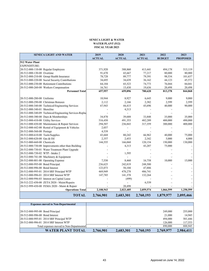#### **SENECA LIGHT & WATER WATER PLANT (512) FISCAL YEAR 2023**

<span id="page-42-0"></span>

| <b>SENECA LIGHT AND WATER</b>                           | 2019          | 2020          | 2021          | 2022          | 2023            |
|---------------------------------------------------------|---------------|---------------|---------------|---------------|-----------------|
|                                                         | <b>ACTUAL</b> | <b>ACTUAL</b> | <b>ACTUAL</b> | <b>BUDGET</b> | <b>PROPOSED</b> |
| 512 Water Plant                                         |               |               |               |               |                 |
| <b>EXPENDITURE:</b>                                     |               |               |               |               |                 |
| 20-512-000-110-00 Regular Employees                     | 371,920       | 388,860       | 413,441       | 494,178       | 513,119         |
| 20-512-000-130-00 Overtime                              | 91,670        | 65,667        | 77,217        | 80,000        | 80,000          |
| 20-512-000-210-00 Group Health Insurance                | 78,728        | 89,777        | 79,391        | 98,534        | 101,637         |
| 20-512-000-220-00 Social Security Contributions         | 34,695        | 34,639        | 36,162        | 44,123        | 45,572          |
| 20-512-000-230-00 Retirement Contributions              | 64,184        | 65,523        | 74,773        | 76,044        | 84,041          |
| 20-512-000-260-00 Workers Compensation                  | 16,761        | 15,430        | 19,636        | 20,498        | 20,498          |
| <b>Personnel Total</b>                                  | 657,957       | 659,896       | 700,620       | 813,378       | 844,868         |
|                                                         |               |               |               |               |                 |
| 20-512-000-280-00 Uniforms                              | 10,944        | 8,927         | 6,645         | 9,000         | 9,000           |
| 20-512-000-290-00 Christmas Bonuses                     | 2,112         | 2,166         | 2,382         | 2,599         | 2,599           |
| 20-512-000-340-00 Technical/Engineering Services        | 67,943        | 44,415        | 45,696        | 40,000        | 90,000          |
| 20-512-000-340-01 Shoreline                             |               | 4,313         |               |               |                 |
| 20-512-000-340-09 Technical/Engineering Services-Replac |               |               |               |               |                 |
| 20-512-000-380-00 Dues & Memberships                    | 34,870        | 39,688        | 33,848        | 35,000        | 35,000          |
| 20-512-000-410-00 Utility Services                      | 516,450       | 491,353       | 482,289       | 400,000       | 490,000         |
| 20-512-000-430-00 Maintenance & Repair Services         | 294,507       | 236,843       | 317,359       | 300,000       | 400,000         |
| 20-512-000-442-00 Rental of Equipment & Vehicles        | 2,037         |               |               |               |                 |
| 20-512-000-560-00 Postage                               | 4,539         |               |               |               |                 |
| 20-512-000-610-00 Tools/Supplies                        | 43,668        | 80,242        | 66,962        | 40,000        | 75,000          |
| 20-512-000-620-00 Gas & Oil                             | 2,357         | 2,453         | 2,342         | 5,000         | 4,000           |
| 20-512-000-660-00 Chemicals                             | 144,555       | 166,060       | 120,154       | 150,000       | 130,000         |
| 20-512-000-730-00 Improvements other than Building      |               | 4,313         | 43,207        | 75,000        |                 |
| 20-512-000-730-01 Water Treatment Plant Upgrade         |               |               |               |               |                 |
| 20-512-000-730-02 WTP - Intake 2                        |               | 1,595         |               |               |                 |
| 20-512-000-741-00 Machinery & Equipment                 |               |               |               |               |                 |
| 20-512-000-801-00 Operating Expense                     | 7,530         | 8,460         | 16,758        | 10,000        | 15,000          |
| 20-512-000-995-00 Bond Principal                        | 236,625       | 242,819       | 248,500       |               |                 |
| 20-512-000-996-00 Bond Interest                         | 123,073       | 50,104        | 47,886        |               |                 |
| 20-512-000-995-01 2014 SRF Principal WTP                | 469,949       | 478,278       | 486,741       |               |                 |
| 20-512-000-996-01 2014 SRF Interest WTP                 | 147,785       | 141,378       | 132,264       |               |                 |
| 20-512-000-996-03 Interest on Capital Lease             |               | (499)         |               |               |                 |
| 20-512-222-430-00 ZETA 2020 - Maint/Repairs             |               |               | 6,539         |               |                 |
| 20-512-999-430-00 FEMA 2020 - Maint & Repair            |               | 20,498        |               |               |                 |
| <b>Operations Total</b>                                 | 2,108,943     | 2,023,405     | 2,059,574     | 1,066,599     | 1,250,599       |
| <b>TOTAL</b>                                            | 2,766,901     | 2,683,301     | 2,760,193     | 1,879,977     | 2,095,466       |

| <b>Expenses moved to Non-Departmental</b> |           |           |           |           |           |
|-------------------------------------------|-----------|-----------|-----------|-----------|-----------|
|                                           |           |           |           |           |           |
| 20-512-000-995-00 Bond Principal          |           |           |           | 249,000   | 255,000   |
| 20-512-000-996-00 Bond Interest           |           |           |           | 21,000    | 14.945    |
| 20-512-000-995-01 2014 SRF Principal WTP  |           |           |           | 494,000   | 501,446   |
| 20-512-000-996-01 2014 SRF Interest WTP   |           |           |           | 126,000   | 117,553   |
| Total expenses moved to Non-Departmental  |           |           |           | 890,000   | 888,945   |
| <b>WATER PLANT TOTAL</b>                  | 2,766,901 | 2,683,301 | 2,760,193 | 2,769,977 | 2,984,411 |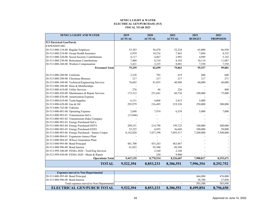#### **SENECA LIGHT & WATER ELECTRICAL GEN/PURCHASE (513) FISCAL YEAR 2023**

<span id="page-43-0"></span>

| <b>SENECA LIGHT AND WATER</b>                      | 2019          | 2020          | 2021          | 2022          | 2023            |
|----------------------------------------------------|---------------|---------------|---------------|---------------|-----------------|
|                                                    | <b>ACTUAL</b> | <b>ACTUAL</b> | <b>ACTUAL</b> | <b>BUDGET</b> | <b>PROPOSED</b> |
| 513 Electrical Gen/Purch.                          |               |               |               |               |                 |
| <b>EXPENDITURE:</b>                                |               |               |               |               |                 |
| 20-513-000-110-00 Regular Employee                 | 53,383        | 56,470        | 52,224        | 65,000        | 66,950          |
| 20-513-000-210-00 Group Health Insurance           | 6,939         | 10,216        | 7,463         | 7,884         | 8,352           |
| 20-513-000-220-00 Social Security Contributions    | 4,117         | 4,467         | 3,992         | 4,989         | 5,142           |
| 20-513-000-230-00 Retirement Contributions         | 7,400         | 8,310         | 8,103         | 10,114        | 11,087          |
| 20-513-000-260-00 Workers Compensation             | 3,421         | 3,235         | 8,081         | 7,550         | 7,550           |
| <b>Personnel Total</b>                             | 75,259        | 82,699        | 79,863        | 95,537        | 99,081          |
|                                                    |               |               |               |               |                 |
| 20-513-000-280-00 Uniforms                         | 2,328         | 785           | 619           | 600           | 600             |
| 20-513-000-290-00 Christmas Bonuses                | 217           | 217           | 217           | 217           | 271             |
| 20-513-000-340-00 Technical/Engineering Services   | 76,682        | 81,055        | 40,988        | 60,000        | 60,000          |
| 20-513-000-380-00 Dues & Memberships               |               |               |               |               |                 |
| 20-513-000-410-00 Utility Services                 | 276           | 88            | 226           |               | 800             |
| 20-513-000-430-00 Maintenance & Repair Services    | 173,512       | 251,641       | 60,736        | 100,000       | 75,000          |
| 20-513-000-476-00 Amortization Expense             |               |               |               |               |                 |
| 20-513-000-610-00 Tools/Supplies                   | 6,151         | 4,068         | 2,815         | 5,000         |                 |
| 20-513-000-620-00 Gas & Oil                        | 292,979       | 216,485       | 219,326       | 250,000       | 300,000         |
| 20-513-000-742-00 Vehicles                         |               |               |               |               |                 |
| 20-513-000-801-00 Operating Expense                | 2,688         | 7,974         | 6,539         | 5,000         | 7,000           |
| 20-513-000-983-01 Transmission-SoCo                | (15,046)      |               |               |               |                 |
| 20-513-000-983-02 Transmission-Duke Company        |               |               |               |               |                 |
| 20-513-000-983-03 Energy Purchased-SoCo            |               |               |               |               |                 |
| 20-513-000-983-04 Energy Purchased-SEPA            | 209,351       | 214,798       | 199,722       | 180,000       | 200,000         |
| 20-513-000-983-05 Energy Purchased-ENEL            | 53,225        | 4,855         | 36,668        | 100,000       | 50,000          |
| 20-513-000-983-06 Energy Purchased - Santee Cooper | 8,142,020     | 7,437,390     | 7,093,517     | 7,200,000     | 7,500,000       |
| 20-513-000-984-01 Expansion-Amoco Plant            |               |               |               |               |                 |
| 20-513-000-984-02 Wilcox Generation Plant          |               |               |               |               |                 |
| 20-513-000-995-00 Bond Principal                   | 441,700       | 453,263       | 463,867       |               |                 |
| 20-513-000-996-00 Bond Interest                    | 61,052        | 95,506        | 89,388        |               |                 |
| 20-513-999-340-00 FEMA 2020 - Tech/Eng Services    |               | 2,160         | 2,160         |               |                 |
| 20-513-999-430-00 FEMA 2020 - Maint & Repair       |               | 250           | 9,900         |               |                 |
| <b>Operations Total</b>                            | 9,447,135     | 8,770,534     | 8,226,687     | 7,900,817     | 8,193,671       |
| <b>TOTAL</b>                                       | 9,522,394     | 8,853,233     | 8,306,551     | 7,996,354     | 8,292,752       |

| <b>Expenses moved to Non-Departmental</b> |           |           |           |           |           |
|-------------------------------------------|-----------|-----------|-----------|-----------|-----------|
| 20-513-000-995-00 Bond Principal          |           |           |           | 464,800   | 476,000   |
| 20-513-000-996-00 Bond Interest           |           |           |           | 38,700    | 27,898    |
| Total expenses moved to Non-Departmental  |           | -         |           | 503,500   | 503,898   |
| ELECTRICAL GEN/PURCH TOTAL                | 9,522,394 | 8.853.233 | 8.306.551 | 8.499.854 | 8,796,650 |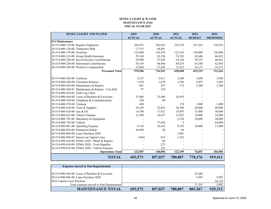#### **SENECA LIGHT & WATER MAINTENANCE (514) FISCAL YEAR 2023**

<span id="page-44-0"></span>

| <b>SENECA LIGHT AND WATER</b>                       | 2019          | 2020           | 2021          | 2022          | 2023            |
|-----------------------------------------------------|---------------|----------------|---------------|---------------|-----------------|
|                                                     | <b>ACTUAL</b> | <b>ACTUAL</b>  | <b>ACTUAL</b> | <b>BUDGET</b> | <b>PROPOSED</b> |
| 514 Maintenance                                     |               |                |               |               |                 |
| 20-514-000-110-00 Regular Employees                 | 268,523       | 342,052        | 325,274       | 351,561       | 376,910         |
| 20-514-000-120-00 Temporary Help                    | 17,313        | 44,881         |               |               |                 |
| 20-514-000-130-00 Overtime                          | 125,468       | 143,478        | 123,236       | 150,000       | 150,000         |
| 20-514-000-210-00 Group Health Insurance            | 59,160        | 63,196         | 74,765        | 82,686        | 86,832          |
| 20-514-000-220-00 Social Security Contributions     | 29,900        | 37,428         | 34,144        | 38,527        | 40,461          |
| 20-514-000-230-00 Retirement Contributions          | 54,354        | 68,468         | 69,278        | 54,388        | 62,065          |
| 20-514-000-260-00 Workers Compensation              | 15,868        | 17,438         | 31,912        | 16,157        | 16,157          |
| <b>Personnel Total</b>                              | 570,586       | 716,941        | 658,608       | 693,319       | 732,426         |
|                                                     |               |                |               |               |                 |
| 20-514-000-280-00 Uniforms                          | 2,315         | 3,811          | 3,290         | 3,300         | 3,500           |
| 20-514-000-290-00 Christmas Bonuses                 | 1,534         | 1,678          | 1,746         | 2,057         | 1,985           |
| 20-514-000-430-00 Maintenance & Repairs             | 961           | 267            | 712           | 1,500         | 1,500           |
| 20-514-000-430-01 Maintenance & Repairs - City Hall | 97            | 329            |               |               |                 |
| 20-514-000-430-02 Faith Log Cabin                   |               |                |               |               |                 |
| 20-514-000-444-00 Lease of Backhoe & Excavator      | 25,486        | 25,486         | 26,419        |               |                 |
| 20-514-000-530-00 Telephone & Communications        | 328           | 80             |               |               |                 |
| 20-514-000-570-00 Training                          | 448           |                | 170           | 1,000         | 1,000           |
| 20-514-000-610-00 Tools & Supplies                  | 19,105        | 22,491         | 38,100        | 20,000        | 40,000          |
| 20-514-000-620-00 Gas & Oil                         | 14,704        | 17,932         | 18,495        | 15,000        | 30,000          |
| 20-514-000-625-00 Vehicle Expense                   | 12,280        | 18,627         | 13,922        | 14,000        | 14,000          |
| 20-514-000-741-00 Machinery & Equipment             |               |                | 2,228         | 10,000        | 20,000          |
| 20-514-000-742-00 Vehicle                           |               | 37,636         | 5             |               | 64,000          |
| 20-514-000-801-00 Operating Expense                 | 9,126         | 10,362         | 9,783         | 10,000        | 11,000          |
| 20-514-000-802-00 Hometown Rehab                    | 36,949        | 20             | 64            |               |                 |
| 20-514-000-806-00 Lease Purchase 2020               |               | $\blacksquare$ | 5,901         |               |                 |
| 20-514-000-996-02 Interest on Capital Lease         | (346)         | 814            | 1,362         |               |                 |
| 20-514-999-430-00 FEMA 2020 - Maint & Repairs       |               | 68             |               |               |                 |
| 20-514-999-610-00 FEMA 2020 - Tools/Supplies        |               | 273            |               |               |                 |
| 20-514-999-625-00 FEMA 2020 - Vehicle Expense       |               | 223            |               |               |                 |
| <b>Operations Total</b>                             | 122,987       | 140,096        | 122,199       | 76,857        | 186,985         |
| <b>TOTAL</b>                                        | 693,573       | 857,037        | 780,807       | 770,176       | 919,411         |

| <b>Expenses moved to Non-Departmental</b>      |                          |         |         |         |         |
|------------------------------------------------|--------------------------|---------|---------|---------|---------|
|                                                |                          |         |         |         |         |
| 20-514-000-444-00 Lease of Backhoe & Excavator |                          |         |         | 25,486  |         |
| 20-514-000-806-00 Lease Purchase 2020          |                          |         |         | 5.905   | 5,902   |
| 2022 Capital Lease Purchase                    |                          |         |         |         | 14,139  |
| Total expenses moved to Non-Departmental       | $\overline{\phantom{0}}$ |         |         | 31.391  | 5,902   |
| <b>MAINTENANCE TOTAL</b>                       | 693,573                  | 857,037 | 780,807 | 801,567 | 925,313 |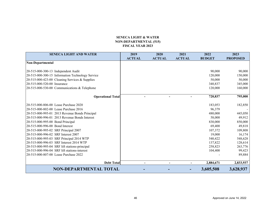#### **SENECA LIGHT & WATER NON-DEPARTMENTAL (515) FISCAL YEAR 2023**

<span id="page-45-0"></span>

| <b>SENECA LIGHT AND WATER</b>                    | 2019          | 2020           | 2021          | 2022          | 2023            |
|--------------------------------------------------|---------------|----------------|---------------|---------------|-----------------|
|                                                  | <b>ACTUAL</b> | <b>ACTUAL</b>  | <b>ACTUAL</b> | <b>BUDGET</b> | <b>PROPOSED</b> |
| Non-Departmental                                 |               |                |               |               |                 |
|                                                  |               |                |               |               |                 |
| 20-515-000-300-13 Independent Audit              |               |                |               | 90,000        | 90,000          |
| 20-515-000-300-15 Information Technology Service |               |                |               | 120,000       | 150,000         |
| 20-515-000-423-00 Cleaning Services & Supplies   |               |                |               | 50,000        | 50,000          |
| 20-515-000-520-00 Insurance                      |               |                |               | 340,837       | 345,000         |
| 20-515-000-530-00 Communications & Telephone     |               |                |               | 120,000       | 160,000         |
|                                                  |               |                |               |               |                 |
| <b>Operational Total</b>                         |               |                |               | 720,837       | 795,000         |
|                                                  |               |                |               |               |                 |
| 20-515-000-806-00 Lease Purchase 2020            |               |                |               | 183,053       | 182,850         |
| 20-515-000-802-00 Lease Purchase 2016            |               |                |               | 96,379        |                 |
| 20-515-000-995-01 2013 Revenue Bonds Principal   |               |                |               | 480,000       | 445,050         |
| 20-515-000-996-01 2013 Revenue Bonds Interest    |               |                |               | 58,000        | 49,912          |
| 20-515-000-995-00 Bond Principal                 |               |                |               | 830,000       | 850,000         |
| 20-515-000-996-00 Bond Interest                  |               |                |               | 69,400        | 49,818          |
| 20-515-000-995-02 SRF Principal 2007             |               |                |               | 107,372       | 109,808         |
| 20-515-000-996-02 SRF Interest 2007              |               |                |               | 19,000        | 16,174          |
| 20-515-000-995-03 SRF Principal 2014 WTP         |               |                |               | 540,422       | 548,628         |
| 20-515-000-996-03 SRF Interest 2014 WTP          |               |                |               | 137,822       | 128,614         |
| 20-515-000-995-04 SRF lift stations-principal    |               |                |               | 258,823       | 263,776         |
| 20-515-000-996-04 SRF lift stations-interest     |               |                |               | 104,400       | 99,423          |
| 20-515-000-807-00 Lease Purchase 2022            |               |                |               |               | 89,884          |
| <b>Debt Total</b>                                |               | $\blacksquare$ |               | 2,884,671     | 2,833,937       |
| NON-DEPARTMENTAL TOTAL                           |               |                |               | 3,605,508     | 3,628,937       |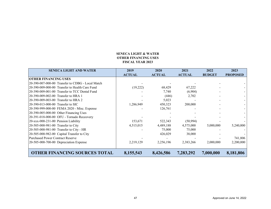#### **SENECA LIGHT & WATER OTHER FINANCING USES FISCAL YEAR 2023**

<span id="page-46-0"></span>

| <b>SENECA LIGHT AND WATER</b>                    | 2019          | 2020          | 2021          | 2022          | 2023            |
|--------------------------------------------------|---------------|---------------|---------------|---------------|-----------------|
|                                                  | <b>ACTUAL</b> | <b>ACTUAL</b> | <b>ACTUAL</b> | <b>BUDGET</b> | <b>PROPOSED</b> |
| <b>OTHER FINANCING USES</b>                      |               |               |               |               |                 |
| 20-390-007-000-00 Transfer to CDBG - Local Match |               |               |               |               |                 |
| 20-390-009-000-00 Transfer to Health Care Fund   | (19,222)      | 68,429        | 67,222        |               |                 |
| 20-390-009-001-00 Transfer to TCC Dental Fund    |               | 7,740         | (6,904)       |               |                 |
| 20-390-009-002-00 Transfer to HRA 1              |               | (446)         | 2,702         |               |                 |
| 20-390-009-003-00 Transfer to HRA 2              |               | 5,023         |               |               |                 |
| 20-390-013-000-00 Transfer to SIC                | 1,286,949     | 450,323       | 200,000       |               |                 |
| 20-390-999-000-00 FEMA 2020 - Misc. Expense      |               | 126,761       |               |               |                 |
| 20-390-005-000-00 Other Financing Uses           |               |               |               |               |                 |
| 20-391-018-000-00 OFU - Tornado Receovery        |               |               |               |               |                 |
| 20-xxx-000-231-00 Pension Liability              | 153,671       | 522,343       | (50, 994)     |               |                 |
| 20-505-000-981-00 Transfer to City               | 4,515,015     | 4,489,188     | 4,575,000     | 5,000,000     | 5,240,000       |
| 20-505-000-981-00 Transfer to City - HR          |               | 75,000        | 75,000        |               |                 |
| 20-505-000-982-00 Capital Transfer to City       |               | 426,029       | 38,000        |               |                 |
| <b>Purchased Power Contract Reserve</b>          |               |               |               |               | 741,806         |
| 20-505-000-700-00 Depreciation Expense           | 2,219,129     | 2,256,196     | 2,383,266     | 2,000,000     | 2,200,000       |
|                                                  |               |               |               |               |                 |
| <b>OTHER FINANCING SOURCES TOTAL</b>             | 8,155,543     | 8,426,586     | 7,283,292     | 7,000,000     | 8,181,806       |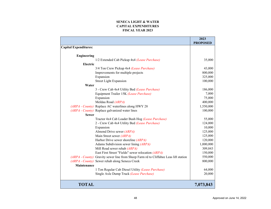#### **SENECA LIGHT & WATERCAPITAL EXPENDITURES FISCAL YEAR 2023**

<span id="page-47-0"></span>

|                              |                                                                                      | 2023            |
|------------------------------|--------------------------------------------------------------------------------------|-----------------|
|                              |                                                                                      | <b>PROPOSED</b> |
| <b>Capital Expenditures:</b> |                                                                                      |                 |
|                              |                                                                                      |                 |
| <b>Engineering</b>           |                                                                                      |                 |
|                              | 1/2 Extended Cab Pickup 4x4 (Lease Purchase)                                         | 35,000          |
| Electric                     |                                                                                      |                 |
|                              | 3/4 Ton Crew Pickup 4x4 (Lease Purchase)                                             | 43,000          |
|                              | Improvements for multiple projects                                                   | 800,000         |
|                              | Expansion                                                                            | 325,000         |
|                              | <b>Street Light Expansion</b>                                                        | 100,000         |
| Water                        |                                                                                      |                 |
|                              | 3 - Crew Cab 4x4 Utility Bed (Lease Purchase)                                        | 186,000         |
|                              | Equipment Trailer 15K (Lease Purchase)                                               | 7,000           |
|                              | Expansion                                                                            | 75,000          |
|                              | Meldau Road (ARPA)                                                                   | 400,000         |
|                              | (ARPA - County) Replace AC waterlines along HWY 28                                   | 1,550,000       |
|                              | (ARPA - County) Replace galvanized water lines                                       | 100,000         |
| <b>Sewer</b>                 |                                                                                      |                 |
|                              | Tractor 4x4 Cab Loader Bush Hog (Lease Purchase)                                     | 55,000          |
|                              | 2 - Crew Cab 4x4 Utility Bed (Lease Purchase)                                        | 124,000         |
|                              | Expansion                                                                            | 10,000          |
|                              | Almond Drive sewer (ARPA)                                                            | 125,000         |
|                              | Main Street sewer (ARPA)                                                             | 125,000         |
|                              | Harbor Drive sewer shoreline (ARPA)                                                  | 120,000         |
|                              | Adams Subdivision sewer lining (ARPA)                                                | 1,000,000       |
|                              | Mill Road sewer rehab (ARPA)                                                         | 309,843         |
|                              | East First Street "Fields" sewer relocation (ARPA)                                   | 150,000         |
|                              | (ARPA - County) Gravity sewer line from Sheep Farm rd to Cliffabee Leas lift station | 550,000         |
|                              | (ARPA - County) Sewer rehab along Seneca Creek                                       | 800,000         |
| Maintenance                  |                                                                                      |                 |
|                              | 1 Ton Regular Cab Diesel Utility (Lease Purchase)                                    | 64,000          |
|                              | Single Axle Dump Truck (Lease Purchase)                                              | 20,000          |
|                              |                                                                                      |                 |
|                              |                                                                                      |                 |
| <b>TOTAL</b>                 |                                                                                      | 7,073,843       |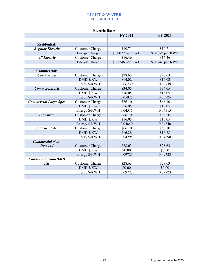# **LIGHT & WATER FEE SCHEDULE**

<span id="page-48-0"></span>

| <b>Electric Rates</b>        |                        |                  |                  |  |  |  |
|------------------------------|------------------------|------------------|------------------|--|--|--|
|                              |                        | <b>FY 2022</b>   | FY 2023          |  |  |  |
|                              |                        |                  |                  |  |  |  |
| <b>Residential:</b>          |                        |                  |                  |  |  |  |
| <b>Regular Electric</b>      | <b>Customer Charge</b> | \$10.71          | \$10.71          |  |  |  |
|                              | <b>Energy Charge</b>   | \$.09072 per KWH | \$.09072 per KWH |  |  |  |
| <b>All Electric</b>          | <b>Customer Charge</b> | \$16.46          | \$16.46          |  |  |  |
|                              | <b>Energy Charge</b>   | \$.08746 per KWH | \$.08746 per KWH |  |  |  |
|                              |                        |                  |                  |  |  |  |
| <b>Commercial:</b>           |                        |                  |                  |  |  |  |
| <b>Commercial</b>            | <b>Customer Charge</b> | \$28.63          | \$28.63          |  |  |  |
|                              | <b>DMD \$/KW</b>       | \$14.02          | \$14.02          |  |  |  |
|                              | Energy \$/KWH          | 0.06739          | 0.06739          |  |  |  |
| <b>Commercial AE</b>         | <b>Customer Charge</b> | \$34.05          | \$34.05          |  |  |  |
|                              | <b>DMD \$/KW</b>       | \$16.05          | \$16.05          |  |  |  |
|                              | Energy \$/KWH          | 0.05925          | 0.05925          |  |  |  |
| <b>Commercial Large Spec</b> | <b>Customer Charge</b> | \$66.10          | \$66.10          |  |  |  |
|                              | <b>DMD \$/KW</b>       | \$16.05          | \$16.05          |  |  |  |
|                              | Energy \$/KWH          | 0.04515          | 0.04515          |  |  |  |
| <b>Industrial</b>            | <b>Customer Charge</b> | \$66.10          | \$66.10          |  |  |  |
|                              | <b>DMD \$/KW</b>       | \$16.05          | \$16.05          |  |  |  |
|                              | Energy \$/KWH          | 0.04840          | 0.04840          |  |  |  |
| <b>Industrial AE</b>         | <b>Customer Charge</b> | \$66.10          | \$66.10          |  |  |  |
|                              | <b>DMD \$/KW</b>       | \$16.28          | \$16.28          |  |  |  |
|                              | Energy \$/KWH          | 0.04298          | 0.04298          |  |  |  |
| <b>Commercial Non-</b>       |                        |                  |                  |  |  |  |
| <b>Demand</b>                | <b>Customer Charge</b> | \$28.63          | \$28.63          |  |  |  |
|                              | <b>DMD \$/KW</b>       | \$0.00           | \$0.00           |  |  |  |
|                              | Energy \$/KWH          | 0.09723          | 0.09723          |  |  |  |
| <b>Commercial Non-DMD</b>    |                        |                  |                  |  |  |  |
| AE                           | <b>Customer Charge</b> | \$28.63          | \$28.63          |  |  |  |
|                              | <b>DMD \$/KW</b>       | \$0.00           | \$0.00           |  |  |  |
|                              | Energy \$/KWH          | 0.09723          | 0.09723          |  |  |  |
|                              |                        |                  |                  |  |  |  |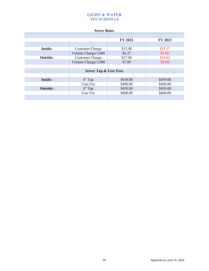# **LIGHT & WATER FEE SCHEDULE**

#### **Sewer Rates**

|                 |                                  | <b>FY 2022</b> | <b>FY 2023</b> |
|-----------------|----------------------------------|----------------|----------------|
|                 |                                  |                |                |
| <b>Inside:</b>  | <b>Customer Charge</b>           | \$13.48        | \$15.17        |
|                 | Volume Charge/1,000              | \$6.27         | \$7.05         |
| <b>Outside:</b> | <b>Customer Charge</b>           | \$17.44        | \$19.62        |
|                 | Volume Charge/1,000              | \$7.89         | \$8.88         |
|                 |                                  |                |                |
|                 | <b>Sewer Tap &amp; User Fees</b> |                |                |
|                 |                                  |                |                |
| <b>Inside:</b>  | $4"$ Tap                         | \$650.00       | \$650.00       |
|                 | User Fee                         | \$400.00       | \$400.00       |
| <b>Outside:</b> | $4"$ Tap                         | \$850.00       | \$850.00       |
|                 | User Fee                         | \$600.00       | \$600.00       |
|                 |                                  |                |                |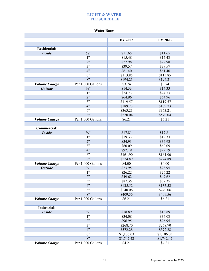# **LIGHT & WATER FEE SCHEDULE**

#### **Water Rates**

|                      |                   | FY 2022    | FY 2023    |
|----------------------|-------------------|------------|------------|
|                      |                   |            |            |
| <b>Residential:</b>  |                   |            |            |
| <b>Inside</b>        | $\frac{3}{4}$     | \$11.65    | \$11.65    |
|                      | 1"                | \$15.48    | \$15.48    |
|                      | 2"                | \$22.98    | \$22.98    |
|                      | 3"                | \$39.57    | \$39.57    |
|                      | 4"                | \$61.40    | \$61.40    |
|                      | 6"                | \$113.85   | \$113.85   |
|                      | 8"                | \$194.21   | \$194.21   |
| <b>Volume Charge</b> | Per 1,000 Gallons | \$3.74     | \$3.74     |
| <b>Outside</b>       | $\frac{3}{4}$     | \$14.33    | \$14.33    |
|                      | 1"                | \$24.73    | \$24.73    |
|                      | 2"                | \$64.96    | \$64.96    |
|                      | 3"                | \$119.57   | \$119.57   |
|                      | 4"                | \$189.73   | \$189.73   |
|                      | 6"                | \$363.21   | \$363.21   |
|                      | 8"                | \$570.04   | \$570.04   |
| <b>Volume Charge</b> | Per 1,000 Gallons | \$6.21     | \$6.21     |
|                      |                   |            |            |
| <b>Commercial:</b>   |                   |            |            |
| <b>Inside</b>        | $\frac{3}{4}$     | \$17.81    | \$17.81    |
|                      | 1"                | \$19.33    | \$19.33    |
|                      | 2"                | \$34.93    | \$34.93    |
|                      | 3"                | \$60.09    | \$60.09    |
|                      | 4"                | \$92.19    | \$92.19    |
|                      | 6"                | \$161.90   | \$161.90   |
|                      | 8"                | \$274.89   | \$274.89   |
| <b>Volume Charge</b> | Per 1,000 Gallons | \$4.00     | \$4.00     |
| <b>Outside</b>       | $\frac{3}{4}$     | \$23.95    | \$23.95    |
|                      | 1"                | \$26.22    | \$26.22    |
|                      | 2"                | \$49.62    | \$49.62    |
|                      | 3"                | \$87.35    | \$87.35    |
|                      | 4"                | \$135.52   | \$135.52   |
|                      | 6"                | \$240.06   | \$240.06   |
|                      | 8"                | \$409.56   | \$409.56   |
| <b>Volume Charge</b> | Per 1,000 Gallons | \$6.21     | \$6.21     |
| Industrial:          |                   |            |            |
| <b>Inside</b>        | $3/4$ "           | \$18.89    | \$18.89    |
|                      | 1"                | \$34.08    | \$34.08    |
|                      | 2"                | \$96.95    | \$96.95    |
|                      | 3"                | \$268.70   | \$268.70   |
|                      | 4"                | \$572.28   | \$572.28   |
|                      | 6"                | \$1,106.03 | \$1,106.03 |
|                      | 8"                | \$1,742.42 | \$1,742.42 |
| <b>Volume Charge</b> | Per 1,000 Gallons | \$4.21     | \$4.21     |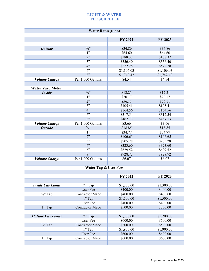# **LIGHT & WATER FEE SCHEDULE**

<span id="page-51-0"></span>

| <b>Water Rates (cont.)</b>  |                                  |            |            |  |  |  |
|-----------------------------|----------------------------------|------------|------------|--|--|--|
|                             |                                  | FY 2022    | FY 2023    |  |  |  |
|                             |                                  |            |            |  |  |  |
| <b>Outside</b>              | $\frac{3}{4}$                    | \$34.86    | \$34.86    |  |  |  |
|                             | 1"                               | \$64.60    | \$64.60    |  |  |  |
|                             | 2"                               | \$188.37   | \$188.37   |  |  |  |
|                             | 3"                               | \$356.40   | \$356.40   |  |  |  |
|                             | 4"                               | \$572.28   | \$572.28   |  |  |  |
|                             | 6"                               | \$1,106.03 | \$1,106.03 |  |  |  |
|                             | 8"                               | \$1,742.42 | \$1,742.42 |  |  |  |
| <b>Volume Charge</b>        | Per 1,000 Gallons                | \$4.54     | \$4.54     |  |  |  |
|                             |                                  |            |            |  |  |  |
| <b>Water Yard Meter:</b>    |                                  |            |            |  |  |  |
| <b>Inside</b>               | $\frac{3}{4}$                    | \$12.21    | \$12.21    |  |  |  |
|                             | 1"                               | \$20.17    | \$20.17    |  |  |  |
|                             | 2"                               | \$56.11    | \$56.11    |  |  |  |
|                             | 3"                               | \$105.41   | \$105.41   |  |  |  |
|                             | 4"                               | \$164.56   | \$164.56   |  |  |  |
|                             | 6"                               | \$317.54   | \$317.54   |  |  |  |
|                             | 8"                               | \$467.13   | \$467.13   |  |  |  |
| <b>Volume Charge</b>        | Per 1,000 Gallons                | \$3.66     | \$3.66     |  |  |  |
| <b>Outside</b>              | $\frac{3}{4}$                    | \$18.85    | \$18.85    |  |  |  |
|                             | 1"                               | \$34.77    | \$34.77    |  |  |  |
|                             | 2"                               | \$106.65   | \$106.65   |  |  |  |
|                             | 3"                               | \$205.28   | \$205.28   |  |  |  |
|                             | 4"                               | \$323.60   | \$323.60   |  |  |  |
|                             | 6"                               | \$629.52   | \$629.52   |  |  |  |
|                             | 8"                               | \$928.72   | \$928.72   |  |  |  |
| <b><i>Volume Charge</i></b> | Per 1,000 Gallons                | \$6.07     | \$6.07     |  |  |  |
|                             |                                  |            |            |  |  |  |
|                             | <b>Water Tap &amp; User Fees</b> |            |            |  |  |  |
|                             |                                  |            |            |  |  |  |
|                             |                                  | FY 2022    | FY 2023    |  |  |  |
| <b>Inside City Limits</b>   | $\frac{3}{4}$ " Tap              | \$1,300.00 | \$1,300.00 |  |  |  |
|                             | User Fee                         | \$400.00   | \$400.00   |  |  |  |
| $\frac{3}{4}$ " Tap         | <b>Contractor Made</b>           | \$400.00   | \$400.00   |  |  |  |
|                             | 1" Tap                           | \$1,500.00 | \$1,500.00 |  |  |  |
|                             | User Fee                         | \$400.00   | \$400.00   |  |  |  |
| 1" Tap                      | <b>Contractor Made</b>           | \$500.00   | \$500.00   |  |  |  |
|                             |                                  |            |            |  |  |  |
| <b>Outside City Limits</b>  | $\frac{3}{4}$ " Tap              | \$1,700.00 | \$1,700.00 |  |  |  |
|                             | <b>User Fee</b>                  | \$600.00   | \$600.00   |  |  |  |
| $\frac{3}{4}$ " Tap         | <b>Contractor Made</b>           | \$500.00   | \$500.00   |  |  |  |
|                             | 1" Tap                           | \$1,900.00 | \$1,900.00 |  |  |  |
|                             | User Fee                         | \$600.00   | \$600.00   |  |  |  |
| 1" Tap                      | <b>Contractor Made</b>           | \$600.00   | \$600.00   |  |  |  |
|                             |                                  |            |            |  |  |  |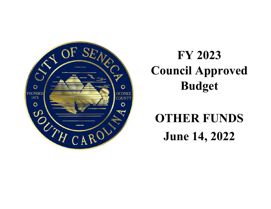<span id="page-52-0"></span>

# **FY 2023 Council Approved Budget**

# **OTHER FUNDS June14, 2022**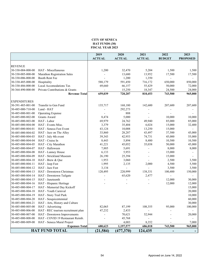#### **CITY OF SENECA HAT FUNDS (30) FISCAL YEAR 2023**

<span id="page-53-0"></span>

|                     |                                     | 2019          | 2020                     | 2021                     | 2022          | 2023                     |
|---------------------|-------------------------------------|---------------|--------------------------|--------------------------|---------------|--------------------------|
|                     |                                     | <b>ACTUAL</b> | <b>ACTUAL</b>            | <b>ACTUAL</b>            | <b>BUDGET</b> | <b>PROPOSED</b>          |
|                     |                                     |               |                          |                          |               |                          |
| <b>REVENUE</b>      |                                     |               |                          |                          |               |                          |
| 30-330-004-000-00   | HAT - Miscellaneous                 | 1,200         | 32,470                   | 5,204                    | 1,500         | 1,500                    |
| 30-330-005-000-00   | Marathon Registration Sales         |               | 13,680                   | 13,952                   | 17,500        | 17,500                   |
| 30-330-006-000-00   | <b>Booth Rent Fee</b>               |               | 1,200                    | 1,350                    |               |                          |
| 30-330-485-000-00   | Hospitality                         | 588,179       | 591,450                  | 716,172                  | 650,000       | 850,000                  |
| 30-330-486-000-00   | Local Accomodations Tax             | 69,660        | 66,157                   | 55,429                   | 50,000        | 72,000                   |
| 30-364-490-000-00   | Private Contributions & Grants      |               | 15,250                   | 18,347                   | 24,500        | 24,000                   |
|                     | <b>Revenue Total</b>                | 659,039       | 720,207                  | 810,453                  | 743,500       | 965,000                  |
| <b>EXPENDITURES</b> |                                     |               |                          |                          |               |                          |
| 30-391-485-001-00   | Transfer to Gen Fund                | 135,717       | 168,180                  | 142,600                  | 207,600       | 207,600                  |
| 30-485-000-710-00   | Land - HAT                          |               | 292,273                  |                          |               |                          |
| 30-485-000-801-00   | Operating Expense                   |               | 888                      | $\overline{\phantom{a}}$ |               |                          |
| 30-485-000-802-00   | Grants Award                        | 8,474         | 5,000                    |                          | 10,000        | 10,000                   |
| 30-485-000-803-00   | HAT - Labor                         | 69,979        | 24,762                   | 49,940                   | 85,000        | 85,000                   |
| 30-485-000-804-00   | HAT - Events Misc.                  | 3,379         | 35,404                   | 6,024                    | 15,000        | 32,400                   |
| 30-485-000-804-01   | HAT - Seneca Fest Event             | 43,124        | 10,008                   | 13,250                   | 15,000        | $\overline{\phantom{a}}$ |
| 30-485-000-804-02   | HAT - Jazz on The Alley             | 33,860        | 28,287                   | 43,497                   | 37,500        | 45,000                   |
| 30-485-000-804-03   | HAT - July 4th event                | 39,343        | 42,953                   | 74,731                   | 45,000        | 55,000                   |
| 30-485-000-804-04   | HAT - Cruise In                     | 8,443         | 5,894                    | 8,480                    | 10,500        | 10,500                   |
| 30-485-000-804-05   | HAT - City Marathon                 | 41,221        | 45,052                   | 35,038                   | 50,000        | 45,000                   |
| 30-485-000-804-07   | HAT - Halloween                     | 7,885         | 5,691                    | $\overline{\phantom{a}}$ | 8,000         | 8,000                    |
| 30-485-000-804-08   | HAT - Lunney House                  | 6,133         | 5,953                    |                          | 15,000        |                          |
| 30-485-000-804-09   | HAT - Strickland Museum             | 26,190        |                          |                          | 15,000        |                          |
|                     |                                     |               | 25,394                   |                          |               |                          |
| 30-485-000-804-10   | HAT - Brew & Que                    | 1,953         | 3,060                    | $\overline{\phantom{a}}$ | 2,500         | 3,500                    |
| 30-485-000-804-11   | HAT - Jeep Fest                     | 1,995         | 2,135                    | 2,000                    | 4,500         | 5,500                    |
| 30-485-000-804-12   | HAT - Jazz Fest                     | 3,134         | $\overline{\phantom{a}}$ | $\overline{a}$           | 3,500         | 3,500                    |
| 30-485-000-804-13   | HAT - Downtown Christmas            | 120,495       | 220,999                  | 138,331                  | 100,400       | 150,000                  |
| 30-485-000-804-14   | HAT - Downtown Tailgate             |               | 65,620                   | 2,477                    |               |                          |
| 30-485-000-804-15   | HAT - Juneteenth                    |               |                          | $\overline{a}$           | 12,000        | 30,000                   |
| 30-485-000-804-16   | HAT - Hispanic Heritage             |               |                          |                          | 12,000        | 12,000                   |
| 30-485-000-804-17   | HAT - Memorial Day Kickoff          |               |                          |                          |               | 15,000                   |
| 30-485-000-804-18   | HAT - Youth Carnival                |               |                          |                          |               | 20,000                   |
| 30-485-000-804-19   | HAT - Story Trail Park              |               |                          |                          |               | 10,000                   |
| 30-485-000-804-20   | HAT - Sesquicentennial              |               |                          |                          |               | 60,000                   |
| 30-485-000-804-21   | HAT - Arts, History and Culture     |               |                          |                          |               | 30,000                   |
|                     | 30-485-000-805-00 HAT - Advertising | 82,065        | 87,199                   | 108,355                  | 95,000        | 100,000                  |
| 30-485-000-806-00   | HAT - REC tourism recruitment plan  | 47,232        | 2,433                    |                          |               |                          |
| 30-485-000-807-00   | HAT - Downtown Improvements         |               | 70,621                   | 52,944                   |               | 20,000                   |
| 30-485-000-808-00   | HAT - COVID 19 Restaurant Reimb.    |               | 45,768                   |                          |               |                          |
| 30-485-000-809-00   | HAT - Seneca Mural Project          |               | 4,003                    | 8,352                    |               | 7,000                    |
|                     | <b>Expenses Total</b>               | 680,623       | 1,197,577                | 686,018                  | 743,500       | 965,000                  |
|                     | <b>HAT FUND TOTAL</b>               | (21, 584)     | (477, 370)               | 124,435                  |               |                          |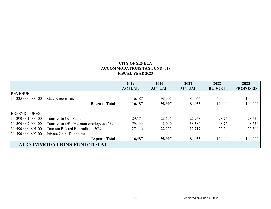# **CITY OF SENECA ACCOMMODATIONS TAX FUND (31) FISCAL YEAR 2023**

<span id="page-54-0"></span>

|                                  |                                       | 2019                     | 2020          | 2021          | 2022          | 2023            |
|----------------------------------|---------------------------------------|--------------------------|---------------|---------------|---------------|-----------------|
|                                  |                                       | <b>ACTUAL</b>            | <b>ACTUAL</b> | <b>ACTUAL</b> | <b>BUDGET</b> | <b>PROPOSED</b> |
| <b>REVENUE</b>                   |                                       |                          |               |               |               |                 |
| $31 - 335 - 000 - 000 - 00$      | State Accom Tax                       | 116,487                  | 98,907        | 84,055        | 100,000       | 100,000         |
|                                  | <b>Revenue Totall</b>                 | 116,487                  | 98,907        | 84,055        | 100,000       | 100,000         |
| <b>EXPENDITURES</b>              |                                       |                          |               |               |               |                 |
| $ 31-390-001-000-00 $            | Transfer to Gen Fund                  | 29,574                   | 28,695        | 27,953        | 28,750        | 28,750          |
| $31-390-002-000-00$              | Transfer to GF - Museum employees 65% | 59,466                   | 48,040        | 38,386        | 48,750        | 48,750          |
| $ 31-490-000-801-00$             | Tourism Related Expenditure 30%       | 27,446                   | 22,172        | 17,717        | 22,500        | 22,500          |
| $31-490-000-802-00$              | <b>Private Grant Donations</b>        | $\overline{\phantom{a}}$ |               |               |               |                 |
|                                  | <b>Expense Total</b>                  | 116,487                  | 98,907        | 84,055        | 100,000       | 100,000         |
| <b>ACCOMMODATIONS FUND TOTAL</b> |                                       |                          |               | $\,$          |               |                 |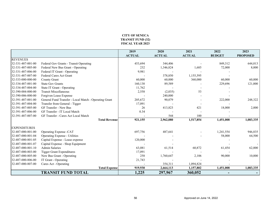#### **CITY OF SENECA TRANSIT FUND (32) FISCAL YEAR 2023**

<span id="page-55-0"></span>

|                     |                                                       | 2019          | 2020          | 2021          | 2022          | 2023            |
|---------------------|-------------------------------------------------------|---------------|---------------|---------------|---------------|-----------------|
|                     |                                                       | <b>ACTUAL</b> | <b>ACTUAL</b> | <b>ACTUAL</b> | <b>BUDGET</b> | <b>PROPOSED</b> |
| <b>REVENUES</b>     |                                                       |               |               |               |               |                 |
| 32-331-487-001-00   | Federal Gov Grants - Transit Operating                | 453,694       | 344,406       |               | 849,312       | 644,013         |
| 32-331-487-005-00   | Federal New Bus Grant - Operating                     | 232           | 1,346,824     | 1,685         | 72,000        | 8,000           |
| 32-331-487-006-00   | Federal IT Grant - Operating                          | 9,981         |               |               |               |                 |
| 32-331-487-007-00   | Federal Cares Act Grant                               |               | 378,850       | 1,155,595     |               |                 |
| 32-333-000-000-00   | County Grant                                          | 60,000        | 60,000        | 360,000       | 60,000        | 60,000          |
| 32-334-487-001-00   | <b>State Gov Grants</b>                               | 160,138       | 89,589        |               | 229,696       | 121,000         |
| 32-334-487-004-00   | State IT Grant - Operating                            | 11,762        |               |               |               |                 |
| 32-390-004-000-00   | <b>Transit Miscellaneous</b>                          | 2,558         | (2,035)       | 53            |               |                 |
| 32-390-006-000-00   | Forgiven Lease Expense                                |               | 240,000       |               |               |                 |
| 32-391-487-001-00   | General Fund Transfer - Local Match - Operating Grant | 205,672       | 90,079        |               | 222,000       | 248,322         |
| 32-391-487-004-00   | Transfer from General - Tigger                        | 17,091        |               |               |               |                 |
| 32-391-487-005-00   | <b>GF Transfer - New Bus</b>                          | 26            | 413,823       | 421           | 18,000        | 2,000           |
| 32-391-487-006-00   | GF Transfer - IT Local Match                          | 0.34          |               |               |               |                 |
| 32-391-487-007-00   | GF Transfer - Cares Act Local Match                   |               | 544           | 100           |               |                 |
|                     | <b>Total Revenue</b>                                  | 921,155       | 2,962,080     | 1,517,854     | 1,451,008     | 1,083,335       |
| <b>EXPENDITURES</b> |                                                       |               |               |               |               |                 |
|                     |                                                       |               |               |               |               |                 |
| 32-487-000-801-00   | Operating Expense -CAT                                | 697,756       | 487,641       |               | 1,241,554     | 946,835         |
| 32-487-000-801-04   | <b>Operating Expense - Utilities</b>                  |               |               |               | 58,000        | 64,500          |
| 32-487-000-801-05   | Capital Expense - Lease expense                       | 120,000       |               |               |               |                 |
| 32-487-000-801-07   | Capital Expense - Shop Equipment                      |               |               |               |               |                 |
| 32-487-000-801-10   | <b>Admin Salaries</b>                                 | 63,081        | 61,514        | 60,872        | 61,454        | 62,000          |
| 32-487-000-803-00   | <b>Tigger Grant Expenditures</b>                      | 17,091        |               |               |               |                 |
| 32-487-000-805-00   | New Bus Grant - Operating                             | 258           | 1,760,647     | 2,106         | 90,000        | 10,000          |
| 32-487-000-806-00   | IT Grant - Operating                                  | 21,743        |               |               |               |                 |
| 32-487-000-807-00   | Cares Act - Operating                                 |               | 354,311       | 1,094,824     |               |                 |
|                     | <b>Total Expense</b>                                  | 919,930       | 2,664,113     | 1,157,802     | 1,451,008     | 1,083,335       |
|                     | <b>TRANSIT FUND TOTAL</b>                             | 1,225         | 297,967       | 360,052       |               |                 |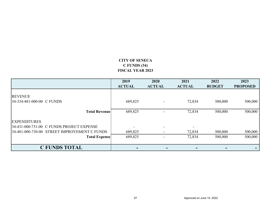# **CITY OF SENECA C FUNDS (34) FISCAL YEAR 2023**

<span id="page-56-0"></span>

|                                              | 2019<br><b>ACTUAL</b> | 2020<br><b>ACTUAL</b> | 2021<br><b>ACTUAL</b> | 2022<br><b>BUDGET</b> | 2023<br><b>PROPOSED</b> |
|----------------------------------------------|-----------------------|-----------------------|-----------------------|-----------------------|-------------------------|
| <b>REVENUE</b><br>34-334-481-000-00 C FUNDS  | 689,825               |                       | 72,834                | 500,000               | 500,000                 |
|                                              |                       |                       |                       |                       |                         |
| <b>Total Revenue</b>                         | 689,825               |                       | 72,834                | 500,000               | 500,000                 |
| <b>EXPENDITURES</b>                          |                       |                       |                       |                       |                         |
| 34-431-000-731-00 C FUNDS PROJECT EXPENSE    |                       |                       |                       |                       |                         |
| 34-481-000-730-00 STREET IMPROVEMENT C FUNDS | 689,825               |                       | 72,834                | 500,000               | 500,000                 |
| <b>Total Expense</b>                         | 689,825               |                       | 72,834                | 500,000               | 500,000                 |
| <b>C FUNDS TOTAL</b>                         |                       | -                     |                       |                       |                         |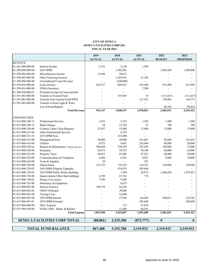#### **CITY OF SENECA SENECA FACILITIES CORP (81) FISCAL YEAR 2023**

<span id="page-57-0"></span>

|                     |                                             | 2019<br><b>ACTUAL</b> | 2020<br><b>ACTUAL</b> | 2021<br><b>ACTUAL</b> | 2022<br><b>BUDGET</b> | 2023<br><b>PROPOSED</b> |
|---------------------|---------------------------------------------|-----------------------|-----------------------|-----------------------|-----------------------|-------------------------|
| <b>REVENUE</b>      |                                             |                       |                       |                       |                       |                         |
| 81-361-000-000-00   | Interest Income                             | 2,724                 | 3,148                 | 1,299                 |                       |                         |
| 81-390-000-000-00   | 2019 IPRB                                   | ÷.                    | 1,382,881             |                       | 1,486,420             | 1,500,000               |
| 81-390-004-000-00   | Miscellaneous Income                        | 15,686                | 30,612                |                       |                       |                         |
| 81-390-005-000-00   | Other Financing Sources                     | ÷,                    | 1,265,916             | 27,186                |                       |                         |
| 81-390-006-000-00   | Unreimbursed Lease Revenue                  |                       | (240,000)             |                       |                       |                         |
| 81-390-010-000-00   | Lease Income                                | 924,737               | 869,635               | 915,490               | 915,490               | 915,490                 |
| 81-390-014-000-00   | FEMA/Insurance                              |                       | $\overline{a}$        | 7,500                 |                       |                         |
| 81-390-030-000-01   | Principal savings for loan payment          |                       |                       |                       |                       |                         |
| 81-391-001-000-00   | Transfer to General Fund                    |                       | 535,965               | 18                    | (111,667)             | (111,667)               |
| 81-391-001-000-00   | Transfer from General Fund-PWB              |                       |                       | 127,341               | 150,003               | 149,775                 |
| 81-391-002-000-00   | Transfer to/from Light & Water              |                       | $\overline{a}$        | $\overline{a}$        |                       |                         |
|                     | Use of Fund Balance                         |                       |                       | $\overline{a}$        | 40,785                | 89,824                  |
|                     | <b>Total Revenue</b>                        | 943,147               | 3,848,157             | 1,078,833             | 2,481,031             | 2,543,422               |
| <b>EXPENDITURES</b> |                                             |                       |                       |                       |                       |                         |
| 81-415-000-300-13   | Professional Services                       | 1,473                 | 3,325                 | 1,392                 | 1,500                 | 1,500                   |
| 81-415-000-300-15   | <b>Bank Charges</b>                         | 54                    | 12,102                | 67                    | 100                   | 100                     |
| 81-415-000-330-00   | Contract Labor (Ken Burgess)                | 23,457                | 15,960                | 13,600                | 15,000                | 15,000                  |
| 81-415-000-331-00   | Other Professional Services                 |                       | 4,792                 |                       |                       |                         |
| 81-415-000-331-01   | 2019 IPRB Fees                              |                       | 221,000               |                       |                       |                         |
| 81-415-000-335-00   | Management Fees                             | 50,000                | 50,000                | 161,667               | 50,000                | 161,667                 |
| 81-415-000-410-00   | Utilities                                   | 8,973                 | 9,642                 | 256,460               | 60,000                | 50,000                  |
| 81-415-000-430-xx   | Repairs & Maintenance *Multiple upfit lines | 508,068               | 239,530               | 191,649               | 100,000               | 75,000                  |
| 81-415-000-520-00   | Insurance                                   | 54,473                | 54,787                | 70,190                | 60,000                | 65,000                  |
| 81-415-000-525-00   | <b>Property Taxes</b>                       | 46,823                | 47,808                | 47,451                | 50,000                | 50,000                  |
| 81-415-000-530-00   | Communications & Telephone                  | 4,866                 | 6,342                 | 9,057                 | 8,000                 | 10,000                  |
| 81-415-000-610-00   |                                             | 20                    |                       | 291                   |                       |                         |
| 81-415-000-700-00   | Tools & Supplies                            | 133,152               | 133,552               | 134,352               | 150,000               |                         |
|                     | Depreciation                                |                       |                       |                       |                       | 140,000                 |
| 81-415-000-720-02   | 2019 IPRB Property Upgrades                 |                       | 474,079               | 505,866               |                       |                         |
| 81-415-000-720-03   | 2019 IPRB Public Works Building             |                       | 1,500                 | 28,975                | 1,486,420             | 1,470,453               |
| 81-415-000-730-00   | Improvements Other than buildings           | 4,709                 | 67,762                | 774                   |                       |                         |
| 81-415-000-730-01   | Propex Conversion                           | 7,509                 | 9,208                 |                       |                       |                         |
| 81-415-000-741-00   | Machinery & Equipment                       |                       | 6,675                 |                       |                       |                         |
| 81-415-000-802-00   | <b>Interest Expense</b>                     | 188,370               | 64,330                |                       |                       |                         |
| 81-415-000-802-01   | <b>NMTC</b> Principal                       |                       | 39,000                |                       |                       |                         |
| 81-415-000-803-00   | <b>Closing Costs</b>                        |                       | 12,000                |                       |                       |                         |
| 81-415-000-807-00   | 2019 IPRB Interest                          |                       | 27,903                | 136,684               | 500,011               | 124,702                 |
| 81-415-000-807-01   | 2019 IPRB Principal                         |                       |                       | 285,000               |                       | 380,000                 |
| 81-415-004-000-00   | Misc. Expense                               |                       | 157                   | 47,834                |                       | ÷,                      |
| 81-415-999-430-00   | FEMA 2020 - Maint. & Repairs                |                       | 21,404                | 60,301                |                       |                         |
|                     | <b>Total Expense</b>                        | 1,031,948             | 1,522,857             | 1,951,609             | 2,481,031             | 2,543,422               |
|                     | <b>SENECA FACILITIES CORP TOTAL</b>         | (88, 801)             | 2,325,300             | (872, 777)            | $\bf{0}$              | $\bf{0}$                |
|                     | <b>TOTAL FUND BALANCE</b>                   | 867,408               | 3,192,708             | 2,319,932             | 2,319,932             | 2,319,932               |